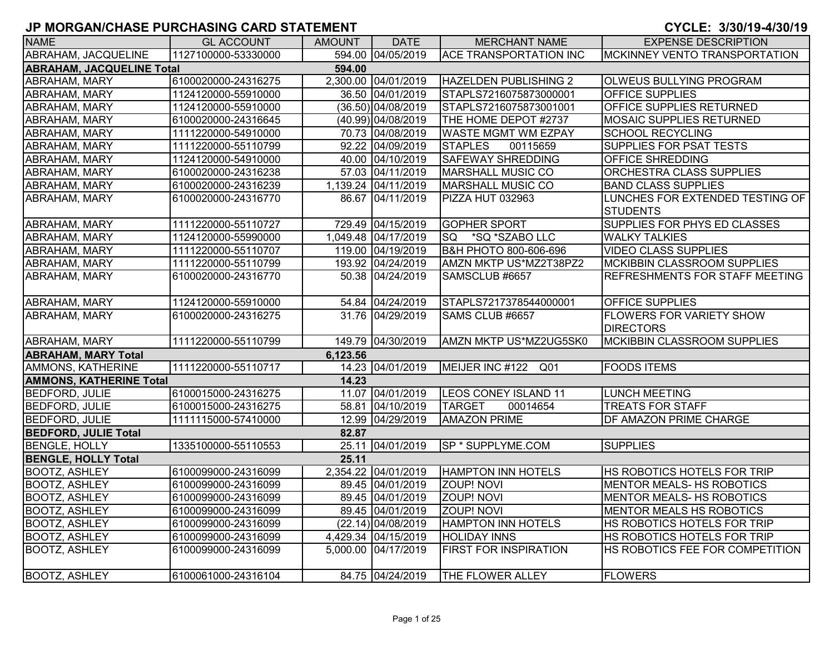| <b>NAME</b>                      | <b>GL ACCOUNT</b>   | <b>AMOUNT</b> | <b>DATE</b>         | <b>MERCHANT NAME</b>               | <b>EXPENSE DESCRIPTION</b>                          |
|----------------------------------|---------------------|---------------|---------------------|------------------------------------|-----------------------------------------------------|
| <b>ABRAHAM, JACQUELINE</b>       | 1127100000-53330000 |               | 594.00 04/05/2019   | <b>ACE TRANSPORTATION INC</b>      | <b>MCKINNEY VENTO TRANSPORTATION</b>                |
| <b>ABRAHAM, JACQUELINE Total</b> |                     | 594.00        |                     |                                    |                                                     |
| <b>ABRAHAM, MARY</b>             | 6100020000-24316275 |               | 2,300.00 04/01/2019 | <b>HAZELDEN PUBLISHING 2</b>       | <b>OLWEUS BULLYING PROGRAM</b>                      |
| ABRAHAM, MARY                    | 1124120000-55910000 |               | 36.50 04/01/2019    | STAPLS7216075873000001             | <b>OFFICE SUPPLIES</b>                              |
| ABRAHAM, MARY                    | 1124120000-55910000 |               | (36.50) 04/08/2019  | STAPLS7216075873001001             | OFFICE SUPPLIES RETURNED                            |
| <b>ABRAHAM, MARY</b>             | 6100020000-24316645 |               | (40.99) 04/08/2019  | THE HOME DEPOT #2737               | <b>MOSAIC SUPPLIES RETURNED</b>                     |
| ABRAHAM, MARY                    | 1111220000-54910000 |               | 70.73 04/08/2019    | <b>WASTE MGMT WM EZPAY</b>         | <b>SCHOOL RECYCLING</b>                             |
| <b>ABRAHAM, MARY</b>             | 1111220000-55110799 |               | 92.22 04/09/2019    | <b>STAPLES</b><br>00115659         | SUPPLIES FOR PSAT TESTS                             |
| ABRAHAM, MARY                    | 1124120000-54910000 |               | 40.00 04/10/2019    | <b>SAFEWAY SHREDDING</b>           | OFFICE SHREDDING                                    |
| ABRAHAM, MARY                    | 6100020000-24316238 |               | 57.03 04/11/2019    | <b>MARSHALL MUSIC CO</b>           | ORCHESTRA CLASS SUPPLIES                            |
| <b>ABRAHAM, MARY</b>             | 6100020000-24316239 |               | 1,139.24 04/11/2019 | MARSHALL MUSIC CO                  | <b>BAND CLASS SUPPLIES</b>                          |
| <b>ABRAHAM, MARY</b>             | 6100020000-24316770 |               | 86.67 04/11/2019    | PIZZA HUT 032963                   | LUNCHES FOR EXTENDED TESTING OF<br><b>STUDENTS</b>  |
| <b>ABRAHAM, MARY</b>             | 1111220000-55110727 |               | 729.49 04/15/2019   | <b>GOPHER SPORT</b>                | SUPPLIES FOR PHYS ED CLASSES                        |
| ABRAHAM, MARY                    | 1124120000-55990000 |               | 1,049.48 04/17/2019 | *SQ *SZABO LLC<br>SQ.              | <b>WALKY TALKIES</b>                                |
| ABRAHAM, MARY                    | 1111220000-55110707 |               | 119.00 04/19/2019   | B&H PHOTO 800-606-696              | <b>VIDEO CLASS SUPPLIES</b>                         |
| <b>ABRAHAM, MARY</b>             | 1111220000-55110799 |               | 193.92 04/24/2019   | AMZN MKTP US*MZ2T38PZ2             | <b>MCKIBBIN CLASSROOM SUPPLIES</b>                  |
| ABRAHAM, MARY                    | 6100020000-24316770 |               | 50.38 04/24/2019    | SAMSCLUB #6657                     | REFRESHMENTS FOR STAFF MEETING                      |
| <b>ABRAHAM, MARY</b>             | 1124120000-55910000 |               | 54.84 04/24/2019    | STAPLS7217378544000001             | <b>OFFICE SUPPLIES</b>                              |
| <b>ABRAHAM, MARY</b>             | 6100020000-24316275 |               | 31.76 04/29/2019    | SAMS CLUB #6657                    | <b>FLOWERS FOR VARIETY SHOW</b><br><b>DIRECTORS</b> |
| <b>ABRAHAM, MARY</b>             | 1111220000-55110799 |               | 149.79 04/30/2019   | AMZN MKTP US*MZ2UG5SK0             | <b>MCKIBBIN CLASSROOM SUPPLIES</b>                  |
| <b>ABRAHAM, MARY Total</b>       |                     | 6,123.56      |                     |                                    |                                                     |
| <b>AMMONS, KATHERINE</b>         | 1111220000-55110717 |               | 14.23 04/01/2019    | MEIJER INC #122<br>Q <sub>01</sub> | <b>FOODS ITEMS</b>                                  |
| <b>AMMONS, KATHERINE Total</b>   |                     | 14.23         |                     |                                    |                                                     |
| <b>BEDFORD, JULIE</b>            | 6100015000-24316275 |               | 11.07 04/01/2019    | <b>LEOS CONEY ISLAND 11</b>        | <b>LUNCH MEETING</b>                                |
| <b>BEDFORD, JULIE</b>            | 6100015000-24316275 |               | 58.81 04/10/2019    | <b>TARGET</b><br>00014654          | <b>TREATS FOR STAFF</b>                             |
| <b>BEDFORD, JULIE</b>            | 1111115000-57410000 |               | 12.99 04/29/2019    | <b>AMAZON PRIME</b>                | DF AMAZON PRIME CHARGE                              |
| <b>BEDFORD, JULIE Total</b>      |                     | 82.87         |                     |                                    |                                                     |
| <b>BENGLE, HOLLY</b>             | 1335100000-55110553 |               | 25.11 04/01/2019    | SP * SUPPLYME.COM                  | <b>SUPPLIES</b>                                     |
| <b>BENGLE, HOLLY Total</b>       |                     | 25.11         |                     |                                    |                                                     |
| <b>BOOTZ, ASHLEY</b>             | 6100099000-24316099 |               | 2,354.22 04/01/2019 | <b>HAMPTON INN HOTELS</b>          | HS ROBOTICS HOTELS FOR TRIP                         |
| <b>BOOTZ, ASHLEY</b>             | 6100099000-24316099 |               | 89.45 04/01/2019    | <b>ZOUP! NOVI</b>                  | MENTOR MEALS- HS ROBOTICS                           |
| <b>BOOTZ, ASHLEY</b>             | 6100099000-24316099 |               | 89.45 04/01/2019    | ZOUP! NOVI                         | MENTOR MEALS- HS ROBOTICS                           |
| <b>BOOTZ, ASHLEY</b>             | 6100099000-24316099 |               | 89.45 04/01/2019    | <b>ZOUP! NOVI</b>                  | MENTOR MEALS HS ROBOTICS                            |
| <b>BOOTZ, ASHLEY</b>             | 6100099000-24316099 |               | (22.14) 04/08/2019  | <b>HAMPTON INN HOTELS</b>          | HS ROBOTICS HOTELS FOR TRIP                         |
| <b>BOOTZ, ASHLEY</b>             | 6100099000-24316099 |               | 4,429.34 04/15/2019 | <b>HOLIDAY INNS</b>                | HS ROBOTICS HOTELS FOR TRIP                         |
| <b>BOOTZ, ASHLEY</b>             | 6100099000-24316099 |               | 5,000.00 04/17/2019 | <b>FIRST FOR INSPIRATION</b>       | HS ROBOTICS FEE FOR COMPETITION                     |
| <b>BOOTZ, ASHLEY</b>             | 6100061000-24316104 |               | 84.75 04/24/2019    | <b>THE FLOWER ALLEY</b>            | <b>FLOWERS</b>                                      |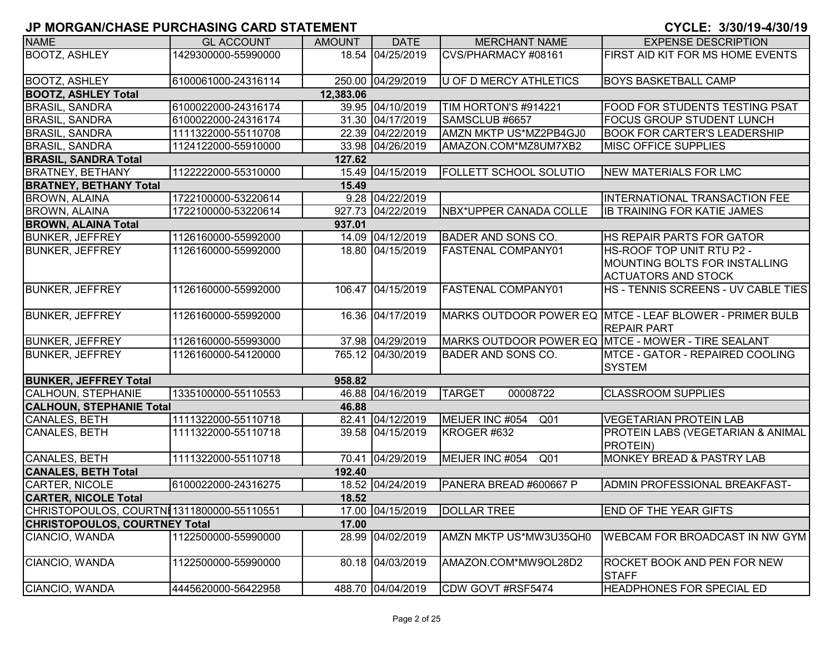| <b>NAME</b>                          | <b>GL ACCOUNT</b>                          | <b>AMOUNT</b> | <b>DATE</b>       | <b>MERCHANT NAME</b>          | <b>EXPENSE DESCRIPTION</b>                              |
|--------------------------------------|--------------------------------------------|---------------|-------------------|-------------------------------|---------------------------------------------------------|
| <b>BOOTZ, ASHLEY</b>                 | 1429300000-55990000                        |               | 18.54 04/25/2019  | CVS/PHARMACY #08161           | FIRST AID KIT FOR MS HOME EVENTS                        |
|                                      |                                            |               |                   |                               |                                                         |
| <b>BOOTZ, ASHLEY</b>                 | 6100061000-24316114                        |               | 250.00 04/29/2019 | U OF D MERCY ATHLETICS        | <b>BOYS BASKETBALL CAMP</b>                             |
| <b>BOOTZ, ASHLEY Total</b>           |                                            | 12,383.06     |                   |                               |                                                         |
| <b>BRASIL, SANDRA</b>                | 6100022000-24316174                        |               | 39.95 04/10/2019  | TIM HORTON'S #914221          | <b>FOOD FOR STUDENTS TESTING PSAT</b>                   |
| <b>BRASIL, SANDRA</b>                | 6100022000-24316174                        |               | 31.30 04/17/2019  | SAMSCLUB #6657                | <b>FOCUS GROUP STUDENT LUNCH</b>                        |
| <b>BRASIL, SANDRA</b>                | 1111322000-55110708                        |               | 22.39 04/22/2019  | AMZN MKTP US*MZ2PB4GJ0        | <b>BOOK FOR CARTER'S LEADERSHIP</b>                     |
| <b>BRASIL, SANDRA</b>                | 1124122000-55910000                        |               | 33.98 04/26/2019  | AMAZON.COM*MZ8UM7XB2          | <b>MISC OFFICE SUPPLIES</b>                             |
| <b>BRASIL, SANDRA Total</b>          |                                            | 127.62        |                   |                               |                                                         |
| <b>BRATNEY, BETHANY</b>              | 1122222000-55310000                        |               | 15.49 04/15/2019  | <b>FOLLETT SCHOOL SOLUTIO</b> | NEW MATERIALS FOR LMC                                   |
| <b>BRATNEY, BETHANY Total</b>        |                                            | 15.49         |                   |                               |                                                         |
| <b>BROWN, ALAINA</b>                 | 1722100000-53220614                        |               | 9.28 04/22/2019   |                               | <b>INTERNATIONAL TRANSACTION FEE</b>                    |
| <b>BROWN, ALAINA</b>                 | 1722100000-53220614                        |               | 927.73 04/22/2019 | NBX*UPPER CANADA COLLE        | <b>IB TRAINING FOR KATIE JAMES</b>                      |
| <b>BROWN, ALAINA Total</b>           |                                            | 937.01        |                   |                               |                                                         |
| <b>BUNKER, JEFFREY</b>               | 1126160000-55992000                        |               | 14.09 04/12/2019  | <b>BADER AND SONS CO.</b>     | HS REPAIR PARTS FOR GATOR                               |
| <b>BUNKER, JEFFREY</b>               | 1126160000-55992000                        |               | 18.80 04/15/2019  | <b>FASTENAL COMPANY01</b>     | HS-ROOF TOP UNIT RTU P2 -                               |
|                                      |                                            |               |                   |                               | MOUNTING BOLTS FOR INSTALLING                           |
|                                      |                                            |               |                   |                               | <b>ACTUATORS AND STOCK</b>                              |
| <b>BUNKER, JEFFREY</b>               | 1126160000-55992000                        |               | 106.47 04/15/2019 | <b>FASTENAL COMPANY01</b>     | HS - TENNIS SCREENS - UV CABLE TIES                     |
|                                      |                                            |               |                   |                               |                                                         |
| <b>BUNKER, JEFFREY</b>               | 1126160000-55992000                        |               | 16.36 04/17/2019  |                               | MARKS OUTDOOR POWER EQ MTCE - LEAF BLOWER - PRIMER BULB |
|                                      |                                            |               |                   |                               | <b>REPAIR PART</b>                                      |
| <b>BUNKER, JEFFREY</b>               | 1126160000-55993000                        |               | 37.98 04/29/2019  |                               | MARKS OUTDOOR POWER EQ MTCE - MOWER - TIRE SEALANT      |
| <b>BUNKER, JEFFREY</b>               | 1126160000-54120000                        |               | 765.12 04/30/2019 | <b>BADER AND SONS CO.</b>     | MTCE - GATOR - REPAIRED COOLING                         |
|                                      |                                            |               |                   |                               | <b>SYSTEM</b>                                           |
| <b>BUNKER, JEFFREY Total</b>         |                                            | 958.82        |                   |                               |                                                         |
| CALHOUN, STEPHANIE                   | 1335100000-55110553                        |               | 46.88 04/16/2019  | <b>TARGET</b><br>00008722     | <b>CLASSROOM SUPPLIES</b>                               |
| <b>CALHOUN, STEPHANIE Total</b>      |                                            | 46.88         |                   |                               |                                                         |
| <b>CANALES, BETH</b>                 | 1111322000-55110718                        |               | 82.41 04/12/2019  | MEIJER INC #054<br>Q01        | <b>VEGETARIAN PROTEIN LAB</b>                           |
| CANALES, BETH                        | 1111322000-55110718                        |               | 39.58 04/15/2019  | KROGER #632                   | PROTEIN LABS (VEGETARIAN & ANIMAL                       |
|                                      |                                            |               |                   |                               | PROTEIN)                                                |
| CANALES, BETH                        | 1111322000-55110718                        |               | 70.41 04/29/2019  | MEIJER INC #054<br>Q01        | MONKEY BREAD & PASTRY LAB                               |
| <b>CANALES, BETH Total</b>           |                                            | 192.40        |                   |                               |                                                         |
| CARTER, NICOLE                       | 6100022000-24316275                        |               | 18.52 04/24/2019  | PANERA BREAD #600667 P        | ADMIN PROFESSIONAL BREAKFAST-                           |
| <b>CARTER, NICOLE Total</b>          |                                            | 18.52         |                   |                               |                                                         |
|                                      | CHRISTOPOULOS, COURTNI 1311800000-55110551 |               | 17.00 04/15/2019  | <b>DOLLAR TREE</b>            | <b>END OF THE YEAR GIFTS</b>                            |
| <b>CHRISTOPOULOS, COURTNEY Total</b> |                                            | 17.00         |                   |                               |                                                         |
| CIANCIO, WANDA                       | 1122500000-55990000                        |               | 28.99 04/02/2019  | AMZN MKTP US*MW3U35QH0        | <b>WEBCAM FOR BROADCAST IN NW GYM</b>                   |
|                                      |                                            |               |                   |                               |                                                         |
| CIANCIO, WANDA                       | 1122500000-55990000                        |               | 80.18 04/03/2019  | AMAZON.COM*MW9OL28D2          | ROCKET BOOK AND PEN FOR NEW                             |
|                                      |                                            |               |                   |                               | <b>STAFF</b>                                            |
| CIANCIO, WANDA                       | 4445620000-56422958                        |               | 488.70 04/04/2019 | CDW GOVT #RSF5474             | <b>HEADPHONES FOR SPECIAL ED</b>                        |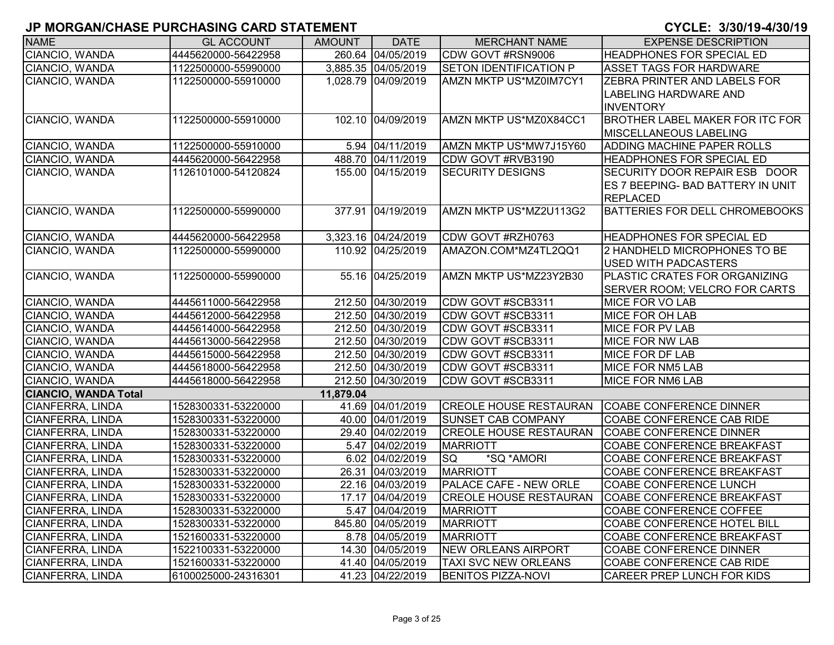| <b>NAME</b>                 | <b>GL ACCOUNT</b>   | <b>AMOUNT</b> | <b>DATE</b>         | <b>MERCHANT NAME</b>          | <b>EXPENSE DESCRIPTION</b>                                                            |
|-----------------------------|---------------------|---------------|---------------------|-------------------------------|---------------------------------------------------------------------------------------|
| CIANCIO, WANDA              | 4445620000-56422958 |               | 260.64 04/05/2019   | CDW GOVT #RSN9006             | <b>HEADPHONES FOR SPECIAL ED</b>                                                      |
| CIANCIO, WANDA              | 1122500000-55990000 |               | 3,885.35 04/05/2019 | <b>SETON IDENTIFICATION P</b> | <b>ASSET TAGS FOR HARDWARE</b>                                                        |
| CIANCIO, WANDA              | 1122500000-55910000 |               | 1,028.79 04/09/2019 | AMZN MKTP US*MZ0IM7CY1        | ZEBRA PRINTER AND LABELS FOR<br>LABELING HARDWARE AND<br><b>INVENTORY</b>             |
| CIANCIO, WANDA              | 1122500000-55910000 |               | 102.10 04/09/2019   | AMZN MKTP US*MZ0X84CC1        | <b>BROTHER LABEL MAKER FOR ITC FOR</b><br>MISCELLANEOUS LABELING                      |
| CIANCIO, WANDA              | 1122500000-55910000 |               | 5.94 04/11/2019     | AMZN MKTP US*MW7J15Y60        | <b>ADDING MACHINE PAPER ROLLS</b>                                                     |
| CIANCIO, WANDA              | 4445620000-56422958 |               | 488.70 04/11/2019   | CDW GOVT #RVB3190             | <b>HEADPHONES FOR SPECIAL ED</b>                                                      |
| CIANCIO, WANDA              | 1126101000-54120824 |               | 155.00 04/15/2019   | <b>SECURITY DESIGNS</b>       | SECURITY DOOR REPAIR ESB DOOR<br>ES 7 BEEPING- BAD BATTERY IN UNIT<br><b>REPLACED</b> |
| CIANCIO, WANDA              | 1122500000-55990000 |               | 377.91 04/19/2019   | AMZN MKTP US*MZ2U113G2        | <b>BATTERIES FOR DELL CHROMEBOOKS</b>                                                 |
| CIANCIO, WANDA              | 4445620000-56422958 |               | 3,323.16 04/24/2019 | CDW GOVT #RZH0763             | <b>HEADPHONES FOR SPECIAL ED</b>                                                      |
| CIANCIO, WANDA              | 1122500000-55990000 |               | 110.92 04/25/2019   | AMAZON.COM*MZ4TL2QQ1          | 2 HANDHELD MICROPHONES TO BE<br><b>USED WITH PADCASTERS</b>                           |
| CIANCIO, WANDA              | 1122500000-55990000 |               | 55.16 04/25/2019    | AMZN MKTP US*MZ23Y2B30        | PLASTIC CRATES FOR ORGANIZING<br>SERVER ROOM; VELCRO FOR CARTS                        |
| CIANCIO, WANDA              | 4445611000-56422958 |               | 212.50 04/30/2019   | CDW GOVT #SCB3311             | <b>MICE FOR VO LAB</b>                                                                |
| CIANCIO, WANDA              | 4445612000-56422958 |               | 212.50 04/30/2019   | CDW GOVT #SCB3311             | <b>MICE FOR OH LAB</b>                                                                |
| CIANCIO, WANDA              | 4445614000-56422958 |               | 212.50 04/30/2019   | CDW GOVT #SCB3311             | <b>MICE FOR PV LAB</b>                                                                |
| CIANCIO, WANDA              | 4445613000-56422958 |               | 212.50 04/30/2019   | CDW GOVT #SCB3311             | <b>MICE FOR NW LAB</b>                                                                |
| CIANCIO, WANDA              | 4445615000-56422958 |               | 212.50 04/30/2019   | CDW GOVT #SCB3311             | MICE FOR DF LAB                                                                       |
| CIANCIO, WANDA              | 4445618000-56422958 |               | 212.50 04/30/2019   | CDW GOVT #SCB3311             | MICE FOR NM5 LAB                                                                      |
| CIANCIO, WANDA              | 4445618000-56422958 |               | 212.50 04/30/2019   | CDW GOVT #SCB3311             | <b>MICE FOR NM6 LAB</b>                                                               |
| <b>CIANCIO, WANDA Total</b> |                     | 11,879.04     |                     |                               |                                                                                       |
| <b>CIANFERRA, LINDA</b>     | 1528300331-53220000 |               | 41.69 04/01/2019    | <b>CREOLE HOUSE RESTAURAN</b> | <b>COABE CONFERENCE DINNER</b>                                                        |
| <b>CIANFERRA, LINDA</b>     | 1528300331-53220000 |               | 40.00 04/01/2019    | <b>SUNSET CAB COMPANY</b>     | COABE CONFERENCE CAB RIDE                                                             |
| <b>CIANFERRA, LINDA</b>     | 1528300331-53220000 |               | 29.40 04/02/2019    | <b>CREOLE HOUSE RESTAURAN</b> | COABE CONFERENCE DINNER                                                               |
| <b>CIANFERRA, LINDA</b>     | 1528300331-53220000 |               | 5.47 04/02/2019     | <b>MARRIOTT</b>               | <b>COABE CONFERENCE BREAKFAST</b>                                                     |
| <b>CIANFERRA, LINDA</b>     | 1528300331-53220000 |               | 6.02 04/02/2019     | <b>SQ</b><br>*SQ *AMORI       | COABE CONFERENCE BREAKFAST                                                            |
| <b>CIANFERRA, LINDA</b>     | 1528300331-53220000 |               | 26.31 04/03/2019    | <b>MARRIOTT</b>               | <b>COABE CONFERENCE BREAKFAST</b>                                                     |
| CIANFERRA, LINDA            | 1528300331-53220000 |               | 22.16 04/03/2019    | PALACE CAFE - NEW ORLE        | COABE CONFERENCE LUNCH                                                                |
| CIANFERRA, LINDA            | 1528300331-53220000 |               | 17.17 04/04/2019    | <b>CREOLE HOUSE RESTAURAN</b> | COABE CONFERENCE BREAKFAST                                                            |
| CIANFERRA, LINDA            | 1528300331-53220000 |               | 5.47 04/04/2019     | <b>MARRIOTT</b>               | COABE CONFERENCE COFFEE                                                               |
| CIANFERRA, LINDA            | 1528300331-53220000 |               | 845.80 04/05/2019   | <b>MARRIOTT</b>               | COABE CONFERENCE HOTEL BILL                                                           |
| CIANFERRA, LINDA            | 1521600331-53220000 |               | 8.78 04/05/2019     | MARRIOTT                      | COABE CONFERENCE BREAKFAST                                                            |
| <b>CIANFERRA, LINDA</b>     | 1522100331-53220000 |               | 14.30 04/05/2019    | <b>NEW ORLEANS AIRPORT</b>    | <b>COABE CONFERENCE DINNER</b>                                                        |
| <b>CIANFERRA, LINDA</b>     | 1521600331-53220000 |               | 41.40 04/05/2019    | TAXI SVC NEW ORLEANS          | COABE CONFERENCE CAB RIDE                                                             |
| CIANFERRA, LINDA            | 6100025000-24316301 |               | 41.23 04/22/2019    | <b>BENITOS PIZZA-NOVI</b>     | CAREER PREP LUNCH FOR KIDS                                                            |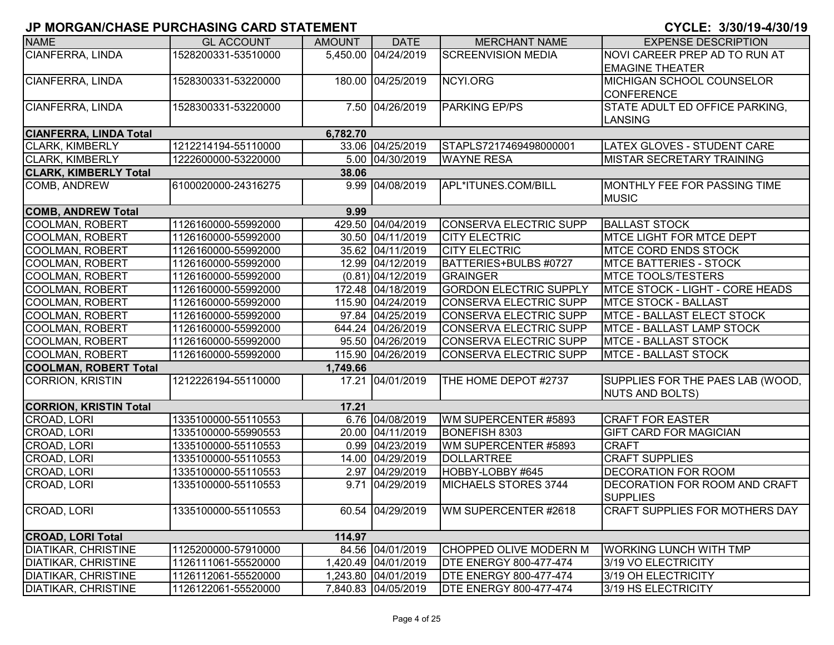| <b>NAME</b>                   | <b>GL ACCOUNT</b>   | <b>AMOUNT</b> | <b>DATE</b>         | <b>MERCHANT NAME</b>          | <b>EXPENSE DESCRIPTION</b>             |
|-------------------------------|---------------------|---------------|---------------------|-------------------------------|----------------------------------------|
| <b>CIANFERRA, LINDA</b>       | 1528200331-53510000 |               | 5,450.00 04/24/2019 | <b>SCREENVISION MEDIA</b>     | NOVI CAREER PREP AD TO RUN AT          |
|                               |                     |               |                     |                               | <b>EMAGINE THEATER</b>                 |
| CIANFERRA, LINDA              | 1528300331-53220000 |               | 180.00 04/25/2019   | NCYI.ORG                      | MICHIGAN SCHOOL COUNSELOR              |
|                               |                     |               |                     |                               | <b>CONFERENCE</b>                      |
| CIANFERRA, LINDA              | 1528300331-53220000 |               | 7.50 04/26/2019     | <b>PARKING EP/PS</b>          | STATE ADULT ED OFFICE PARKING,         |
|                               |                     |               |                     |                               | <b>LANSING</b>                         |
| <b>CIANFERRA, LINDA Total</b> |                     | 6,782.70      |                     |                               |                                        |
| <b>CLARK, KIMBERLY</b>        | 1212214194-55110000 |               | 33.06 04/25/2019    | STAPLS7217469498000001        | <b>LATEX GLOVES - STUDENT CARE</b>     |
| <b>CLARK, KIMBERLY</b>        | 1222600000-53220000 |               | 5.00 04/30/2019     | <b>WAYNE RESA</b>             | MISTAR SECRETARY TRAINING              |
| <b>CLARK, KIMBERLY Total</b>  |                     | 38.06         |                     |                               |                                        |
| COMB, ANDREW                  | 6100020000-24316275 |               | 9.99 04/08/2019     | APL*ITUNES.COM/BILL           | MONTHLY FEE FOR PASSING TIME           |
|                               |                     |               |                     |                               | <b>MUSIC</b>                           |
| <b>COMB, ANDREW Total</b>     |                     | 9.99          |                     |                               |                                        |
| COOLMAN, ROBERT               | 1126160000-55992000 |               | 429.50 04/04/2019   | CONSERVA ELECTRIC SUPP        | <b>BALLAST STOCK</b>                   |
| COOLMAN, ROBERT               | 1126160000-55992000 |               | 30.50 04/11/2019    | <b>CITY ELECTRIC</b>          | MTCE LIGHT FOR MTCE DEPT               |
| COOLMAN, ROBERT               | 1126160000-55992000 |               | 35.62 04/11/2019    | <b>CITY ELECTRIC</b>          | <b>IMTCE CORD ENDS STOCK</b>           |
| COOLMAN, ROBERT               | 1126160000-55992000 |               | 12.99 04/12/2019    | BATTERIES+BULBS #0727         | <b>MTCE BATTERIES - STOCK</b>          |
| COOLMAN, ROBERT               | 1126160000-55992000 |               | $(0.81)$ 04/12/2019 | <b>GRAINGER</b>               | <b>MTCE TOOLS/TESTERS</b>              |
| <b>COOLMAN, ROBERT</b>        | 1126160000-55992000 |               | 172.48 04/18/2019   | <b>GORDON ELECTRIC SUPPLY</b> | <b>MTCE STOCK - LIGHT - CORE HEADS</b> |
| COOLMAN, ROBERT               | 1126160000-55992000 |               | 115.90 04/24/2019   | <b>CONSERVA ELECTRIC SUPP</b> | <b>MTCE STOCK - BALLAST</b>            |
| <b>COOLMAN, ROBERT</b>        | 1126160000-55992000 |               | 97.84 04/25/2019    | <b>CONSERVA ELECTRIC SUPP</b> | <b>MTCE - BALLAST ELECT STOCK</b>      |
| <b>COOLMAN, ROBERT</b>        | 1126160000-55992000 |               | 644.24 04/26/2019   | <b>CONSERVA ELECTRIC SUPP</b> | MTCE - BALLAST LAMP STOCK              |
| <b>COOLMAN, ROBERT</b>        | 1126160000-55992000 |               | 95.50 04/26/2019    | <b>CONSERVA ELECTRIC SUPP</b> | <b>MTCE - BALLAST STOCK</b>            |
| COOLMAN, ROBERT               | 1126160000-55992000 |               | 115.90 04/26/2019   | <b>CONSERVA ELECTRIC SUPP</b> | <b>MTCE - BALLAST STOCK</b>            |
| <b>COOLMAN, ROBERT Total</b>  |                     | 1,749.66      |                     |                               |                                        |
| <b>CORRION, KRISTIN</b>       | 1212226194-55110000 |               | 17.21 04/01/2019    | THE HOME DEPOT #2737          | SUPPLIES FOR THE PAES LAB (WOOD,       |
|                               |                     |               |                     |                               | NUTS AND BOLTS)                        |
| <b>CORRION, KRISTIN Total</b> |                     | 17.21         |                     |                               |                                        |
| CROAD, LORI                   | 1335100000-55110553 |               | 6.76 04/08/2019     | WM SUPERCENTER #5893          | <b>CRAFT FOR EASTER</b>                |
| CROAD, LORI                   | 1335100000-55990553 |               | 20.00 04/11/2019    | BONEFISH 8303                 | <b>GIFT CARD FOR MAGICIAN</b>          |
| CROAD, LORI                   | 1335100000-55110553 |               | 0.99 04/23/2019     | WM SUPERCENTER #5893          | <b>CRAFT</b>                           |
| CROAD, LORI                   | 1335100000-55110553 |               | 14.00 04/29/2019    | <b>DOLLARTREE</b>             | <b>CRAFT SUPPLIES</b>                  |
| CROAD, LORI                   | 1335100000-55110553 |               | 2.97 04/29/2019     | HOBBY-LOBBY #645              | <b>DECORATION FOR ROOM</b>             |
| CROAD, LORI                   | 1335100000-55110553 |               | 9.71 04/29/2019     | MICHAELS STORES 3744          | DECORATION FOR ROOM AND CRAFT          |
|                               |                     |               |                     |                               | <b>SUPPLIES</b>                        |
| CROAD, LORI                   | 1335100000-55110553 |               | 60.54 04/29/2019    | WM SUPERCENTER #2618          | <b>CRAFT SUPPLIES FOR MOTHERS DAY</b>  |
|                               |                     |               |                     |                               |                                        |
| <b>CROAD, LORI Total</b>      |                     | 114.97        |                     |                               |                                        |
| <b>DIATIKAR, CHRISTINE</b>    | 1125200000-57910000 |               | 84.56 04/01/2019    | <b>CHOPPED OLIVE MODERN M</b> | <b>WORKING LUNCH WITH TMP</b>          |
| <b>DIATIKAR, CHRISTINE</b>    | 1126111061-55520000 |               | 1,420.49 04/01/2019 | <b>DTE ENERGY 800-477-474</b> | 3/19 VO ELECTRICITY                    |
| <b>DIATIKAR, CHRISTINE</b>    | 1126112061-55520000 |               | 1,243.80 04/01/2019 | <b>DTE ENERGY 800-477-474</b> | 3/19 OH ELECTRICITY                    |
| <b>DIATIKAR, CHRISTINE</b>    | 1126122061-55520000 |               | 7,840.83 04/05/2019 | <b>DTE ENERGY 800-477-474</b> | 3/19 HS ELECTRICITY                    |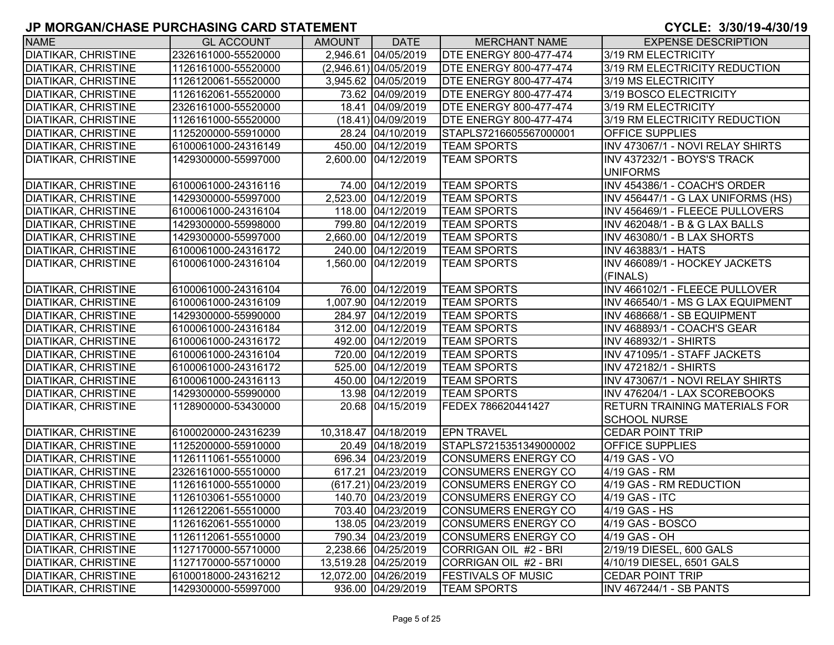| <b>NAME</b>                | <b>GL ACCOUNT</b>   | AMOUNT | <b>DATE</b>             | <b>MERCHANT NAME</b>          | <b>EXPENSE DESCRIPTION</b>           |
|----------------------------|---------------------|--------|-------------------------|-------------------------------|--------------------------------------|
| <b>DIATIKAR, CHRISTINE</b> | 2326161000-55520000 |        | 2,946.61 04/05/2019     | <b>DTE ENERGY 800-477-474</b> | 3/19 RM ELECTRICITY                  |
| <b>DIATIKAR, CHRISTINE</b> | 1126161000-55520000 |        | $(2,946.61)$ 04/05/2019 | <b>DTE ENERGY 800-477-474</b> | 3/19 RM ELECTRICITY REDUCTION        |
| <b>DIATIKAR, CHRISTINE</b> | 1126120061-55520000 |        | 3,945.62 04/05/2019     | <b>DTE ENERGY 800-477-474</b> | 3/19 MS ELECTRICITY                  |
| <b>DIATIKAR, CHRISTINE</b> | 1126162061-55520000 |        | 73.62 04/09/2019        | <b>DTE ENERGY 800-477-474</b> | 3/19 BOSCO ELECTRICITY               |
| <b>DIATIKAR, CHRISTINE</b> | 2326161000-55520000 |        | 18.41 04/09/2019        | <b>DTE ENERGY 800-477-474</b> | 3/19 RM ELECTRICITY                  |
| <b>DIATIKAR, CHRISTINE</b> | 1126161000-55520000 |        | $(18.41)$ 04/09/2019    | <b>DTE ENERGY 800-477-474</b> | 3/19 RM ELECTRICITY REDUCTION        |
| <b>DIATIKAR, CHRISTINE</b> | 1125200000-55910000 |        | 28.24 04/10/2019        | STAPLS7216605567000001        | OFFICE SUPPLIES                      |
| <b>DIATIKAR, CHRISTINE</b> | 6100061000-24316149 |        | 450.00 04/12/2019       | <b>TEAM SPORTS</b>            | INV 473067/1 - NOVI RELAY SHIRTS     |
| <b>DIATIKAR, CHRISTINE</b> | 1429300000-55997000 |        | 2,600.00 04/12/2019     | <b>TEAM SPORTS</b>            | INV 437232/1 - BOYS'S TRACK          |
|                            |                     |        |                         |                               | <b>UNIFORMS</b>                      |
| <b>DIATIKAR, CHRISTINE</b> | 6100061000-24316116 |        | 74.00 04/12/2019        | <b>TEAM SPORTS</b>            | INV 454386/1 - COACH'S ORDER         |
| <b>DIATIKAR, CHRISTINE</b> | 1429300000-55997000 |        | 2,523.00 04/12/2019     | <b>TEAM SPORTS</b>            | INV 456447/1 - G LAX UNIFORMS (HS)   |
| <b>DIATIKAR, CHRISTINE</b> | 6100061000-24316104 |        | 118.00 04/12/2019       | <b>TEAM SPORTS</b>            | INV 456469/1 - FLEECE PULLOVERS      |
| <b>DIATIKAR, CHRISTINE</b> | 1429300000-55998000 |        | 799.80 04/12/2019       | <b>TEAM SPORTS</b>            | INV 462048/1 - B & G LAX BALLS       |
| <b>DIATIKAR, CHRISTINE</b> | 1429300000-55997000 |        | 2,660.00 04/12/2019     | <b>TEAM SPORTS</b>            | INV 463080/1 - B LAX SHORTS          |
| <b>DIATIKAR, CHRISTINE</b> | 6100061000-24316172 |        | 240.00 04/12/2019       | <b>TEAM SPORTS</b>            | INV 463883/1 - HATS                  |
| <b>DIATIKAR, CHRISTINE</b> | 6100061000-24316104 |        | 1,560.00 04/12/2019     | <b>TEAM SPORTS</b>            | INV 466089/1 - HOCKEY JACKETS        |
|                            |                     |        |                         |                               | (FINALS)                             |
| <b>DIATIKAR, CHRISTINE</b> | 6100061000-24316104 |        | 76.00 04/12/2019        | <b>TEAM SPORTS</b>            | INV 466102/1 - FLEECE PULLOVER       |
| <b>DIATIKAR, CHRISTINE</b> | 6100061000-24316109 |        | 1,007.90 04/12/2019     | <b>TEAM SPORTS</b>            | INV 466540/1 - MS G LAX EQUIPMENT    |
| <b>DIATIKAR, CHRISTINE</b> | 1429300000-55990000 |        | 284.97 04/12/2019       | <b>TEAM SPORTS</b>            | INV 468668/1 - SB EQUIPMENT          |
| <b>DIATIKAR, CHRISTINE</b> | 6100061000-24316184 |        | 312.00 04/12/2019       | <b>TEAM SPORTS</b>            | INV 468893/1 - COACH'S GEAR          |
| <b>DIATIKAR, CHRISTINE</b> | 6100061000-24316172 |        | 492.00 04/12/2019       | <b>TEAM SPORTS</b>            | <b>INV 468932/1 - SHIRTS</b>         |
| <b>DIATIKAR, CHRISTINE</b> | 6100061000-24316104 |        | 720.00 04/12/2019       | <b>TEAM SPORTS</b>            | INV 471095/1 - STAFF JACKETS         |
| <b>DIATIKAR, CHRISTINE</b> | 6100061000-24316172 |        | 525.00 04/12/2019       | <b>TEAM SPORTS</b>            | <b>INV 472182/1 - SHIRTS</b>         |
| <b>DIATIKAR, CHRISTINE</b> | 6100061000-24316113 |        | 450.00 04/12/2019       | <b>TEAM SPORTS</b>            | INV 473067/1 - NOVI RELAY SHIRTS     |
| <b>DIATIKAR, CHRISTINE</b> | 1429300000-55990000 |        | 13.98 04/12/2019        | <b>TEAM SPORTS</b>            | INV 476204/1 - LAX SCOREBOOKS        |
| <b>DIATIKAR, CHRISTINE</b> | 1128900000-53430000 |        | 20.68 04/15/2019        | FEDEX 786620441427            | <b>RETURN TRAINING MATERIALS FOR</b> |
|                            |                     |        |                         |                               | <b>SCHOOL NURSE</b>                  |
| <b>DIATIKAR, CHRISTINE</b> | 6100020000-24316239 |        | 10,318.47 04/18/2019    | <b>EPN TRAVEL</b>             | <b>CEDAR POINT TRIP</b>              |
| <b>DIATIKAR, CHRISTINE</b> | 1125200000-55910000 |        | 20.49 04/18/2019        | STAPLS7215351349000002        | <b>OFFICE SUPPLIES</b>               |
| <b>DIATIKAR, CHRISTINE</b> | 1126111061-55510000 |        | 696.34 04/23/2019       | <b>CONSUMERS ENERGY CO</b>    | 4/19 GAS - VO                        |
| <b>DIATIKAR, CHRISTINE</b> | 2326161000-55510000 |        | 617.21 04/23/2019       | <b>CONSUMERS ENERGY CO</b>    | 4/19 GAS - RM                        |
| <b>DIATIKAR, CHRISTINE</b> | 1126161000-55510000 |        | (617.21) 04/23/2019     | <b>CONSUMERS ENERGY CO</b>    | 4/19 GAS - RM REDUCTION              |
| <b>DIATIKAR, CHRISTINE</b> | 1126103061-55510000 |        | 140.70 04/23/2019       | <b>CONSUMERS ENERGY CO</b>    | 4/19 GAS - ITC                       |
| <b>DIATIKAR, CHRISTINE</b> | 1126122061-55510000 |        | 703.40 04/23/2019       | <b>CONSUMERS ENERGY CO</b>    | 4/19 GAS - HS                        |
| DIATIKAR, CHRISTINE        | 1126162061-55510000 |        | 138.05 04/23/2019       | CONSUMERS ENERGY CO           | 4/19 GAS - BOSCO                     |
| DIATIKAR, CHRISTINE        | 1126112061-55510000 |        | 790.34 04/23/2019       | <b>CONSUMERS ENERGY CO</b>    | 4/19 GAS - OH                        |
| <b>DIATIKAR, CHRISTINE</b> | 1127170000-55710000 |        | 2,238.66 04/25/2019     | CORRIGAN OIL #2 - BRI         | 2/19/19 DIESEL, 600 GALS             |
| <b>DIATIKAR, CHRISTINE</b> | 1127170000-55710000 |        | 13,519.28 04/25/2019    | CORRIGAN OIL #2 - BRI         | 4/10/19 DIESEL, 6501 GALS            |
| <b>DIATIKAR, CHRISTINE</b> | 6100018000-24316212 |        | 12,072.00 04/26/2019    | <b>FESTIVALS OF MUSIC</b>     | <b>CEDAR POINT TRIP</b>              |
| DIATIKAR, CHRISTINE        | 1429300000-55997000 |        | 936.00 04/29/2019       | <b>TEAM SPORTS</b>            | <b>INV 467244/1 - SB PANTS</b>       |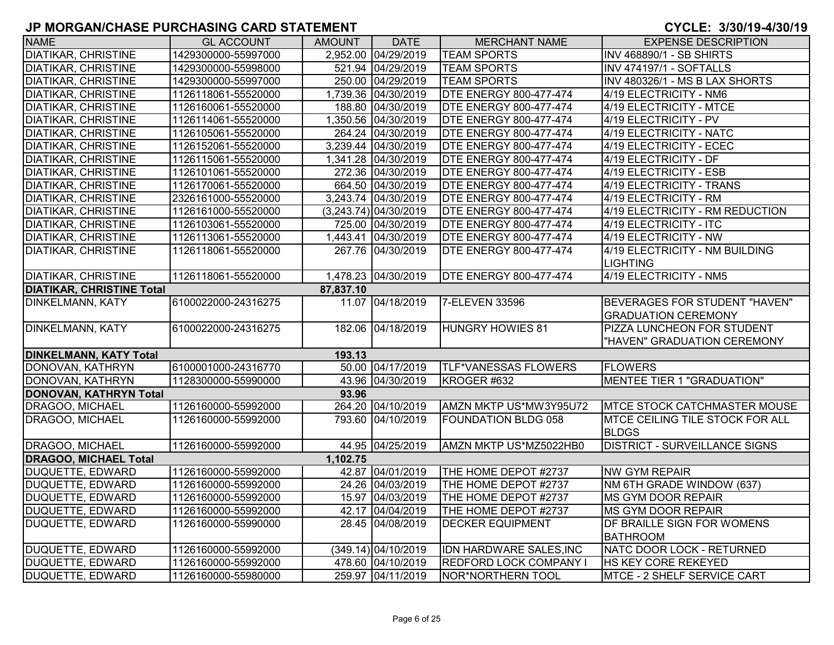| <b>NAME</b>                      | <b>GL ACCOUNT</b>   | AMOUNT    | <b>DATE</b>             | <b>MERCHANT NAME</b>          | <b>EXPENSE DESCRIPTION</b>             |
|----------------------------------|---------------------|-----------|-------------------------|-------------------------------|----------------------------------------|
| <b>DIATIKAR, CHRISTINE</b>       | 1429300000-55997000 |           | 2,952.00 04/29/2019     | <b>TEAM SPORTS</b>            | <b>INV 468890/1 - SB SHIRTS</b>        |
| <b>DIATIKAR, CHRISTINE</b>       | 1429300000-55998000 |           | 521.94 04/29/2019       | <b>TEAM SPORTS</b>            | <b>INV 474197/1 - SOFTALLS</b>         |
| <b>DIATIKAR, CHRISTINE</b>       | 1429300000-55997000 |           | 250.00 04/29/2019       | <b>TEAM SPORTS</b>            | INV 480326/1 - MS B LAX SHORTS         |
| <b>DIATIKAR, CHRISTINE</b>       | 1126118061-55520000 |           | 1,739.36 04/30/2019     | <b>DTE ENERGY 800-477-474</b> | 4/19 ELECTRICITY - NM6                 |
| <b>DIATIKAR, CHRISTINE</b>       | 1126160061-55520000 |           | 188.80 04/30/2019       | <b>DTE ENERGY 800-477-474</b> | 4/19 ELECTRICITY - MTCE                |
| <b>DIATIKAR, CHRISTINE</b>       | 1126114061-55520000 |           | 1,350.56 04/30/2019     | <b>DTE ENERGY 800-477-474</b> | 4/19 ELECTRICITY - PV                  |
| <b>DIATIKAR, CHRISTINE</b>       | 1126105061-55520000 |           | 264.24 04/30/2019       | <b>DTE ENERGY 800-477-474</b> | 4/19 ELECTRICITY - NATC                |
| <b>DIATIKAR, CHRISTINE</b>       | 1126152061-55520000 |           | 3,239.44 04/30/2019     | <b>DTE ENERGY 800-477-474</b> | 4/19 ELECTRICITY - ECEC                |
| <b>DIATIKAR, CHRISTINE</b>       | 1126115061-55520000 |           | 1,341.28 04/30/2019     | <b>DTE ENERGY 800-477-474</b> | 4/19 ELECTRICITY - DF                  |
| <b>DIATIKAR, CHRISTINE</b>       | 1126101061-55520000 |           | 272.36 04/30/2019       | <b>DTE ENERGY 800-477-474</b> | 4/19 ELECTRICITY - ESB                 |
| <b>DIATIKAR, CHRISTINE</b>       | 1126170061-55520000 |           | 664.50 04/30/2019       | <b>DTE ENERGY 800-477-474</b> | 4/19 ELECTRICITY - TRANS               |
| <b>DIATIKAR, CHRISTINE</b>       | 2326161000-55520000 |           | 3,243.74 04/30/2019     | <b>DTE ENERGY 800-477-474</b> | 4/19 ELECTRICITY - RM                  |
| <b>DIATIKAR, CHRISTINE</b>       | 1126161000-55520000 |           | $(3,243.74)$ 04/30/2019 | <b>DTE ENERGY 800-477-474</b> | 4/19 ELECTRICITY - RM REDUCTION        |
| <b>DIATIKAR, CHRISTINE</b>       | 1126103061-55520000 |           | 725.00 04/30/2019       | <b>DTE ENERGY 800-477-474</b> | 4/19 ELECTRICITY - ITC                 |
| <b>DIATIKAR, CHRISTINE</b>       | 1126113061-55520000 |           | 1,443.41 04/30/2019     | <b>DTE ENERGY 800-477-474</b> | 4/19 ELECTRICITY - NW                  |
| <b>DIATIKAR, CHRISTINE</b>       | 1126118061-55520000 |           | 267.76 04/30/2019       | <b>DTE ENERGY 800-477-474</b> | 4/19 ELECTRICITY - NM BUILDING         |
|                                  |                     |           |                         |                               | <b>LIGHTING</b>                        |
| <b>DIATIKAR, CHRISTINE</b>       | 1126118061-55520000 |           | 1,478.23 04/30/2019     | <b>DTE ENERGY 800-477-474</b> | 4/19 ELECTRICITY - NM5                 |
| <b>DIATIKAR, CHRISTINE Total</b> |                     | 87,837.10 |                         |                               |                                        |
| <b>DINKELMANN, KATY</b>          | 6100022000-24316275 |           | 11.07 04/18/2019        | 7-ELEVEN 33596                | BEVERAGES FOR STUDENT "HAVEN"          |
|                                  |                     |           |                         |                               | <b>GRADUATION CEREMONY</b>             |
| <b>DINKELMANN, KATY</b>          | 6100022000-24316275 |           | 182.06 04/18/2019       | <b>HUNGRY HOWIES 81</b>       | PIZZA LUNCHEON FOR STUDENT             |
|                                  |                     |           |                         |                               | "HAVEN" GRADUATION CEREMONY            |
| <b>DINKELMANN, KATY Total</b>    |                     | 193.13    |                         |                               |                                        |
| DONOVAN, KATHRYN                 | 6100001000-24316770 |           | 50.00 04/17/2019        | <b>TLF*VANESSAS FLOWERS</b>   | <b>FLOWERS</b>                         |
| DONOVAN, KATHRYN                 | 1128300000-55990000 |           | 43.96 04/30/2019        | KROGER #632                   | <b>MENTEE TIER 1 "GRADUATION"</b>      |
| DONOVAN, KATHRYN Total           |                     | 93.96     |                         |                               |                                        |
| DRAGOO, MICHAEL                  | 1126160000-55992000 |           | 264.20 04/10/2019       | AMZN MKTP US*MW3Y95U72        | <b>MTCE STOCK CATCHMASTER MOUSE</b>    |
| DRAGOO, MICHAEL                  | 1126160000-55992000 |           | 793.60 04/10/2019       | <b>FOUNDATION BLDG 058</b>    | <b>MTCE CEILING TILE STOCK FOR ALL</b> |
|                                  |                     |           |                         |                               | <b>BLDGS</b>                           |
| DRAGOO, MICHAEL                  | 1126160000-55992000 |           | 44.95 04/25/2019        | AMZN MKTP US*MZ5022HB0        | <b>DISTRICT - SURVEILLANCE SIGNS</b>   |
| <b>DRAGOO, MICHAEL Total</b>     |                     | 1,102.75  |                         |                               |                                        |
| DUQUETTE, EDWARD                 | 1126160000-55992000 |           | 42.87 04/01/2019        | THE HOME DEPOT #2737          | <b>NW GYM REPAIR</b>                   |
| DUQUETTE, EDWARD                 | 1126160000-55992000 |           | 24.26 04/03/2019        | THE HOME DEPOT #2737          | NM 6TH GRADE WINDOW (637)              |
| DUQUETTE, EDWARD                 | 1126160000-55992000 |           | 15.97 04/03/2019        | THE HOME DEPOT #2737          | <b>MS GYM DOOR REPAIR</b>              |
| DUQUETTE, EDWARD                 | 1126160000-55992000 |           | 42.17 04/04/2019        | THE HOME DEPOT #2737          | MS GYM DOOR REPAIR                     |
| DUQUETTE, EDWARD                 | 1126160000-55990000 |           | 28.45 04/08/2019        | <b>DECKER EQUIPMENT</b>       | DF BRAILLE SIGN FOR WOMENS             |
|                                  |                     |           |                         |                               | <b>BATHROOM</b>                        |
| DUQUETTE, EDWARD                 | 1126160000-55992000 |           | (349.14) 04/10/2019     | IDN HARDWARE SALES, INC       | NATC DOOR LOCK - RETURNED              |
| DUQUETTE, EDWARD                 | 1126160000-55992000 |           | 478.60 04/10/2019       | REDFORD LOCK COMPANY I        | HS KEY CORE REKEYED                    |
| DUQUETTE, EDWARD                 | 1126160000-55980000 |           | 259.97 04/11/2019       | NOR*NORTHERN TOOL             | MTCE - 2 SHELF SERVICE CART            |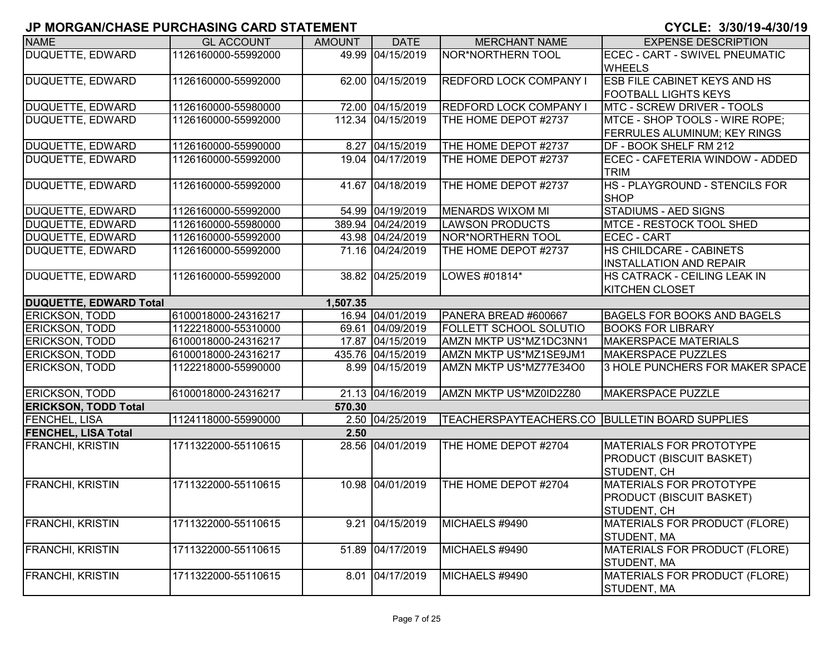|                               |                     |               |                   |                                                  | U I ULLI U UU I U TIUUI I U         |
|-------------------------------|---------------------|---------------|-------------------|--------------------------------------------------|-------------------------------------|
| <b>NAME</b>                   | <b>GL ACCOUNT</b>   | <b>AMOUNT</b> | <b>DATE</b>       | <b>MERCHANT NAME</b>                             | <b>EXPENSE DESCRIPTION</b>          |
| <b>DUQUETTE, EDWARD</b>       | 1126160000-55992000 | 49.99         | 04/15/2019        | NOR*NORTHERN TOOL                                | ECEC - CART - SWIVEL PNEUMATIC      |
|                               |                     |               |                   |                                                  | <b>WHEELS</b>                       |
| <b>DUQUETTE, EDWARD</b>       | 1126160000-55992000 |               | 62.00 04/15/2019  | <b>REDFORD LOCK COMPANY I</b>                    | <b>ESB FILE CABINET KEYS AND HS</b> |
|                               |                     |               |                   |                                                  | <b>FOOTBALL LIGHTS KEYS</b>         |
| DUQUETTE, EDWARD              | 1126160000-55980000 |               | 72.00 04/15/2019  | <b>REDFORD LOCK COMPANY I</b>                    | <b>MTC - SCREW DRIVER - TOOLS</b>   |
| <b>DUQUETTE, EDWARD</b>       | 1126160000-55992000 |               | 112.34 04/15/2019 | THE HOME DEPOT #2737                             | MTCE - SHOP TOOLS - WIRE ROPE;      |
|                               |                     |               |                   |                                                  | <b>FERRULES ALUMINUM; KEY RINGS</b> |
| <b>DUQUETTE, EDWARD</b>       | 1126160000-55990000 |               | 8.27 04/15/2019   | THE HOME DEPOT #2737                             | DF - BOOK SHELF RM 212              |
| DUQUETTE, EDWARD              | 1126160000-55992000 |               | 19.04 04/17/2019  | THE HOME DEPOT #2737                             | ECEC - CAFETERIA WINDOW - ADDED     |
|                               |                     |               |                   |                                                  | <b>TRIM</b>                         |
| DUQUETTE, EDWARD              | 1126160000-55992000 |               | 41.67 04/18/2019  | THE HOME DEPOT #2737                             | HS - PLAYGROUND - STENCILS FOR      |
|                               |                     |               |                   |                                                  | <b>SHOP</b>                         |
| DUQUETTE, EDWARD              | 1126160000-55992000 |               | 54.99 04/19/2019  | <b>MENARDS WIXOM MI</b>                          | <b>STADIUMS - AED SIGNS</b>         |
| DUQUETTE, EDWARD              | 1126160000-55980000 |               | 389.94 04/24/2019 | <b>LAWSON PRODUCTS</b>                           | MTCE - RESTOCK TOOL SHED            |
| DUQUETTE, EDWARD              | 1126160000-55992000 |               | 43.98 04/24/2019  | NOR*NORTHERN TOOL                                | <b>ECEC - CART</b>                  |
| DUQUETTE, EDWARD              | 1126160000-55992000 |               | 71.16 04/24/2019  | THE HOME DEPOT #2737                             | HS CHILDCARE - CABINETS             |
|                               |                     |               |                   |                                                  | <b>INSTALLATION AND REPAIR</b>      |
| <b>DUQUETTE, EDWARD</b>       | 1126160000-55992000 |               | 38.82 04/25/2019  | LOWES #01814*                                    | HS CATRACK - CEILING LEAK IN        |
|                               |                     |               |                   |                                                  | <b>KITCHEN CLOSET</b>               |
| <b>DUQUETTE, EDWARD Total</b> |                     | 1,507.35      |                   |                                                  |                                     |
| ERICKSON, TODD                | 6100018000-24316217 |               | 16.94 04/01/2019  | PANERA BREAD #600667                             | <b>BAGELS FOR BOOKS AND BAGELS</b>  |
| <b>ERICKSON, TODD</b>         | 1122218000-55310000 |               | 69.61 04/09/2019  | FOLLETT SCHOOL SOLUTIO                           | <b>BOOKS FOR LIBRARY</b>            |
| <b>ERICKSON, TODD</b>         | 6100018000-24316217 |               | 17.87 04/15/2019  | AMZN MKTP US*MZ1DC3NN1                           | <b>MAKERSPACE MATERIALS</b>         |
| <b>ERICKSON, TODD</b>         | 6100018000-24316217 |               | 435.76 04/15/2019 | AMZN MKTP US*MZ1SE9JM1                           | <b>MAKERSPACE PUZZLES</b>           |
| <b>ERICKSON, TODD</b>         | 1122218000-55990000 |               | 8.99 04/15/2019   | AMZN MKTP US*MZ77E34O0                           | 3 HOLE PUNCHERS FOR MAKER SPACE     |
|                               |                     |               |                   |                                                  |                                     |
| <b>ERICKSON, TODD</b>         | 6100018000-24316217 |               | 21.13 04/16/2019  | AMZN MKTP US*MZ0ID2Z80                           | MAKERSPACE PUZZLE                   |
| <b>ERICKSON, TODD Total</b>   |                     | 570.30        |                   |                                                  |                                     |
| <b>FENCHEL, LISA</b>          | 1124118000-55990000 |               | 2.50 04/25/2019   | TEACHERSPAYTEACHERS.CO   BULLETIN BOARD SUPPLIES |                                     |
| <b>FENCHEL, LISA Total</b>    |                     | 2.50          |                   |                                                  |                                     |
| <b>FRANCHI, KRISTIN</b>       | 1711322000-55110615 |               | 28.56 04/01/2019  | THE HOME DEPOT #2704                             | <b>MATERIALS FOR PROTOTYPE</b>      |
|                               |                     |               |                   |                                                  | <b>PRODUCT (BISCUIT BASKET)</b>     |
|                               |                     |               |                   |                                                  | STUDENT, CH                         |
| <b>FRANCHI, KRISTIN</b>       | 1711322000-55110615 |               | 10.98 04/01/2019  | THE HOME DEPOT #2704                             | <b>MATERIALS FOR PROTOTYPE</b>      |
|                               |                     |               |                   |                                                  | <b>PRODUCT (BISCUIT BASKET)</b>     |
|                               |                     |               |                   |                                                  | STUDENT, CH                         |
| <b>FRANCHI, KRISTIN</b>       | 1711322000-55110615 | 9.21          | 04/15/2019        | MICHAELS #9490                                   | MATERIALS FOR PRODUCT (FLORE)       |
|                               |                     |               |                   |                                                  | STUDENT, MA                         |
| <b>FRANCHI, KRISTIN</b>       | 1711322000-55110615 | 51.89         | 04/17/2019        | MICHAELS #9490                                   | MATERIALS FOR PRODUCT (FLORE)       |
|                               |                     |               |                   |                                                  | STUDENT, MA                         |
| <b>FRANCHI, KRISTIN</b>       | 1711322000-55110615 | 8.01          | 04/17/2019        | MICHAELS #9490                                   | MATERIALS FOR PRODUCT (FLORE)       |
|                               |                     |               |                   |                                                  | <b>STUDENT, MA</b>                  |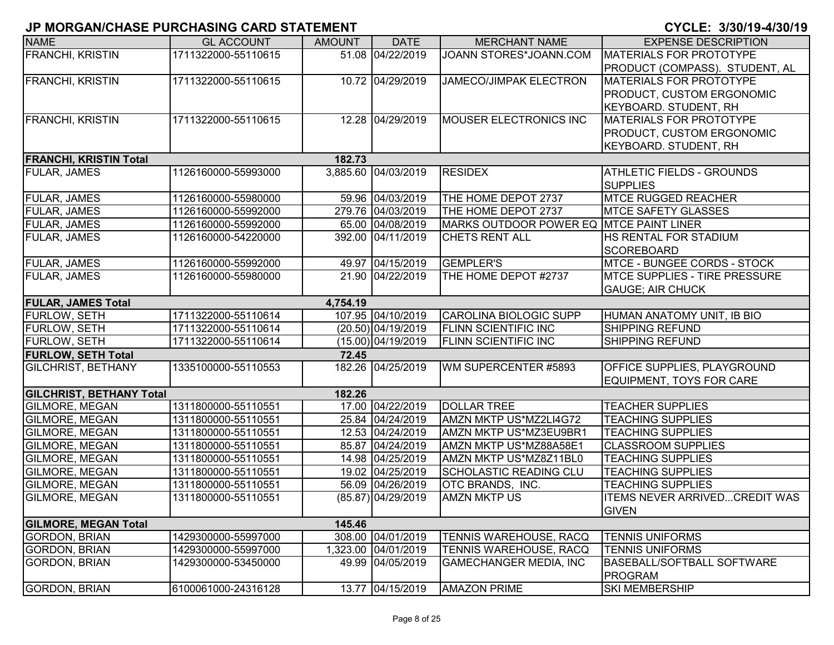| <b>NAME</b>                     | <b>GL ACCOUNT</b>   | <b>AMOUNT</b> | <b>DATE</b>          | <b>MERCHANT NAME</b>                    | <b>EXPENSE DESCRIPTION</b>           |
|---------------------------------|---------------------|---------------|----------------------|-----------------------------------------|--------------------------------------|
| <b>FRANCHI, KRISTIN</b>         | 1711322000-55110615 |               | 51.08 04/22/2019     | JOANN STORES*JOANN.COM                  | MATERIALS FOR PROTOTYPE              |
|                                 |                     |               |                      |                                         | PRODUCT (COMPASS). STUDENT, AL       |
| <b>FRANCHI, KRISTIN</b>         | 1711322000-55110615 |               | 10.72 04/29/2019     | <b>JAMECO/JIMPAK ELECTRON</b>           | <b>MATERIALS FOR PROTOTYPE</b>       |
|                                 |                     |               |                      |                                         | PRODUCT, CUSTOM ERGONOMIC            |
|                                 |                     |               |                      |                                         | <b>KEYBOARD. STUDENT, RH</b>         |
| <b>FRANCHI, KRISTIN</b>         | 1711322000-55110615 |               | 12.28 04/29/2019     | <b>MOUSER ELECTRONICS INC</b>           | <b>MATERIALS FOR PROTOTYPE</b>       |
|                                 |                     |               |                      |                                         | PRODUCT, CUSTOM ERGONOMIC            |
|                                 |                     |               |                      |                                         | <b>KEYBOARD. STUDENT, RH</b>         |
| <b>FRANCHI, KRISTIN Total</b>   |                     | 182.73        |                      |                                         |                                      |
| <b>FULAR, JAMES</b>             | 1126160000-55993000 |               | 3,885.60 04/03/2019  | <b>RESIDEX</b>                          | <b>ATHLETIC FIELDS - GROUNDS</b>     |
|                                 |                     |               |                      |                                         | <b>SUPPLIES</b>                      |
| <b>FULAR, JAMES</b>             | 1126160000-55980000 |               | 59.96 04/03/2019     | THE HOME DEPOT 2737                     | <b>MTCE RUGGED REACHER</b>           |
| <b>FULAR, JAMES</b>             | 1126160000-55992000 |               | 279.76 04/03/2019    | THE HOME DEPOT 2737                     | <b>MTCE SAFETY GLASSES</b>           |
| <b>FULAR, JAMES</b>             | 1126160000-55992000 |               | 65.00 04/08/2019     | MARKS OUTDOOR POWER EQ MTCE PAINT LINER |                                      |
| <b>FULAR, JAMES</b>             | 1126160000-54220000 |               | 392.00 04/11/2019    | <b>CHETS RENT ALL</b>                   | HS RENTAL FOR STADIUM                |
|                                 |                     |               |                      |                                         | <b>SCOREBOARD</b>                    |
| <b>FULAR, JAMES</b>             | 1126160000-55992000 |               | 49.97 04/15/2019     | <b>GEMPLER'S</b>                        | <b>MTCE - BUNGEE CORDS - STOCK</b>   |
| <b>FULAR, JAMES</b>             | 1126160000-55980000 |               | 21.90 04/22/2019     | THE HOME DEPOT #2737                    | <b>MTCE SUPPLIES - TIRE PRESSURE</b> |
|                                 |                     |               |                      |                                         | <b>GAUGE; AIR CHUCK</b>              |
| <b>FULAR, JAMES Total</b>       |                     | 4,754.19      |                      |                                         |                                      |
| <b>FURLOW, SETH</b>             | 1711322000-55110614 |               | 107.95 04/10/2019    | CAROLINA BIOLOGIC SUPP                  | HUMAN ANATOMY UNIT, IB BIO           |
| <b>FURLOW, SETH</b>             | 1711322000-55110614 |               | (20.50) 04/19/2019   | <b>FLINN SCIENTIFIC INC</b>             | <b>SHIPPING REFUND</b>               |
| <b>FURLOW, SETH</b>             | 1711322000-55110614 |               | $(15.00)$ 04/19/2019 | <b>FLINN SCIENTIFIC INC</b>             | <b>SHIPPING REFUND</b>               |
| <b>FURLOW, SETH Total</b>       |                     | 72.45         |                      |                                         |                                      |
| <b>GILCHRIST, BETHANY</b>       | 1335100000-55110553 |               | 182.26 04/25/2019    | WM SUPERCENTER #5893                    | OFFICE SUPPLIES, PLAYGROUND          |
|                                 |                     |               |                      |                                         | EQUIPMENT, TOYS FOR CARE             |
| <b>GILCHRIST, BETHANY Total</b> |                     | 182.26        |                      |                                         |                                      |
| <b>GILMORE, MEGAN</b>           | 1311800000-55110551 |               | 17.00 04/22/2019     | <b>DOLLAR TREE</b>                      | <b>TEACHER SUPPLIES</b>              |
| <b>GILMORE, MEGAN</b>           | 1311800000-55110551 |               | 25.84 04/24/2019     | AMZN MKTP US*MZ2LI4G72                  | <b>TEACHING SUPPLIES</b>             |
| <b>GILMORE, MEGAN</b>           | 1311800000-55110551 |               | 12.53 04/24/2019     | AMZN MKTP US*MZ3EU9BR1                  | <b>TEACHING SUPPLIES</b>             |
| <b>GILMORE, MEGAN</b>           | 1311800000-55110551 |               | 85.87 04/24/2019     | AMZN MKTP US*MZ88A58E1                  | <b>CLASSROOM SUPPLIES</b>            |
| <b>GILMORE, MEGAN</b>           | 1311800000-55110551 |               | 14.98 04/25/2019     | AMZN MKTP US*MZ8Z11BL0                  | <b>TEACHING SUPPLIES</b>             |
| <b>GILMORE, MEGAN</b>           | 1311800000-55110551 |               | 19.02 04/25/2019     | <b>SCHOLASTIC READING CLU</b>           | <b>TEACHING SUPPLIES</b>             |
| <b>GILMORE, MEGAN</b>           | 1311800000-55110551 |               | 56.09 04/26/2019     | OTC BRANDS, INC.                        | <b>TEACHING SUPPLIES</b>             |
| <b>GILMORE, MEGAN</b>           | 1311800000-55110551 |               | (85.87) 04/29/2019   | <b>AMZN MKTP US</b>                     | <b>ITEMS NEVER ARRIVEDCREDIT WAS</b> |
|                                 |                     |               |                      |                                         | <b>GIVEN</b>                         |
| <b>GILMORE, MEGAN Total</b>     |                     | 145.46        |                      |                                         |                                      |
| <b>GORDON, BRIAN</b>            | 1429300000-55997000 |               | 308.00 04/01/2019    | TENNIS WAREHOUSE, RACQ                  | <b>TENNIS UNIFORMS</b>               |
| <b>GORDON, BRIAN</b>            | 1429300000-55997000 |               | 1,323.00 04/01/2019  | TENNIS WAREHOUSE, RACQ                  | <b>TENNIS UNIFORMS</b>               |
| <b>GORDON, BRIAN</b>            | 1429300000-53450000 |               | 49.99 04/05/2019     | <b>GAMECHANGER MEDIA, INC</b>           | <b>BASEBALL/SOFTBALL SOFTWARE</b>    |
|                                 |                     |               |                      |                                         | <b>PROGRAM</b>                       |
| <b>GORDON, BRIAN</b>            | 6100061000-24316128 |               | 13.77 04/15/2019     | <b>AMAZON PRIME</b>                     | <b>SKI MEMBERSHIP</b>                |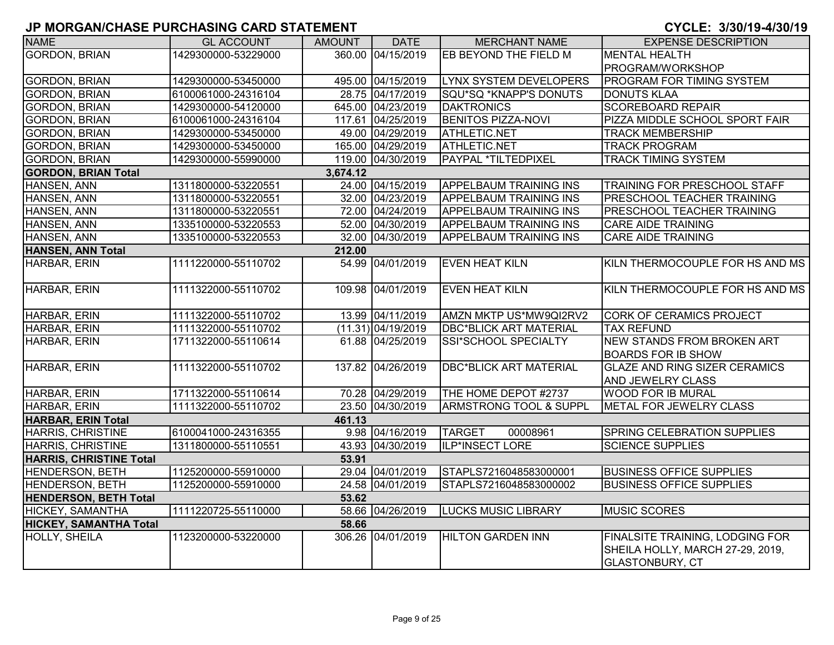| <b>NAME</b>                    | <b>GL ACCOUNT</b>   | <b>AMOUNT</b> | <b>DATE</b>        | <b>MERCHANT NAME</b>              | <b>EXPENSE DESCRIPTION</b>                                                                    |
|--------------------------------|---------------------|---------------|--------------------|-----------------------------------|-----------------------------------------------------------------------------------------------|
| <b>GORDON, BRIAN</b>           | 1429300000-53229000 |               | 360.00 04/15/2019  | EB BEYOND THE FIELD M             | <b>MENTAL HEALTH</b>                                                                          |
|                                |                     |               |                    |                                   | PROGRAM/WORKSHOP                                                                              |
| <b>GORDON, BRIAN</b>           | 1429300000-53450000 |               | 495.00 04/15/2019  | <b>LYNX SYSTEM DEVELOPERS</b>     | <b>PROGRAM FOR TIMING SYSTEM</b>                                                              |
| <b>GORDON, BRIAN</b>           | 6100061000-24316104 |               | 28.75 04/17/2019   | SQU*SQ *KNAPP'S DONUTS            | <b>DONUTS KLAA</b>                                                                            |
| <b>GORDON, BRIAN</b>           | 1429300000-54120000 |               | 645.00 04/23/2019  | <b>DAKTRONICS</b>                 | <b>SCOREBOARD REPAIR</b>                                                                      |
| <b>GORDON, BRIAN</b>           | 6100061000-24316104 |               | 117.61 04/25/2019  | <b>BENITOS PIZZA-NOVI</b>         | PIZZA MIDDLE SCHOOL SPORT FAIR                                                                |
| <b>GORDON, BRIAN</b>           | 1429300000-53450000 |               | 49.00 04/29/2019   | <b>ATHLETIC.NET</b>               | <b>TRACK MEMBERSHIP</b>                                                                       |
| <b>GORDON, BRIAN</b>           | 1429300000-53450000 |               | 165.00 04/29/2019  | ATHLETIC.NET                      | <b>TRACK PROGRAM</b>                                                                          |
| <b>GORDON, BRIAN</b>           | 1429300000-55990000 |               | 119.00 04/30/2019  | PAYPAL *TILTEDPIXEL               | <b>TRACK TIMING SYSTEM</b>                                                                    |
| <b>GORDON, BRIAN Total</b>     |                     | 3,674.12      |                    |                                   |                                                                                               |
| HANSEN, ANN                    | 1311800000-53220551 |               | 24.00 04/15/2019   | <b>APPELBAUM TRAINING INS</b>     | TRAINING FOR PRESCHOOL STAFF                                                                  |
| HANSEN, ANN                    | 1311800000-53220551 |               | 32.00 04/23/2019   | <b>APPELBAUM TRAINING INS</b>     | PRESCHOOL TEACHER TRAINING                                                                    |
| HANSEN, ANN                    | 1311800000-53220551 |               | 72.00 04/24/2019   | <b>APPELBAUM TRAINING INS</b>     | <b>PRESCHOOL TEACHER TRAINING</b>                                                             |
| HANSEN, ANN                    | 1335100000-53220553 |               | 52.00 04/30/2019   | <b>APPELBAUM TRAINING INS</b>     | <b>CARE AIDE TRAINING</b>                                                                     |
| HANSEN, ANN                    | 1335100000-53220553 |               | 32.00 04/30/2019   | <b>APPELBAUM TRAINING INS</b>     | <b>CARE AIDE TRAINING</b>                                                                     |
| <b>HANSEN, ANN Total</b>       |                     | 212.00        |                    |                                   |                                                                                               |
| <b>HARBAR, ERIN</b>            | 1111220000-55110702 |               | 54.99 04/01/2019   | <b>EVEN HEAT KILN</b>             | KILN THERMOCOUPLE FOR HS AND MS                                                               |
| <b>HARBAR, ERIN</b>            | 1111322000-55110702 |               | 109.98 04/01/2019  | <b>EVEN HEAT KILN</b>             | KILN THERMOCOUPLE FOR HS AND MS                                                               |
| <b>HARBAR, ERIN</b>            | 1111322000-55110702 |               | 13.99 04/11/2019   | AMZN MKTP US*MW9QI2RV2            | <b>CORK OF CERAMICS PROJECT</b>                                                               |
| HARBAR, ERIN                   | 1111322000-55110702 |               | (11.31) 04/19/2019 | <b>DBC*BLICK ART MATERIAL</b>     | <b>TAX REFUND</b>                                                                             |
| HARBAR, ERIN                   | 1711322000-55110614 |               | 61.88 04/25/2019   | SSI*SCHOOL SPECIALTY              | <b>NEW STANDS FROM BROKEN ART</b><br><b>BOARDS FOR IB SHOW</b>                                |
| <b>HARBAR, ERIN</b>            | 1111322000-55110702 |               | 137.82 04/26/2019  | <b>DBC*BLICK ART MATERIAL</b>     | <b>GLAZE AND RING SIZER CERAMICS</b><br><b>AND JEWELRY CLASS</b>                              |
| HARBAR, ERIN                   | 1711322000-55110614 |               | 70.28 04/29/2019   | THE HOME DEPOT #2737              | <b>WOOD FOR IB MURAL</b>                                                                      |
| HARBAR, ERIN                   | 1111322000-55110702 |               | 23.50 04/30/2019   | <b>ARMSTRONG TOOL &amp; SUPPL</b> | METAL FOR JEWELRY CLASS                                                                       |
| <b>HARBAR, ERIN Total</b>      |                     | 461.13        |                    |                                   |                                                                                               |
| <b>HARRIS, CHRISTINE</b>       | 6100041000-24316355 |               | 9.98 04/16/2019    | <b>TARGET</b><br>00008961         | SPRING CELEBRATION SUPPLIES                                                                   |
| <b>HARRIS, CHRISTINE</b>       | 1311800000-55110551 |               | 43.93 04/30/2019   | ILP*INSECT LORE                   | <b>SCIENCE SUPPLIES</b>                                                                       |
| <b>HARRIS, CHRISTINE Total</b> |                     | 53.91         |                    |                                   |                                                                                               |
| HENDERSON, BETH                | 1125200000-55910000 |               | 29.04 04/01/2019   | STAPLS7216048583000001            | <b>BUSINESS OFFICE SUPPLIES</b>                                                               |
| <b>HENDERSON, BETH</b>         | 1125200000-55910000 |               | 24.58 04/01/2019   | STAPLS7216048583000002            | <b>BUSINESS OFFICE SUPPLIES</b>                                                               |
| <b>HENDERSON, BETH Total</b>   |                     | 53.62         |                    |                                   |                                                                                               |
| <b>HICKEY, SAMANTHA</b>        | 1111220725-55110000 |               | 58.66 04/26/2019   | <b>LUCKS MUSIC LIBRARY</b>        | <b>MUSIC SCORES</b>                                                                           |
| <b>HICKEY, SAMANTHA Total</b>  |                     | 58.66         |                    |                                   |                                                                                               |
| HOLLY, SHEILA                  | 1123200000-53220000 |               | 306.26 04/01/2019  | <b>HILTON GARDEN INN</b>          | FINALSITE TRAINING, LODGING FOR<br>SHEILA HOLLY, MARCH 27-29, 2019,<br><b>GLASTONBURY, CT</b> |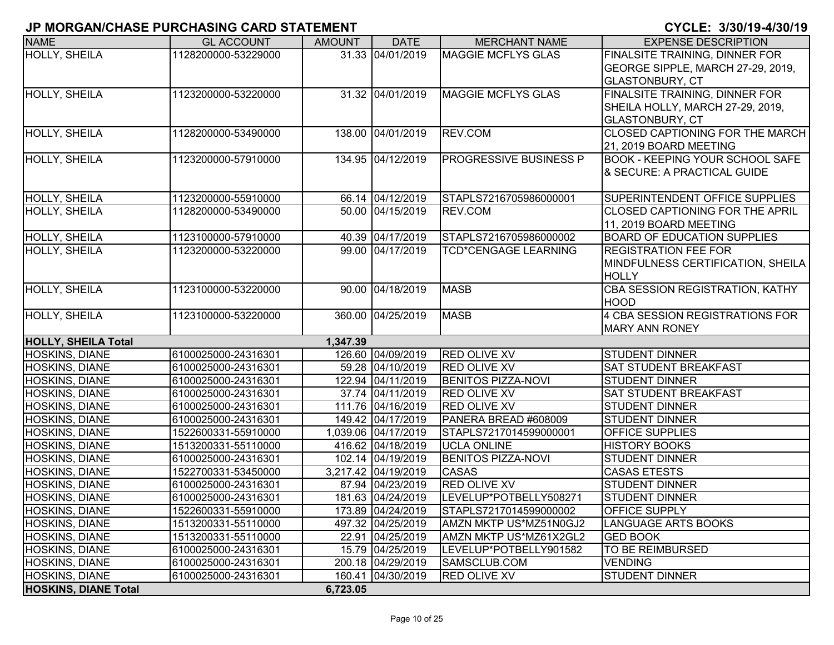| <b>NAME</b>                 | <b>GL ACCOUNT</b>   | <b>AMOUNT</b> | <b>DATE</b>         | <b>MERCHANT NAME</b>        | <b>EXPENSE DESCRIPTION</b>             |
|-----------------------------|---------------------|---------------|---------------------|-----------------------------|----------------------------------------|
| <b>HOLLY, SHEILA</b>        | 1128200000-53229000 |               | 31.33 04/01/2019    | <b>MAGGIE MCFLYS GLAS</b>   | FINALSITE TRAINING, DINNER FOR         |
|                             |                     |               |                     |                             | GEORGE SIPPLE, MARCH 27-29, 2019,      |
|                             |                     |               |                     |                             | <b>GLASTONBURY, CT</b>                 |
| <b>HOLLY, SHEILA</b>        | 1123200000-53220000 |               | 31.32 04/01/2019    | <b>MAGGIE MCFLYS GLAS</b>   | FINALSITE TRAINING, DINNER FOR         |
|                             |                     |               |                     |                             | SHEILA HOLLY, MARCH 27-29, 2019,       |
|                             |                     |               |                     |                             | <b>GLASTONBURY, CT</b>                 |
| <b>HOLLY, SHEILA</b>        | 1128200000-53490000 |               | 138.00 04/01/2019   | REV.COM                     | CLOSED CAPTIONING FOR THE MARCH        |
|                             |                     |               |                     |                             | 21, 2019 BOARD MEETING                 |
| HOLLY, SHEILA               | 1123200000-57910000 |               | 134.95 04/12/2019   | PROGRESSIVE BUSINESS P      | <b>BOOK - KEEPING YOUR SCHOOL SAFE</b> |
|                             |                     |               |                     |                             | & SECURE: A PRACTICAL GUIDE            |
|                             |                     |               |                     |                             |                                        |
| <b>HOLLY, SHEILA</b>        | 1123200000-55910000 |               | 66.14 04/12/2019    | STAPLS7216705986000001      | <b>SUPERINTENDENT OFFICE SUPPLIES</b>  |
| <b>HOLLY, SHEILA</b>        | 1128200000-53490000 |               | 50.00 04/15/2019    | REV.COM                     | <b>CLOSED CAPTIONING FOR THE APRIL</b> |
|                             |                     |               |                     |                             | 11, 2019 BOARD MEETING                 |
| HOLLY, SHEILA               | 1123100000-57910000 |               | 40.39 04/17/2019    | STAPLS7216705986000002      | <b>BOARD OF EDUCATION SUPPLIES</b>     |
| <b>HOLLY, SHEILA</b>        | 1123200000-53220000 |               | 99.00 04/17/2019    | <b>TCD*CENGAGE LEARNING</b> | <b>REGISTRATION FEE FOR</b>            |
|                             |                     |               |                     |                             | MINDFULNESS CERTIFICATION, SHEILA      |
|                             |                     |               |                     |                             | <b>HOLLY</b>                           |
| <b>HOLLY, SHEILA</b>        | 1123100000-53220000 |               | 90.00 04/18/2019    | <b>MASB</b>                 | CBA SESSION REGISTRATION, KATHY        |
|                             |                     |               |                     |                             | <b>HOOD</b>                            |
| HOLLY, SHEILA               | 1123100000-53220000 |               | 360.00 04/25/2019   | <b>MASB</b>                 | 4 CBA SESSION REGISTRATIONS FOR        |
|                             |                     |               |                     |                             | <b>MARY ANN RONEY</b>                  |
| <b>HOLLY, SHEILA Total</b>  |                     | 1,347.39      |                     |                             |                                        |
| <b>HOSKINS, DIANE</b>       | 6100025000-24316301 |               | 126.60 04/09/2019   | <b>RED OLIVE XV</b>         | <b>STUDENT DINNER</b>                  |
| <b>HOSKINS, DIANE</b>       | 6100025000-24316301 |               | 59.28 04/10/2019    | <b>RED OLIVE XV</b>         | SAT STUDENT BREAKFAST                  |
| <b>HOSKINS, DIANE</b>       | 6100025000-24316301 |               | 122.94 04/11/2019   | <b>BENITOS PIZZA-NOVI</b>   | <b>STUDENT DINNER</b>                  |
| <b>HOSKINS, DIANE</b>       | 6100025000-24316301 |               | 37.74 04/11/2019    | RED OLIVE XV                | SAT STUDENT BREAKFAST                  |
| <b>HOSKINS, DIANE</b>       | 6100025000-24316301 |               | 111.76 04/16/2019   | <b>RED OLIVE XV</b>         | <b>STUDENT DINNER</b>                  |
| HOSKINS, DIANE              | 6100025000-24316301 |               | 149.42 04/17/2019   | PANERA BREAD #608009        | <b>STUDENT DINNER</b>                  |
| <b>HOSKINS, DIANE</b>       | 1522600331-55910000 |               | 1,039.06 04/17/2019 | STAPLS7217014599000001      | <b>OFFICE SUPPLIES</b>                 |
| HOSKINS, DIANE              | 1513200331-55110000 |               | 416.62 04/18/2019   | <b>UCLA ONLINE</b>          | <b>HISTORY BOOKS</b>                   |
| <b>HOSKINS, DIANE</b>       | 6100025000-24316301 |               | 102.14 04/19/2019   | <b>BENITOS PIZZA-NOVI</b>   | <b>STUDENT DINNER</b>                  |
| <b>HOSKINS, DIANE</b>       | 1522700331-53450000 |               | 3,217.42 04/19/2019 | CASAS                       | <b>CASAS ETESTS</b>                    |
| <b>HOSKINS, DIANE</b>       | 6100025000-24316301 |               | 87.94 04/23/2019    | RED OLIVE XV                | <b>STUDENT DINNER</b>                  |
| <b>HOSKINS, DIANE</b>       | 6100025000-24316301 |               | 181.63 04/24/2019   | LEVELUP*POTBELLY508271      | <b>STUDENT DINNER</b>                  |
| <b>HOSKINS, DIANE</b>       | 1522600331-55910000 |               | 173.89 04/24/2019   | STAPLS7217014599000002      | <b>OFFICE SUPPLY</b>                   |
| HOSKINS, DIANE              | 1513200331-55110000 |               | 497.32 04/25/2019   | AMZN MKTP US*MZ51N0GJ2      | LANGUAGE ARTS BOOKS                    |
| <b>HOSKINS, DIANE</b>       | 1513200331-55110000 |               | 22.91 04/25/2019    | AMZN MKTP US*MZ61X2GL2      | <b>GED BOOK</b>                        |
| <b>HOSKINS, DIANE</b>       | 6100025000-24316301 |               | 15.79 04/25/2019    | LEVELUP*POTBELLY901582      | TO BE REIMBURSED                       |
| <b>HOSKINS, DIANE</b>       | 6100025000-24316301 |               | 200.18 04/29/2019   | SAMSCLUB.COM                | <b>VENDING</b>                         |
| HOSKINS, DIANE              | 6100025000-24316301 |               | 160.41 04/30/2019   | <b>RED OLIVE XV</b>         | <b>STUDENT DINNER</b>                  |
| <b>HOSKINS, DIANE Total</b> |                     | 6,723.05      |                     |                             |                                        |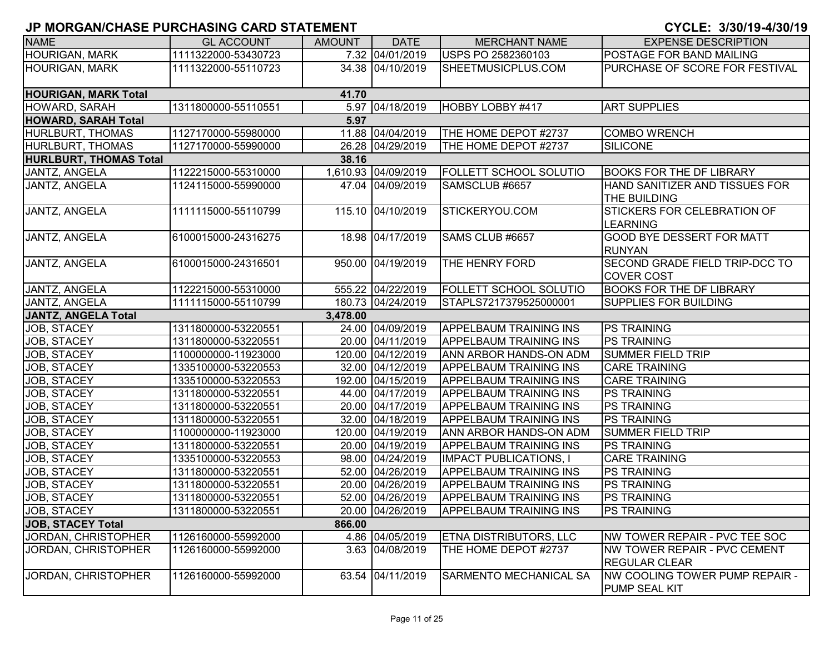| <u>UNUNUANUUHAULI UNUIMUINU UAND UTATEMENT</u> |                     |               |                     |                               | <u>UTULL. 9790719-4790719</u>                                  |
|------------------------------------------------|---------------------|---------------|---------------------|-------------------------------|----------------------------------------------------------------|
| <b>NAME</b>                                    | <b>GL ACCOUNT</b>   | <b>AMOUNT</b> | <b>DATE</b>         | <b>MERCHANT NAME</b>          | <b>EXPENSE DESCRIPTION</b>                                     |
| <b>HOURIGAN, MARK</b>                          | 1111322000-53430723 |               | 7.32 04/01/2019     | USPS PO 2582360103            | POSTAGE FOR BAND MAILING                                       |
| <b>HOURIGAN, MARK</b>                          | 1111322000-55110723 |               | 34.38 04/10/2019    | SHEETMUSICPLUS.COM            | PURCHASE OF SCORE FOR FESTIVAL                                 |
| <b>HOURIGAN, MARK Total</b>                    |                     | 41.70         |                     |                               |                                                                |
| HOWARD, SARAH                                  | 1311800000-55110551 |               | 5.97 04/18/2019     | HOBBY LOBBY #417              | <b>ART SUPPLIES</b>                                            |
| <b>HOWARD, SARAH Total</b>                     |                     | 5.97          |                     |                               |                                                                |
| HURLBURT, THOMAS                               | 1127170000-55980000 |               | 11.88 04/04/2019    | THE HOME DEPOT #2737          | <b>COMBO WRENCH</b>                                            |
| HURLBURT, THOMAS                               | 1127170000-55990000 |               | 26.28 04/29/2019    | THE HOME DEPOT #2737          | <b>SILICONE</b>                                                |
| <b>HURLBURT, THOMAS Total</b>                  |                     | 38.16         |                     |                               |                                                                |
| JANTZ, ANGELA                                  | 1122215000-55310000 |               | 1,610.93 04/09/2019 | FOLLETT SCHOOL SOLUTIO        | <b>BOOKS FOR THE DF LIBRARY</b>                                |
| JANTZ, ANGELA                                  | 1124115000-55990000 |               | 47.04 04/09/2019    | SAMSCLUB #6657                | HAND SANITIZER AND TISSUES FOR<br>THE BUILDING                 |
| JANTZ, ANGELA                                  | 1111115000-55110799 |               | 115.10 04/10/2019   | STICKERYOU.COM                | <b>STICKERS FOR CELEBRATION OF</b><br><b>LEARNING</b>          |
| JANTZ, ANGELA                                  | 6100015000-24316275 |               | 18.98 04/17/2019    | SAMS CLUB #6657               | <b>GOOD BYE DESSERT FOR MATT</b><br><b>RUNYAN</b>              |
| JANTZ, ANGELA                                  | 6100015000-24316501 |               | 950.00 04/19/2019   | THE HENRY FORD                | SECOND GRADE FIELD TRIP-DCC TO<br><b>COVER COST</b>            |
| JANTZ, ANGELA                                  | 1122215000-55310000 |               | 555.22 04/22/2019   | <b>FOLLETT SCHOOL SOLUTIO</b> | <b>BOOKS FOR THE DF LIBRARY</b>                                |
| JANTZ, ANGELA                                  | 1111115000-55110799 |               | 180.73 04/24/2019   | STAPLS7217379525000001        | SUPPLIES FOR BUILDING                                          |
| <b>JANTZ, ANGELA Total</b>                     |                     | 3,478.00      |                     |                               |                                                                |
| JOB, STACEY                                    | 1311800000-53220551 |               | 24.00 04/09/2019    | <b>APPELBAUM TRAINING INS</b> | <b>PS TRAINING</b>                                             |
| JOB, STACEY                                    | 1311800000-53220551 |               | 20.00 04/11/2019    | <b>APPELBAUM TRAINING INS</b> | <b>PS TRAINING</b>                                             |
| JOB, STACEY                                    | 1100000000-11923000 |               | 120.00 04/12/2019   | ANN ARBOR HANDS-ON ADM        | <b>SUMMER FIELD TRIP</b>                                       |
| JOB, STACEY                                    | 1335100000-53220553 |               | 32.00 04/12/2019    | <b>APPELBAUM TRAINING INS</b> | <b>CARE TRAINING</b>                                           |
| JOB, STACEY                                    | 1335100000-53220553 |               | 192.00 04/15/2019   | <b>APPELBAUM TRAINING INS</b> | <b>CARE TRAINING</b>                                           |
| JOB, STACEY                                    | 1311800000-53220551 |               | 44.00 04/17/2019    | <b>APPELBAUM TRAINING INS</b> | <b>PS TRAINING</b>                                             |
| JOB, STACEY                                    | 1311800000-53220551 |               | 20.00 04/17/2019    | <b>APPELBAUM TRAINING INS</b> | <b>PS TRAINING</b>                                             |
| JOB, STACEY                                    | 1311800000-53220551 |               | 32.00 04/18/2019    | <b>APPELBAUM TRAINING INS</b> | <b>PS TRAINING</b>                                             |
| JOB, STACEY                                    | 1100000000-11923000 |               | 120.00 04/19/2019   | ANN ARBOR HANDS-ON ADM        | <b>SUMMER FIELD TRIP</b>                                       |
| JOB, STACEY                                    | 1311800000-53220551 |               | 20.00 04/19/2019    | <b>APPELBAUM TRAINING INS</b> | <b>PS TRAINING</b>                                             |
| JOB, STACEY                                    | 1335100000-53220553 |               | 98.00 04/24/2019    | <b>IMPACT PUBLICATIONS, I</b> | <b>CARE TRAINING</b>                                           |
| JOB, STACEY                                    | 1311800000-53220551 |               | 52.00 04/26/2019    | <b>APPELBAUM TRAINING INS</b> | <b>PS TRAINING</b>                                             |
| JOB, STACEY                                    | 1311800000-53220551 |               | 20.00 04/26/2019    | <b>APPELBAUM TRAINING INS</b> | <b>PS TRAINING</b>                                             |
| JOB, STACEY                                    | 1311800000-53220551 |               | 52.00 04/26/2019    | <b>APPELBAUM TRAINING INS</b> | <b>PS TRAINING</b>                                             |
| JOB, STACEY                                    | 1311800000-53220551 |               | 20.00 04/26/2019    | <b>APPELBAUM TRAINING INS</b> | <b>PS TRAINING</b>                                             |
| <b>JOB, STACEY Total</b>                       |                     | 866.00        |                     |                               |                                                                |
| JORDAN, CHRISTOPHER                            | 1126160000-55992000 |               | 4.86 04/05/2019     | ETNA DISTRIBUTORS, LLC        | <b>NW TOWER REPAIR - PVC TEE SOC</b>                           |
| JORDAN, CHRISTOPHER                            | 1126160000-55992000 |               | 3.63 04/08/2019     | THE HOME DEPOT #2737          | INW TOWER REPAIR - PVC CEMENT<br><b>REGULAR CLEAR</b>          |
| JORDAN, CHRISTOPHER                            | 1126160000-55992000 | 63.54         | 04/11/2019          | <b>SARMENTO MECHANICAL SA</b> | <b>INW COOLING TOWER PUMP REPAIR -</b><br><b>PUMP SEAL KIT</b> |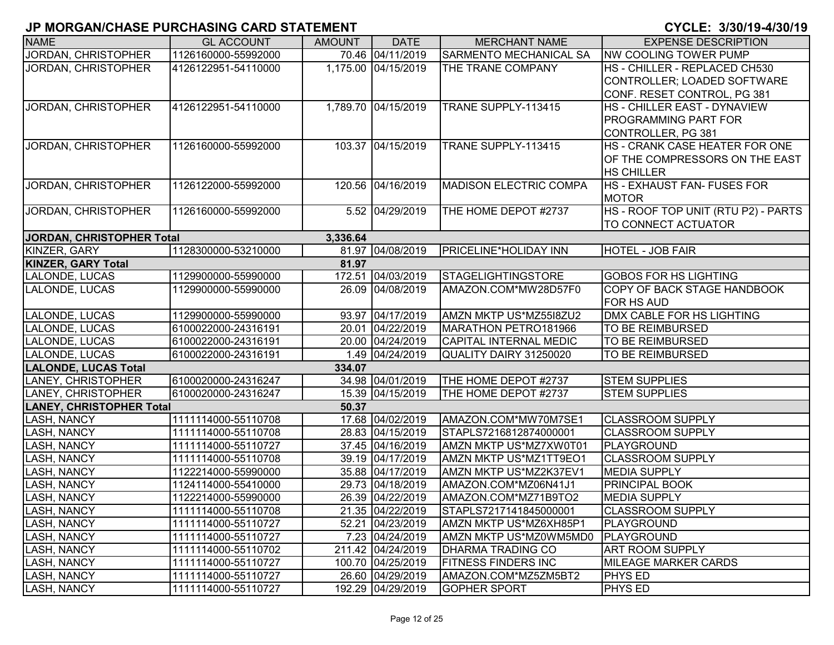|                                 | ווום האום שנושא טוושאוויט וחשמוני שאוויט ואוסוויט וט |               |                     |                               | <u>UIULL. VIUUI IUTTIUUI IU</u>       |
|---------------------------------|------------------------------------------------------|---------------|---------------------|-------------------------------|---------------------------------------|
| <b>NAME</b>                     | <b>GL ACCOUNT</b>                                    | <b>AMOUNT</b> | <b>DATE</b>         | <b>MERCHANT NAME</b>          | <b>EXPENSE DESCRIPTION</b>            |
| JORDAN, CHRISTOPHER             | 1126160000-55992000                                  |               | 70.46 04/11/2019    | <b>SARMENTO MECHANICAL SA</b> | <b>NW COOLING TOWER PUMP</b>          |
| JORDAN, CHRISTOPHER             | 4126122951-54110000                                  |               | 1,175.00 04/15/2019 | THE TRANE COMPANY             | HS - CHILLER - REPLACED CH530         |
|                                 |                                                      |               |                     |                               | CONTROLLER; LOADED SOFTWARE           |
|                                 |                                                      |               |                     |                               | CONF. RESET CONTROL, PG 381           |
| JORDAN, CHRISTOPHER             | 4126122951-54110000                                  |               | 1,789.70 04/15/2019 | TRANE SUPPLY-113415           | HS - CHILLER EAST - DYNAVIEW          |
|                                 |                                                      |               |                     |                               | <b>PROGRAMMING PART FOR</b>           |
|                                 |                                                      |               |                     |                               | CONTROLLER, PG 381                    |
| JORDAN, CHRISTOPHER             | 1126160000-55992000                                  |               | 103.37 04/15/2019   | TRANE SUPPLY-113415           | <b>HS - CRANK CASE HEATER FOR ONE</b> |
|                                 |                                                      |               |                     |                               | OF THE COMPRESSORS ON THE EAST        |
|                                 |                                                      |               |                     |                               | <b>HS CHILLER</b>                     |
| JORDAN, CHRISTOPHER             | 1126122000-55992000                                  |               | 120.56 04/16/2019   | <b>MADISON ELECTRIC COMPA</b> | <b>HS - EXHAUST FAN- FUSES FOR</b>    |
|                                 |                                                      |               |                     |                               | <b>MOTOR</b>                          |
| JORDAN, CHRISTOPHER             | 1126160000-55992000                                  |               | 5.52 04/29/2019     | THE HOME DEPOT #2737          | HS-ROOF TOP UNIT (RTU P2) - PARTS     |
|                                 |                                                      |               |                     |                               | TO CONNECT ACTUATOR                   |
| JORDAN, CHRISTOPHER Total       |                                                      | 3,336.64      |                     |                               |                                       |
| KINZER, GARY                    | 1128300000-53210000                                  |               | 81.97 04/08/2019    | PRICELINE*HOLIDAY INN         | <b>HOTEL - JOB FAIR</b>               |
| <b>KINZER, GARY Total</b>       |                                                      | 81.97         |                     |                               |                                       |
| LALONDE, LUCAS                  | 1129900000-55990000                                  |               | 172.51 04/03/2019   | STAGELIGHTINGSTORE            | <b>GOBOS FOR HS LIGHTING</b>          |
| LALONDE, LUCAS                  | 1129900000-55990000                                  |               | 26.09 04/08/2019    | AMAZON.COM*MW28D57F0          | COPY OF BACK STAGE HANDBOOK           |
|                                 |                                                      |               |                     |                               | FOR HS AUD                            |
| LALONDE, LUCAS                  | 1129900000-55990000                                  |               | 93.97 04/17/2019    | AMZN MKTP US*MZ55I8ZU2        | DMX CABLE FOR HS LIGHTING             |
| LALONDE, LUCAS                  | 6100022000-24316191                                  |               | 20.01 04/22/2019    | MARATHON PETRO181966          | TO BE REIMBURSED                      |
| LALONDE, LUCAS                  | 6100022000-24316191                                  |               | 20.00 04/24/2019    | <b>CAPITAL INTERNAL MEDIC</b> | <b>TO BE REIMBURSED</b>               |
| LALONDE, LUCAS                  | 6100022000-24316191                                  |               | 1.49 04/24/2019     | QUALITY DAIRY 31250020        | TO BE REIMBURSED                      |
| <b>LALONDE, LUCAS Total</b>     |                                                      | 334.07        |                     |                               |                                       |
| LANEY, CHRISTOPHER              | 6100020000-24316247                                  |               | 34.98 04/01/2019    | THE HOME DEPOT #2737          | <b>STEM SUPPLIES</b>                  |
| LANEY, CHRISTOPHER              | 6100020000-24316247                                  |               | 15.39 04/15/2019    | THE HOME DEPOT #2737          | <b>STEM SUPPLIES</b>                  |
| <b>LANEY, CHRISTOPHER Total</b> |                                                      | 50.37         |                     |                               |                                       |
| <b>LASH, NANCY</b>              | 1111114000-55110708                                  |               | 17.68 04/02/2019    | AMAZON.COM*MW70M7SE1          | <b>CLASSROOM SUPPLY</b>               |
| <b>LASH, NANCY</b>              | 1111114000-55110708                                  |               | 28.83 04/15/2019    | STAPLS7216812874000001        | <b>CLASSROOM SUPPLY</b>               |
| <b>LASH, NANCY</b>              | 1111114000-55110727                                  |               | 37.45 04/16/2019    | AMZN MKTP US*MZ7XW0T01        | PLAYGROUND                            |
| <b>LASH, NANCY</b>              | 1111114000-55110708                                  |               | 39.19 04/17/2019    | AMZN MKTP US*MZ1TT9EO1        | <b>CLASSROOM SUPPLY</b>               |
| <b>LASH, NANCY</b>              | 1122214000-55990000                                  |               | 35.88 04/17/2019    | AMZN MKTP US*MZ2K37EV1        | <b>MEDIA SUPPLY</b>                   |
| <b>LASH, NANCY</b>              | 1124114000-55410000                                  |               | 29.73 04/18/2019    | AMAZON.COM*MZ06N41J1          | <b>PRINCIPAL BOOK</b>                 |
| <b>LASH, NANCY</b>              | 1122214000-55990000                                  |               | 26.39 04/22/2019    | AMAZON.COM*MZ71B9TO2          | <b>MEDIA SUPPLY</b>                   |
| <b>LASH, NANCY</b>              | 1111114000-55110708                                  |               | 21.35 04/22/2019    | STAPLS7217141845000001        | <b>CLASSROOM SUPPLY</b>               |
| <b>LASH, NANCY</b>              | 1111114000-55110727                                  |               | 52.21 04/23/2019    | AMZN MKTP US*MZ6XH85P1        | PLAYGROUND                            |
| <b>LASH, NANCY</b>              | 1111114000-55110727                                  |               | 7.23 04/24/2019     | AMZN MKTP US*MZ0WM5MD0        | PLAYGROUND                            |
| <b>LASH, NANCY</b>              | 1111114000-55110702                                  |               | 211.42 04/24/2019   | <b>DHARMA TRADING CO</b>      | <b>ART ROOM SUPPLY</b>                |
| LASH, NANCY                     | 1111114000-55110727                                  |               | 100.70 04/25/2019   | <b>FITNESS FINDERS INC</b>    | <b>MILEAGE MARKER CARDS</b>           |
| <b>LASH, NANCY</b>              | 1111114000-55110727                                  |               | 26.60 04/29/2019    | AMAZON.COM*MZ5ZM5BT2          | <b>PHYS ED</b>                        |
| LASH, NANCY                     | 1111114000-55110727                                  |               | 192.29 04/29/2019   | <b>GOPHER SPORT</b>           | <b>PHYS ED</b>                        |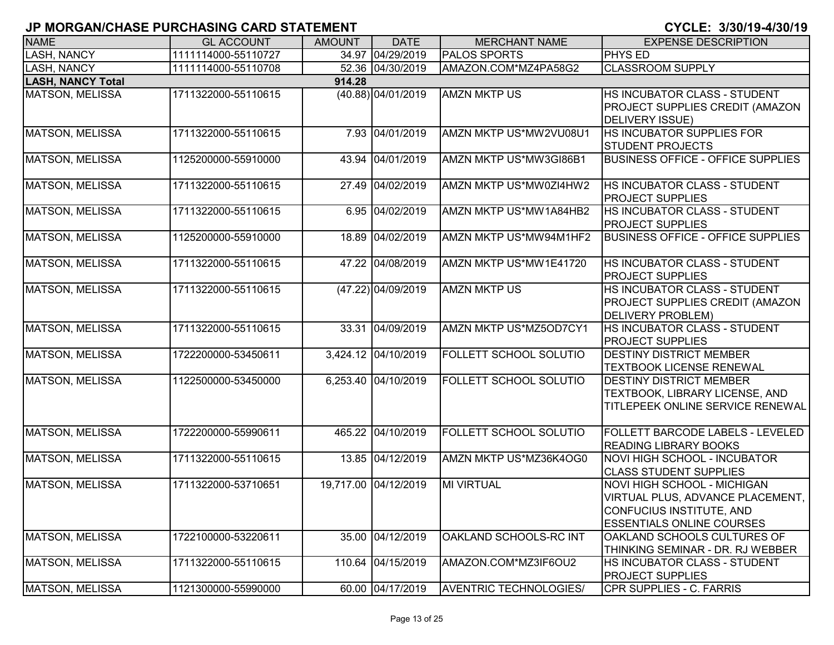| <b>NAME</b>                        | <b>GL ACCOUNT</b>   | <b>AMOUNT</b> | <b>DATE</b>          | <b>MERCHANT NAME</b>          | <b>EXPENSE DESCRIPTION</b>                                                                                                             |  |  |  |  |
|------------------------------------|---------------------|---------------|----------------------|-------------------------------|----------------------------------------------------------------------------------------------------------------------------------------|--|--|--|--|
| <b>LASH, NANCY</b>                 | 1111114000-55110727 |               | 34.97 04/29/2019     | <b>PALOS SPORTS</b>           | <b>PHYS ED</b>                                                                                                                         |  |  |  |  |
| <b>LASH, NANCY</b>                 | 1111114000-55110708 |               | 52.36 04/30/2019     | AMAZON.COM*MZ4PA58G2          | <b>CLASSROOM SUPPLY</b>                                                                                                                |  |  |  |  |
| <b>LASH, NANCY Total</b><br>914.28 |                     |               |                      |                               |                                                                                                                                        |  |  |  |  |
| <b>MATSON, MELISSA</b>             | 1711322000-55110615 |               | $(40.88)$ 04/01/2019 | <b>AMZN MKTP US</b>           | HS INCUBATOR CLASS - STUDENT<br>PROJECT SUPPLIES CREDIT (AMAZON<br><b>DELIVERY ISSUE)</b>                                              |  |  |  |  |
| <b>MATSON, MELISSA</b>             | 1711322000-55110615 |               | 7.93 04/01/2019      | AMZN MKTP US*MW2VU08U1        | HS INCUBATOR SUPPLIES FOR<br><b>STUDENT PROJECTS</b>                                                                                   |  |  |  |  |
| <b>MATSON, MELISSA</b>             | 1125200000-55910000 |               | 43.94 04/01/2019     | AMZN MKTP US*MW3GI86B1        | <b>BUSINESS OFFICE - OFFICE SUPPLIES</b>                                                                                               |  |  |  |  |
| <b>MATSON, MELISSA</b>             | 1711322000-55110615 |               | 27.49 04/02/2019     | AMZN MKTP US*MW0ZI4HW2        | HS INCUBATOR CLASS - STUDENT<br><b>PROJECT SUPPLIES</b>                                                                                |  |  |  |  |
| <b>MATSON, MELISSA</b>             | 1711322000-55110615 |               | 6.95 04/02/2019      | AMZN MKTP US*MW1A84HB2        | <b>HS INCUBATOR CLASS - STUDENT</b><br><b>PROJECT SUPPLIES</b>                                                                         |  |  |  |  |
| <b>MATSON, MELISSA</b>             | 1125200000-55910000 |               | 18.89 04/02/2019     | AMZN MKTP US*MW94M1HF2        | <b>BUSINESS OFFICE - OFFICE SUPPLIES</b>                                                                                               |  |  |  |  |
| <b>MATSON, MELISSA</b>             | 1711322000-55110615 |               | 47.22 04/08/2019     | AMZN MKTP US*MW1E41720        | HS INCUBATOR CLASS - STUDENT<br><b>PROJECT SUPPLIES</b>                                                                                |  |  |  |  |
| <b>MATSON, MELISSA</b>             | 1711322000-55110615 |               | (47.22) 04/09/2019   | <b>AMZN MKTP US</b>           | HS INCUBATOR CLASS - STUDENT<br>PROJECT SUPPLIES CREDIT (AMAZON<br><b>DELIVERY PROBLEM)</b>                                            |  |  |  |  |
| <b>MATSON, MELISSA</b>             | 1711322000-55110615 |               | 33.31 04/09/2019     | AMZN MKTP US*MZ5OD7CY1        | HS INCUBATOR CLASS - STUDENT<br><b>PROJECT SUPPLIES</b>                                                                                |  |  |  |  |
| <b>MATSON, MELISSA</b>             | 1722200000-53450611 |               | 3,424.12 04/10/2019  | FOLLETT SCHOOL SOLUTIO        | <b>DESTINY DISTRICT MEMBER</b><br><b>TEXTBOOK LICENSE RENEWAL</b>                                                                      |  |  |  |  |
| <b>MATSON, MELISSA</b>             | 1122500000-53450000 |               | 6,253.40 04/10/2019  | <b>FOLLETT SCHOOL SOLUTIO</b> | <b>DESTINY DISTRICT MEMBER</b><br>TEXTBOOK, LIBRARY LICENSE, AND<br>TITLEPEEK ONLINE SERVICE RENEWAL                                   |  |  |  |  |
| MATSON, MELISSA                    | 1722200000-55990611 |               | 465.22 04/10/2019    | <b>FOLLETT SCHOOL SOLUTIO</b> | <b>FOLLETT BARCODE LABELS - LEVELED</b><br><b>READING LIBRARY BOOKS</b>                                                                |  |  |  |  |
| MATSON, MELISSA                    | 1711322000-55110615 |               | 13.85 04/12/2019     | AMZN MKTP US*MZ36K4OG0        | <b>NOVI HIGH SCHOOL - INCUBATOR</b><br><b>CLASS STUDENT SUPPLIES</b>                                                                   |  |  |  |  |
| MATSON, MELISSA                    | 1711322000-53710651 |               | 19,717.00 04/12/2019 | <b>MI VIRTUAL</b>             | <b>NOVI HIGH SCHOOL - MICHIGAN</b><br>VIRTUAL PLUS, ADVANCE PLACEMENT,<br>CONFUCIUS INSTITUTE, AND<br><b>ESSENTIALS ONLINE COURSES</b> |  |  |  |  |
| MATSON, MELISSA                    | 1722100000-53220611 |               | 35.00 04/12/2019     | OAKLAND SCHOOLS-RC INT        | OAKLAND SCHOOLS CULTURES OF<br>THINKING SEMINAR - DR. RJ WEBBER                                                                        |  |  |  |  |
| MATSON, MELISSA                    | 1711322000-55110615 |               | 110.64 04/15/2019    | AMAZON.COM*MZ3IF6OU2          | HS INCUBATOR CLASS - STUDENT<br><b>PROJECT SUPPLIES</b>                                                                                |  |  |  |  |
| MATSON, MELISSA                    | 1121300000-55990000 |               | 60.00 04/17/2019     | <b>AVENTRIC TECHNOLOGIES/</b> | CPR SUPPLIES - C. FARRIS                                                                                                               |  |  |  |  |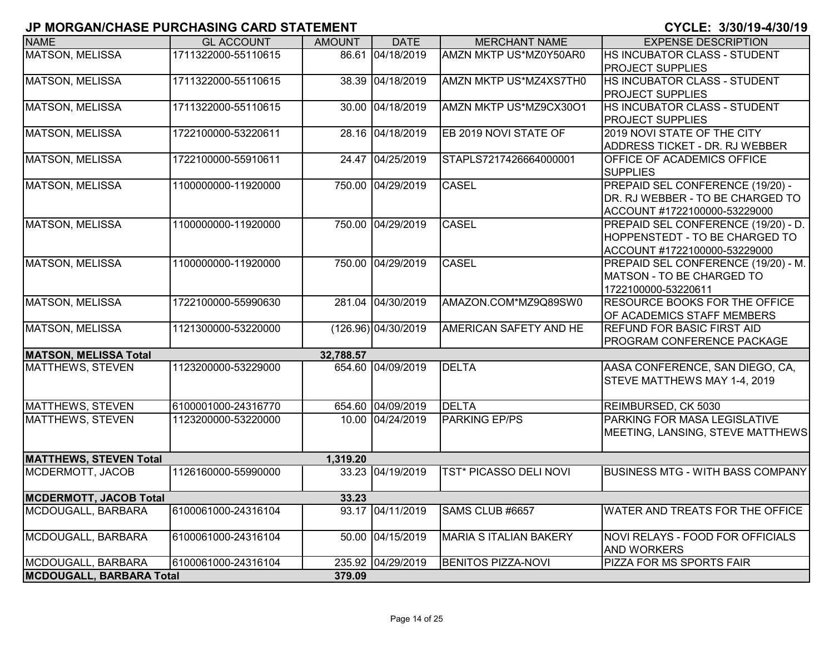| <u>u mononivuinue i unuinumu uniu uiniemeni</u> |                     |               |                     |                               | <u>U I ULLI UJUVI IV TIVVI IV</u>       |
|-------------------------------------------------|---------------------|---------------|---------------------|-------------------------------|-----------------------------------------|
| <b>NAME</b>                                     | <b>GL ACCOUNT</b>   | <b>AMOUNT</b> | <b>DATE</b>         | <b>MERCHANT NAME</b>          | <b>EXPENSE DESCRIPTION</b>              |
| <b>MATSON, MELISSA</b>                          | 1711322000-55110615 |               | 86.61 04/18/2019    | AMZN MKTP US*MZ0Y50AR0        | HS INCUBATOR CLASS - STUDENT            |
|                                                 |                     |               |                     |                               | <b>PROJECT SUPPLIES</b>                 |
| <b>MATSON, MELISSA</b>                          | 1711322000-55110615 | 38.39         | 04/18/2019          | AMZN MKTP US*MZ4XS7TH0        | HS INCUBATOR CLASS - STUDENT            |
|                                                 |                     |               |                     |                               | <b>PROJECT SUPPLIES</b>                 |
| <b>MATSON, MELISSA</b>                          | 1711322000-55110615 | 30.00         | 04/18/2019          | AMZN MKTP US*MZ9CX30O1        | HS INCUBATOR CLASS - STUDENT            |
|                                                 |                     |               |                     |                               | <b>PROJECT SUPPLIES</b>                 |
| <b>MATSON, MELISSA</b>                          | 1722100000-53220611 |               | 28.16 04/18/2019    | EB 2019 NOVI STATE OF         | 2019 NOVI STATE OF THE CITY             |
|                                                 |                     |               |                     |                               | ADDRESS TICKET - DR. RJ WEBBER          |
| <b>MATSON, MELISSA</b>                          | 1722100000-55910611 | 24.47         | $\sqrt{04/25}/2019$ | STAPLS7217426664000001        | OFFICE OF ACADEMICS OFFICE              |
|                                                 |                     |               |                     |                               | <b>SUPPLIES</b>                         |
| <b>MATSON, MELISSA</b>                          | 1100000000-11920000 |               | 750.00 04/29/2019   | <b>CASEL</b>                  | PREPAID SEL CONFERENCE (19/20) -        |
|                                                 |                     |               |                     |                               | DR. RJ WEBBER - TO BE CHARGED TO        |
|                                                 |                     |               |                     |                               | ACCOUNT #1722100000-53229000            |
| MATSON, MELISSA                                 | 1100000000-11920000 |               | 750.00 04/29/2019   | <b>CASEL</b>                  | PREPAID SEL CONFERENCE (19/20) - D.     |
|                                                 |                     |               |                     |                               | HOPPENSTEDT - TO BE CHARGED TO          |
|                                                 |                     |               |                     |                               | ACCOUNT #1722100000-53229000            |
| <b>MATSON, MELISSA</b>                          | 1100000000-11920000 |               | 750.00 04/29/2019   | <b>CASEL</b>                  | PREPAID SEL CONFERENCE (19/20) - M.     |
|                                                 |                     |               |                     |                               | MATSON - TO BE CHARGED TO               |
|                                                 |                     |               |                     |                               | 1722100000-53220611                     |
| <b>MATSON, MELISSA</b>                          | 1722100000-55990630 |               | 281.04 04/30/2019   | AMAZON.COM*MZ9Q89SW0          | RESOURCE BOOKS FOR THE OFFICE           |
|                                                 |                     |               |                     |                               | OF ACADEMICS STAFF MEMBERS              |
| <b>MATSON, MELISSA</b>                          | 1121300000-53220000 |               | (126.96) 04/30/2019 | AMERICAN SAFETY AND HE        | <b>REFUND FOR BASIC FIRST AID</b>       |
|                                                 |                     |               |                     |                               | PROGRAM CONFERENCE PACKAGE              |
| <b>MATSON, MELISSA Total</b>                    |                     | 32,788.57     |                     |                               |                                         |
| <b>MATTHEWS, STEVEN</b>                         | 1123200000-53229000 |               | 654.60 04/09/2019   | <b>DELTA</b>                  | AASA CONFERENCE, SAN DIEGO, CA,         |
|                                                 |                     |               |                     |                               | STEVE MATTHEWS MAY 1-4, 2019            |
|                                                 |                     |               |                     |                               |                                         |
| <b>MATTHEWS, STEVEN</b>                         | 6100001000-24316770 |               | 654.60 04/09/2019   | <b>DELTA</b>                  | REIMBURSED, CK 5030                     |
| <b>MATTHEWS, STEVEN</b>                         | 1123200000-53220000 |               | 10.00 04/24/2019    | <b>PARKING EP/PS</b>          | PARKING FOR MASA LEGISLATIVE            |
|                                                 |                     |               |                     |                               | MEETING, LANSING, STEVE MATTHEWS        |
|                                                 |                     |               |                     |                               |                                         |
| <b>MATTHEWS, STEVEN Total</b>                   |                     | 1,319.20      |                     |                               |                                         |
| MCDERMOTT, JACOB                                | 1126160000-55990000 | 33.23         | 04/19/2019          | <b>TST* PICASSO DELI NOVI</b> | <b>BUSINESS MTG - WITH BASS COMPANY</b> |
|                                                 |                     |               |                     |                               |                                         |
| <b>MCDERMOTT, JACOB Total</b>                   |                     | 33.23         |                     |                               |                                         |
| MCDOUGALL, BARBARA                              | 6100061000-24316104 | 93.17         | 04/11/2019          | SAMS CLUB #6657               | WATER AND TREATS FOR THE OFFICE         |
|                                                 |                     |               |                     |                               |                                         |
| MCDOUGALL, BARBARA                              | 6100061000-24316104 |               | 50.00 04/15/2019    | MARIA S ITALIAN BAKERY        | NOVI RELAYS - FOOD FOR OFFICIALS        |
|                                                 |                     |               |                     |                               | <b>AND WORKERS</b>                      |
| MCDOUGALL, BARBARA                              | 6100061000-24316104 |               | 235.92 04/29/2019   | <b>BENITOS PIZZA-NOVI</b>     | PIZZA FOR MS SPORTS FAIR                |
| <b>MCDOUGALL, BARBARA Total</b>                 |                     | 379.09        |                     |                               |                                         |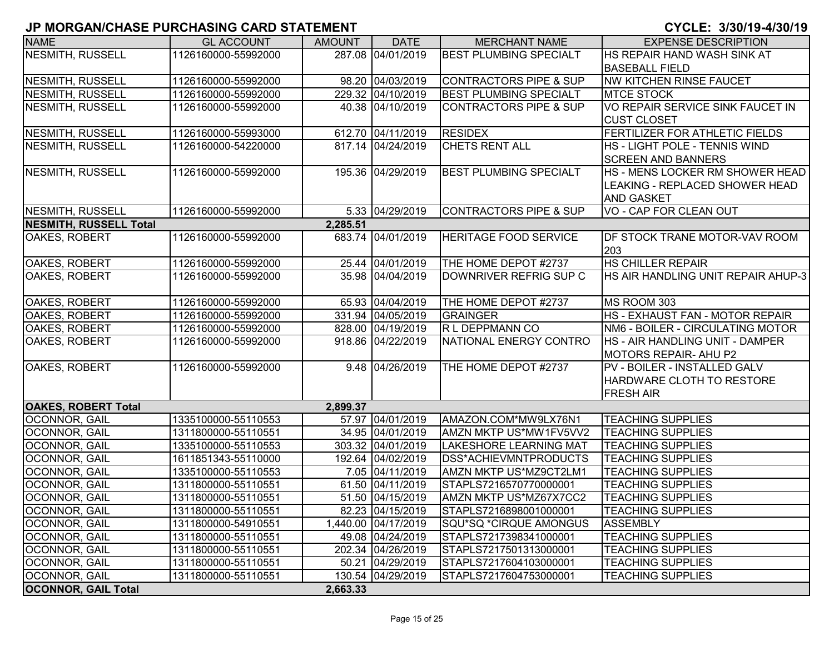| <b>NAME</b>                   | <b>GL ACCOUNT</b>   | <b>AMOUNT</b> | <b>DATE</b>         | <b>MERCHANT NAME</b>              | <b>EXPENSE DESCRIPTION</b>         |
|-------------------------------|---------------------|---------------|---------------------|-----------------------------------|------------------------------------|
| <b>NESMITH, RUSSELL</b>       | 1126160000-55992000 |               | 287.08 04/01/2019   | <b>BEST PLUMBING SPECIALT</b>     | HS REPAIR HAND WASH SINK AT        |
|                               |                     |               |                     |                                   | <b>BASEBALL FIELD</b>              |
| NESMITH, RUSSELL              | 1126160000-55992000 |               | 98.20 04/03/2019    | <b>CONTRACTORS PIPE &amp; SUP</b> | <b>NW KITCHEN RINSE FAUCET</b>     |
| NESMITH, RUSSELL              | 1126160000-55992000 |               | 229.32 04/10/2019   | <b>BEST PLUMBING SPECIALT</b>     | <b>MTCE STOCK</b>                  |
| NESMITH, RUSSELL              | 1126160000-55992000 |               | 40.38 04/10/2019    | <b>CONTRACTORS PIPE &amp; SUP</b> | VO REPAIR SERVICE SINK FAUCET IN   |
|                               |                     |               |                     |                                   | <b>CUST CLOSET</b>                 |
| NESMITH, RUSSELL              | 1126160000-55993000 |               | 612.70 04/11/2019   | <b>RESIDEX</b>                    | FERTILIZER FOR ATHLETIC FIELDS     |
| <b>NESMITH, RUSSELL</b>       | 1126160000-54220000 |               | 817.14 04/24/2019   | <b>CHETS RENT ALL</b>             | HS - LIGHT POLE - TENNIS WIND      |
|                               |                     |               |                     |                                   | <b>SCREEN AND BANNERS</b>          |
| <b>NESMITH, RUSSELL</b>       | 1126160000-55992000 |               | 195.36 04/29/2019   | <b>BEST PLUMBING SPECIALT</b>     | HS - MENS LOCKER RM SHOWER HEAD    |
|                               |                     |               |                     |                                   | LEAKING - REPLACED SHOWER HEAD     |
|                               |                     |               |                     |                                   | <b>AND GASKET</b>                  |
| NESMITH, RUSSELL              | 1126160000-55992000 |               | 5.33 04/29/2019     | <b>CONTRACTORS PIPE &amp; SUP</b> | VO - CAP FOR CLEAN OUT             |
| <b>NESMITH, RUSSELL Total</b> |                     | 2,285.51      |                     |                                   |                                    |
| <b>OAKES, ROBERT</b>          | 1126160000-55992000 |               | 683.74 04/01/2019   | <b>HERITAGE FOOD SERVICE</b>      | DF STOCK TRANE MOTOR-VAV ROOM      |
|                               |                     |               |                     |                                   | 203                                |
| OAKES, ROBERT                 | 1126160000-55992000 |               | 25.44 04/01/2019    | THE HOME DEPOT #2737              | <b>HS CHILLER REPAIR</b>           |
| <b>OAKES, ROBERT</b>          | 1126160000-55992000 |               | 35.98 04/04/2019    | DOWNRIVER REFRIG SUP C            | HS AIR HANDLING UNIT REPAIR AHUP-3 |
|                               |                     |               |                     |                                   |                                    |
| <b>OAKES, ROBERT</b>          | 1126160000-55992000 |               | 65.93 04/04/2019    | THE HOME DEPOT #2737              | MS ROOM 303                        |
| <b>OAKES, ROBERT</b>          | 1126160000-55992000 |               | 331.94 04/05/2019   | <b>GRAINGER</b>                   | HS - EXHAUST FAN - MOTOR REPAIR    |
| OAKES, ROBERT                 | 1126160000-55992000 |               | 828.00 04/19/2019   | R L DEPPMANN CO                   | NM6 - BOILER - CIRCULATING MOTOR   |
| OAKES, ROBERT                 | 1126160000-55992000 |               | 918.86 04/22/2019   | NATIONAL ENERGY CONTRO            | HS - AIR HANDLING UNIT - DAMPER    |
|                               |                     |               |                     |                                   | <b>MOTORS REPAIR- AHU P2</b>       |
| OAKES, ROBERT                 | 1126160000-55992000 |               | 9.48 04/26/2019     | THE HOME DEPOT #2737              | PV - BOILER - INSTALLED GALV       |
|                               |                     |               |                     |                                   | HARDWARE CLOTH TO RESTORE          |
|                               |                     |               |                     |                                   | <b>FRESH AIR</b>                   |
| <b>OAKES, ROBERT Total</b>    |                     | 2,899.37      |                     |                                   |                                    |
| <b>OCONNOR, GAIL</b>          | 1335100000-55110553 |               | 57.97 04/01/2019    | AMAZON.COM*MW9LX76N1              | <b>TEACHING SUPPLIES</b>           |
| <b>OCONNOR, GAIL</b>          | 1311800000-55110551 |               | 34.95 04/01/2019    | AMZN MKTP US*MW1FV5VV2            | <b>TEACHING SUPPLIES</b>           |
| <b>OCONNOR, GAIL</b>          | 1335100000-55110553 |               | 303.32 04/01/2019   | <b>LAKESHORE LEARNING MAT</b>     | <b>TEACHING SUPPLIES</b>           |
| <b>OCONNOR, GAIL</b>          | 1611851343-55110000 |               | 192.64 04/02/2019   | DSS*ACHIEVMNTPRODUCTS             | <b>TEACHING SUPPLIES</b>           |
| <b>OCONNOR, GAIL</b>          | 1335100000-55110553 |               | 7.05 04/11/2019     | AMZN MKTP US*MZ9CT2LM1            | <b>TEACHING SUPPLIES</b>           |
| OCONNOR, GAIL                 | 1311800000-55110551 |               | 61.50 04/11/2019    | STAPLS7216570770000001            | <b>TEACHING SUPPLIES</b>           |
| <b>OCONNOR, GAIL</b>          | 1311800000-55110551 |               | 51.50 04/15/2019    | AMZN MKTP US*MZ67X7CC2            | <b>TEACHING SUPPLIES</b>           |
| <b>OCONNOR, GAIL</b>          | 1311800000-55110551 |               | 82.23 04/15/2019    | STAPLS7216898001000001            | <b>TEACHING SUPPLIES</b>           |
| <b>OCONNOR, GAIL</b>          | 1311800000-54910551 |               | 1,440.00 04/17/2019 | SQU*SQ *CIRQUE AMONGUS            | <b>ASSEMBLY</b>                    |
| OCONNOR, GAIL                 | 1311800000-55110551 |               | 49.08 04/24/2019    | STAPLS7217398341000001            | <b>TEACHING SUPPLIES</b>           |
| <b>OCONNOR, GAIL</b>          | 1311800000-55110551 |               | 202.34 04/26/2019   | STAPLS7217501313000001            | <b>TEACHING SUPPLIES</b>           |
| OCONNOR, GAIL                 | 1311800000-55110551 |               | 50.21 04/29/2019    | STAPLS7217604103000001            | <b>TEACHING SUPPLIES</b>           |
| <b>OCONNOR, GAIL</b>          | 1311800000-55110551 |               | 130.54 04/29/2019   | STAPLS7217604753000001            | <b>TEACHING SUPPLIES</b>           |
| <b>OCONNOR, GAIL Total</b>    |                     | 2,663.33      |                     |                                   |                                    |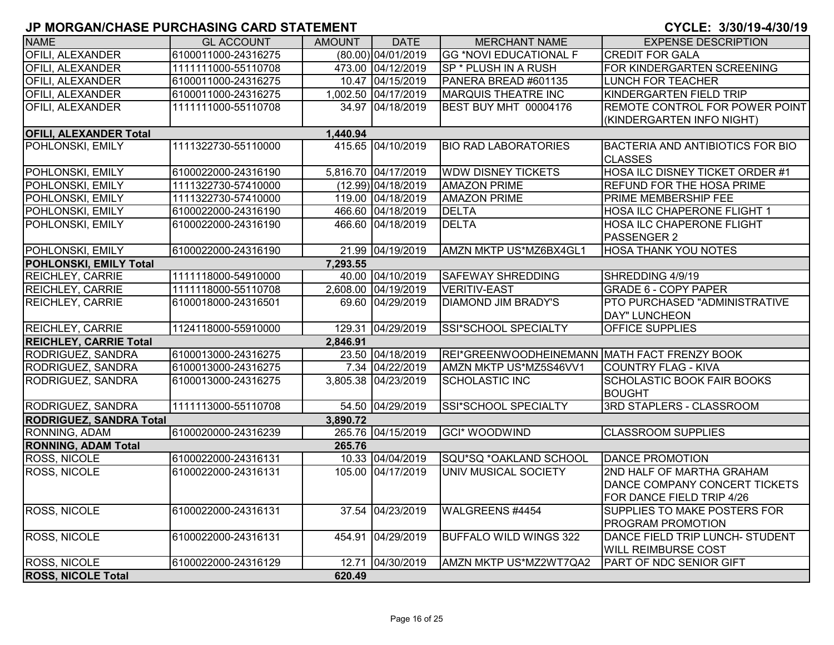| <b>NAME</b>                    | <b>GL ACCOUNT</b>   | <b>AMOUNT</b> | <b>DATE</b>         | <b>MERCHANT NAME</b>                         | <b>EXPENSE DESCRIPTION</b>                                                              |
|--------------------------------|---------------------|---------------|---------------------|----------------------------------------------|-----------------------------------------------------------------------------------------|
| OFILI, ALEXANDER               | 6100011000-24316275 |               | (80.00) 04/01/2019  | <b>GG *NOVI EDUCATIONAL F</b>                | <b>CREDIT FOR GALA</b>                                                                  |
| <b>OFILI, ALEXANDER</b>        | 1111111000-55110708 |               | 473.00 04/12/2019   | SP * PLUSH IN A RUSH                         | FOR KINDERGARTEN SCREENING                                                              |
| <b>OFILI, ALEXANDER</b>        | 6100011000-24316275 |               | 10.47 04/15/2019    | PANERA BREAD #601135                         | <b>LUNCH FOR TEACHER</b>                                                                |
| <b>OFILI, ALEXANDER</b>        | 6100011000-24316275 |               | 1,002.50 04/17/2019 | <b>MARQUIS THEATRE INC</b>                   | KINDERGARTEN FIELD TRIP                                                                 |
| OFILI, ALEXANDER               | 1111111000-55110708 |               | 34.97 04/18/2019    | BEST BUY MHT 00004176                        | REMOTE CONTROL FOR POWER POINT<br>(KINDERGARTEN INFO NIGHT)                             |
| <b>OFILI, ALEXANDER Total</b>  |                     | 1,440.94      |                     |                                              |                                                                                         |
| POHLONSKI, EMILY               | 1111322730-55110000 |               | 415.65 04/10/2019   | <b>BIO RAD LABORATORIES</b>                  | <b>BACTERIA AND ANTIBIOTICS FOR BIO</b><br><b>CLASSES</b>                               |
| POHLONSKI, EMILY               | 6100022000-24316190 |               | 5,816.70 04/17/2019 | <b>WDW DISNEY TICKETS</b>                    | HOSA ILC DISNEY TICKET ORDER #1                                                         |
| POHLONSKI, EMILY               | 1111322730-57410000 |               | (12.99) 04/18/2019  | <b>AMAZON PRIME</b>                          | REFUND FOR THE HOSA PRIME                                                               |
| POHLONSKI, EMILY               | 1111322730-57410000 |               | 119.00 04/18/2019   | <b>AMAZON PRIME</b>                          | PRIME MEMBERSHIP FEE                                                                    |
| POHLONSKI, EMILY               | 6100022000-24316190 |               | 466.60 04/18/2019   | <b>DELTA</b>                                 | HOSA ILC CHAPERONE FLIGHT 1                                                             |
| POHLONSKI, EMILY               | 6100022000-24316190 |               | 466.60 04/18/2019   | <b>DELTA</b>                                 | HOSA ILC CHAPERONE FLIGHT<br>PASSENGER 2                                                |
| POHLONSKI, EMILY               | 6100022000-24316190 |               | 21.99 04/19/2019    | AMZN MKTP US*MZ6BX4GL1                       | <b>HOSA THANK YOU NOTES</b>                                                             |
| POHLONSKI, EMILY Total         |                     | 7,293.55      |                     |                                              |                                                                                         |
| <b>REICHLEY, CARRIE</b>        | 1111118000-54910000 |               | 40.00 04/10/2019    | <b>SAFEWAY SHREDDING</b>                     | SHREDDING 4/9/19                                                                        |
| <b>REICHLEY, CARRIE</b>        | 1111118000-55110708 |               | 2,608.00 04/19/2019 | <b>VERITIV-EAST</b>                          | <b>GRADE 6 - COPY PAPER</b>                                                             |
| <b>REICHLEY, CARRIE</b>        | 6100018000-24316501 |               | 69.60 04/29/2019    | <b>DIAMOND JIM BRADY'S</b>                   | PTO PURCHASED "ADMINISTRATIVE<br><b>DAY" LUNCHEON</b>                                   |
| <b>REICHLEY, CARRIE</b>        | 1124118000-55910000 |               | 129.31 04/29/2019   | SSI*SCHOOL SPECIALTY                         | OFFICE SUPPLIES                                                                         |
| <b>REICHLEY, CARRIE Total</b>  |                     | 2,846.91      |                     |                                              |                                                                                         |
| RODRIGUEZ, SANDRA              | 6100013000-24316275 |               | 23.50 04/18/2019    | REI*GREENWOODHEINEMANN MATH FACT FRENZY BOOK |                                                                                         |
| RODRIGUEZ, SANDRA              | 6100013000-24316275 |               | 7.34 04/22/2019     | AMZN MKTP US*MZ5S46VV1                       | <b>COUNTRY FLAG - KIVA</b>                                                              |
| RODRIGUEZ, SANDRA              | 6100013000-24316275 |               | 3,805.38 04/23/2019 | <b>SCHOLASTIC INC</b>                        | <b>SCHOLASTIC BOOK FAIR BOOKS</b><br><b>BOUGHT</b>                                      |
| RODRIGUEZ, SANDRA              | 1111113000-55110708 |               | 54.50 04/29/2019    | SSI*SCHOOL SPECIALTY                         | 3RD STAPLERS - CLASSROOM                                                                |
| <b>RODRIGUEZ, SANDRA Total</b> |                     | 3,890.72      |                     |                                              |                                                                                         |
| RONNING, ADAM                  | 6100020000-24316239 |               | 265.76 04/15/2019   | <b>GCI* WOODWIND</b>                         | <b>CLASSROOM SUPPLIES</b>                                                               |
| <b>RONNING, ADAM Total</b>     |                     | 265.76        |                     |                                              |                                                                                         |
| ROSS, NICOLE                   | 6100022000-24316131 |               | 10.33 04/04/2019    | SQU*SQ *OAKLAND SCHOOL                       | <b>DANCE PROMOTION</b>                                                                  |
| <b>ROSS, NICOLE</b>            | 6100022000-24316131 |               | 105.00 04/17/2019   | UNIV MUSICAL SOCIETY                         | 2ND HALF OF MARTHA GRAHAM<br>DANCE COMPANY CONCERT TICKETS<br>FOR DANCE FIELD TRIP 4/26 |
| <b>ROSS, NICOLE</b>            | 6100022000-24316131 |               | 37.54 04/23/2019    | WALGREENS #4454                              | SUPPLIES TO MAKE POSTERS FOR<br>PROGRAM PROMOTION                                       |
| <b>ROSS, NICOLE</b>            | 6100022000-24316131 |               | 454.91 04/29/2019   | <b>BUFFALO WILD WINGS 322</b>                | DANCE FIELD TRIP LUNCH- STUDENT<br><b>WILL REIMBURSE COST</b>                           |
| <b>ROSS, NICOLE</b>            | 6100022000-24316129 |               | 12.71 04/30/2019    | AMZN MKTP US*MZ2WT7QA2                       | <b>PART OF NDC SENIOR GIFT</b>                                                          |
| <b>ROSS, NICOLE Total</b>      |                     | 620.49        |                     |                                              |                                                                                         |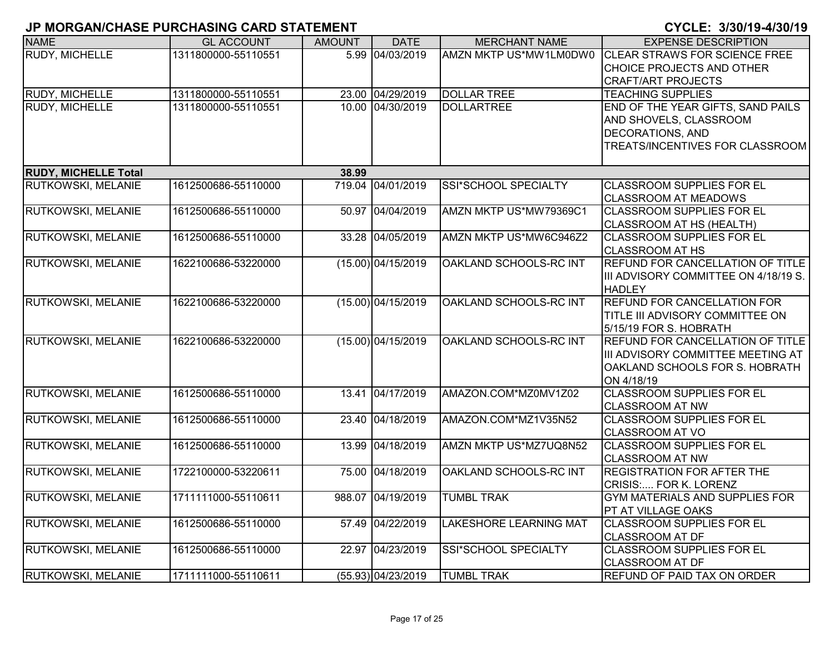|                             | <u>u monoritioninos i ononinoino orito o internent</u> |               |                      |                               | <u>UIULLI UIUUI IU TIUUI IU</u>                        |
|-----------------------------|--------------------------------------------------------|---------------|----------------------|-------------------------------|--------------------------------------------------------|
| <b>NAME</b>                 | <b>GL ACCOUNT</b>                                      | <b>AMOUNT</b> | <b>DATE</b>          | <b>MERCHANT NAME</b>          | <b>EXPENSE DESCRIPTION</b>                             |
| RUDY, MICHELLE              | 1311800000-55110551                                    |               | 5.99 04/03/2019      | AMZN MKTP US*MW1LM0DW0        | <b>CLEAR STRAWS FOR SCIENCE FREE</b>                   |
|                             |                                                        |               |                      |                               | CHOICE PROJECTS AND OTHER                              |
|                             |                                                        |               |                      |                               | <b>CRAFT/ART PROJECTS</b>                              |
| <b>RUDY, MICHELLE</b>       | 1311800000-55110551                                    |               | 23.00 04/29/2019     | <b>DOLLAR TREE</b>            | <b>TEACHING SUPPLIES</b>                               |
| RUDY, MICHELLE              | 1311800000-55110551                                    |               | 10.00 04/30/2019     | <b>DOLLARTREE</b>             | END OF THE YEAR GIFTS, SAND PAILS                      |
|                             |                                                        |               |                      |                               | AND SHOVELS, CLASSROOM                                 |
|                             |                                                        |               |                      |                               | <b>DECORATIONS, AND</b>                                |
|                             |                                                        |               |                      |                               | TREATS/INCENTIVES FOR CLASSROOM                        |
| <b>RUDY, MICHELLE Total</b> |                                                        | 38.99         |                      |                               |                                                        |
| RUTKOWSKI, MELANIE          | 1612500686-55110000                                    |               | 719.04 04/01/2019    | SSI*SCHOOL SPECIALTY          | <b>CLASSROOM SUPPLIES FOR EL</b>                       |
|                             |                                                        |               |                      |                               | <b>CLASSROOM AT MEADOWS</b>                            |
| RUTKOWSKI, MELANIE          | 1612500686-55110000                                    | 50.97         | 04/04/2019           | AMZN MKTP US*MW79369C1        | <b>CLASSROOM SUPPLIES FOR EL</b>                       |
|                             |                                                        |               |                      |                               | CLASSROOM AT HS (HEALTH)                               |
| RUTKOWSKI, MELANIE          | 1612500686-55110000                                    |               | 33.28 04/05/2019     | AMZN MKTP US*MW6C946Z2        | <b>CLASSROOM SUPPLIES FOR EL</b>                       |
|                             |                                                        |               |                      |                               | <b>CLASSROOM AT HS</b>                                 |
| RUTKOWSKI, MELANIE          | 1622100686-53220000                                    |               | $(15.00)$ 04/15/2019 | OAKLAND SCHOOLS-RC INT        | REFUND FOR CANCELLATION OF TITLE                       |
|                             |                                                        |               |                      |                               | III ADVISORY COMMITTEE ON 4/18/19 S.                   |
|                             |                                                        |               |                      |                               | <b>HADLEY</b>                                          |
| RUTKOWSKI, MELANIE          | 1622100686-53220000                                    |               | $(15.00)$ 04/15/2019 | OAKLAND SCHOOLS-RC INT        | <b>REFUND FOR CANCELLATION FOR</b>                     |
|                             |                                                        |               |                      |                               | TITLE III ADVISORY COMMITTEE ON                        |
|                             |                                                        |               |                      |                               | 5/15/19 FOR S. HOBRATH                                 |
| RUTKOWSKI, MELANIE          | 1622100686-53220000                                    |               | $(15.00)$ 04/15/2019 | OAKLAND SCHOOLS-RC INT        | REFUND FOR CANCELLATION OF TITLE                       |
|                             |                                                        |               |                      |                               | III ADVISORY COMMITTEE MEETING AT                      |
|                             |                                                        |               |                      |                               | OAKLAND SCHOOLS FOR S. HOBRATH                         |
|                             |                                                        |               |                      |                               | ON 4/18/19                                             |
| RUTKOWSKI, MELANIE          | 1612500686-55110000                                    |               | 13.41 04/17/2019     | AMAZON.COM*MZ0MV1Z02          | <b>CLASSROOM SUPPLIES FOR EL</b>                       |
|                             |                                                        |               |                      |                               | <b>CLASSROOM AT NW</b>                                 |
| RUTKOWSKI, MELANIE          | 1612500686-55110000                                    |               | 23.40 04/18/2019     | AMAZON.COM*MZ1V35N52          | <b>CLASSROOM SUPPLIES FOR EL</b>                       |
|                             |                                                        |               |                      |                               | <b>CLASSROOM AT VO</b>                                 |
| RUTKOWSKI, MELANIE          | 1612500686-55110000                                    | 13.99         | 04/18/2019           | AMZN MKTP US*MZ7UQ8N52        | <b>CLASSROOM SUPPLIES FOR EL</b>                       |
|                             |                                                        |               |                      |                               | <b>CLASSROOM AT NW</b>                                 |
| RUTKOWSKI, MELANIE          | 1722100000-53220611                                    |               | 75.00 04/18/2019     | OAKLAND SCHOOLS-RC INT        | <b>REGISTRATION FOR AFTER THE</b>                      |
| RUTKOWSKI, MELANIE          |                                                        |               |                      | <b>TUMBL TRAK</b>             | CRISIS: FOR K. LORENZ                                  |
|                             | 1711111000-55110611                                    |               | 988.07 04/19/2019    |                               | GYM MATERIALS AND SUPPLIES FOR                         |
| RUTKOWSKI, MELANIE          | 1612500686-55110000                                    |               | 57.49 04/22/2019     | <b>LAKESHORE LEARNING MAT</b> | PT AT VILLAGE OAKS<br><b>CLASSROOM SUPPLIES FOR EL</b> |
|                             |                                                        |               |                      |                               | <b>CLASSROOM AT DF</b>                                 |
| RUTKOWSKI, MELANIE          | 1612500686-55110000                                    |               | 22.97 04/23/2019     | SSI*SCHOOL SPECIALTY          | <b>CLASSROOM SUPPLIES FOR EL</b>                       |
|                             |                                                        |               |                      |                               | <b>CLASSROOM AT DF</b>                                 |
| <b>RUTKOWSKI, MELANIE</b>   | 1711111000-55110611                                    |               | (55.93) 04/23/2019   | <b>TUMBL TRAK</b>             | <b>REFUND OF PAID TAX ON ORDER</b>                     |
|                             |                                                        |               |                      |                               |                                                        |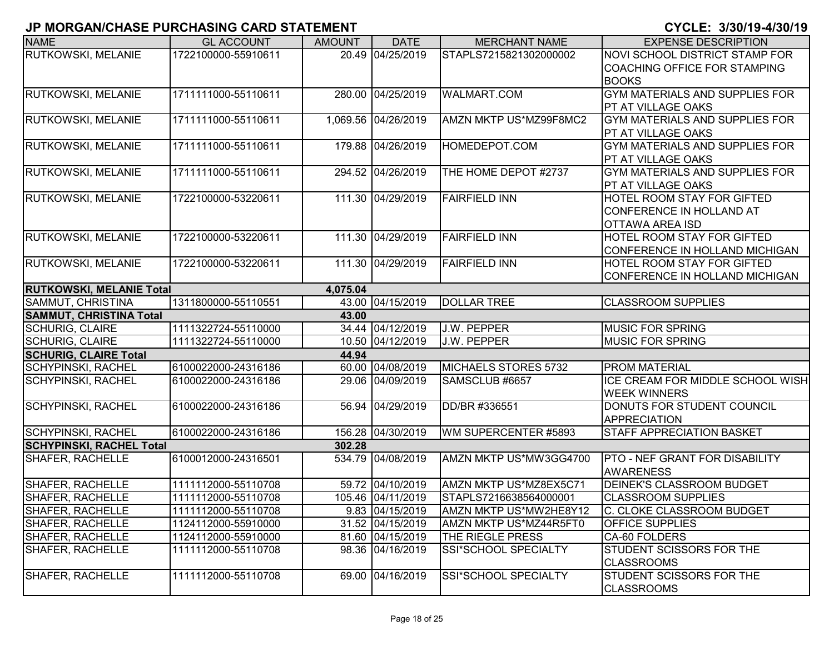| <b>NAME</b>                                               | <b>GL ACCOUNT</b>   | <b>AMOUNT</b> | <b>DATE</b>         | <b>MERCHANT NAME</b>   | <b>EXPENSE DESCRIPTION</b>            |
|-----------------------------------------------------------|---------------------|---------------|---------------------|------------------------|---------------------------------------|
| RUTKOWSKI, MELANIE                                        | 1722100000-55910611 |               | 20.49 04/25/2019    | STAPLS7215821302000002 | NOVI SCHOOL DISTRICT STAMP FOR        |
|                                                           |                     |               |                     |                        | COACHING OFFICE FOR STAMPING          |
|                                                           |                     |               |                     |                        | <b>BOOKS</b>                          |
| RUTKOWSKI, MELANIE                                        | 1711111000-55110611 |               | 280.00 04/25/2019   | <b>WALMART.COM</b>     | <b>GYM MATERIALS AND SUPPLIES FOR</b> |
|                                                           |                     |               |                     |                        | PT AT VILLAGE OAKS                    |
| RUTKOWSKI, MELANIE                                        | 1711111000-55110611 |               | 1,069.56 04/26/2019 | AMZN MKTP US*MZ99F8MC2 | <b>GYM MATERIALS AND SUPPLIES FOR</b> |
|                                                           |                     |               |                     |                        | PT AT VILLAGE OAKS                    |
| <b>RUTKOWSKI, MELANIE</b>                                 | 1711111000-55110611 |               | 179.88 04/26/2019   | HOMEDEPOT.COM          | <b>GYM MATERIALS AND SUPPLIES FOR</b> |
|                                                           |                     |               |                     |                        | PT AT VILLAGE OAKS                    |
| RUTKOWSKI, MELANIE                                        | 1711111000-55110611 |               | 294.52 04/26/2019   | THE HOME DEPOT #2737   | <b>GYM MATERIALS AND SUPPLIES FOR</b> |
|                                                           |                     |               |                     |                        | PT AT VILLAGE OAKS                    |
| <b>RUTKOWSKI, MELANIE</b>                                 | 1722100000-53220611 |               | 111.30 04/29/2019   | <b>FAIRFIELD INN</b>   | <b>HOTEL ROOM STAY FOR GIFTED</b>     |
|                                                           |                     |               |                     |                        | CONFERENCE IN HOLLAND AT              |
|                                                           |                     |               |                     |                        | <b>OTTAWA AREA ISD</b>                |
| <b>RUTKOWSKI, MELANIE</b>                                 | 1722100000-53220611 |               | 111.30 04/29/2019   | <b>FAIRFIELD INN</b>   | <b>HOTEL ROOM STAY FOR GIFTED</b>     |
|                                                           |                     |               |                     |                        | CONFERENCE IN HOLLAND MICHIGAN        |
| RUTKOWSKI, MELANIE                                        | 1722100000-53220611 |               | 111.30 04/29/2019   | <b>FAIRFIELD INN</b>   | HOTEL ROOM STAY FOR GIFTED            |
|                                                           |                     |               |                     |                        | CONFERENCE IN HOLLAND MICHIGAN        |
| <b>RUTKOWSKI, MELANIE Total</b>                           |                     | 4,075.04      |                     |                        |                                       |
| SAMMUT, CHRISTINA                                         | 1311800000-55110551 |               | 43.00 04/15/2019    | <b>DOLLAR TREE</b>     | <b>CLASSROOM SUPPLIES</b>             |
| <b>SAMMUT, CHRISTINA Total</b><br><b>SCHURIG, CLAIRE</b>  | 1111322724-55110000 | 43.00         | 34.44 04/12/2019    | J.W. PEPPER            | <b>MUSIC FOR SPRING</b>               |
| <b>SCHURIG, CLAIRE</b>                                    | 1111322724-55110000 |               | 10.50 04/12/2019    | <b>J.W. PEPPER</b>     | <b>MUSIC FOR SPRING</b>               |
|                                                           |                     | 44.94         |                     |                        |                                       |
| <b>SCHURIG, CLAIRE Total</b><br><b>SCHYPINSKI, RACHEL</b> | 6100022000-24316186 |               | 60.00 04/08/2019    | MICHAELS STORES 5732   | <b>PROM MATERIAL</b>                  |
| <b>SCHYPINSKI, RACHEL</b>                                 | 6100022000-24316186 |               | 29.06 04/09/2019    | SAMSCLUB #6657         | ICE CREAM FOR MIDDLE SCHOOL WISH      |
|                                                           |                     |               |                     |                        | <b>WEEK WINNERS</b>                   |
| <b>SCHYPINSKI, RACHEL</b>                                 | 6100022000-24316186 |               | 56.94 04/29/2019    | DD/BR #336551          | DONUTS FOR STUDENT COUNCIL            |
|                                                           |                     |               |                     |                        | <b>APPRECIATION</b>                   |
| <b>SCHYPINSKI, RACHEL</b>                                 | 6100022000-24316186 |               | 156.28 04/30/2019   | WM SUPERCENTER #5893   | <b>STAFF APPRECIATION BASKET</b>      |
| <b>SCHYPINSKI, RACHEL Total</b>                           |                     | 302.28        |                     |                        |                                       |
| <b>SHAFER, RACHELLE</b>                                   | 6100012000-24316501 |               | 534.79 04/08/2019   | AMZN MKTP US*MW3GG4700 | <b>PTO - NEF GRANT FOR DISABILITY</b> |
|                                                           |                     |               |                     |                        | <b>AWARENESS</b>                      |
| SHAFER, RACHELLE                                          | 1111112000-55110708 |               | 59.72 04/10/2019    | AMZN MKTP US*MZ8EX5C71 | <b>DEINEK'S CLASSROOM BUDGET</b>      |
| <b>SHAFER, RACHELLE</b>                                   | 1111112000-55110708 |               | 105.46 04/11/2019   | STAPLS7216638564000001 | <b>CLASSROOM SUPPLIES</b>             |
| <b>SHAFER, RACHELLE</b>                                   | 1111112000-55110708 |               | 9.83 04/15/2019     | AMZN MKTP US*MW2HE8Y12 | C. CLOKE CLASSROOM BUDGET             |
| SHAFER, RACHELLE                                          | 1124112000-55910000 |               | 31.52 04/15/2019    | AMZN MKTP US*MZ44R5FT0 | <b>OFFICE SUPPLIES</b>                |
| SHAFER, RACHELLE                                          | 1124112000-55910000 |               | 81.60 04/15/2019    | THE RIEGLE PRESS       | CA-60 FOLDERS                         |
| <b>SHAFER, RACHELLE</b>                                   | 1111112000-55110708 |               | 98.36 04/16/2019    | SSI*SCHOOL SPECIALTY   | STUDENT SCISSORS FOR THE              |
|                                                           |                     |               |                     |                        | <b>CLASSROOMS</b>                     |
| <b>SHAFER, RACHELLE</b>                                   | 1111112000-55110708 |               | 69.00 04/16/2019    | SSI*SCHOOL SPECIALTY   | STUDENT SCISSORS FOR THE              |
|                                                           |                     |               |                     |                        | <b>CLASSROOMS</b>                     |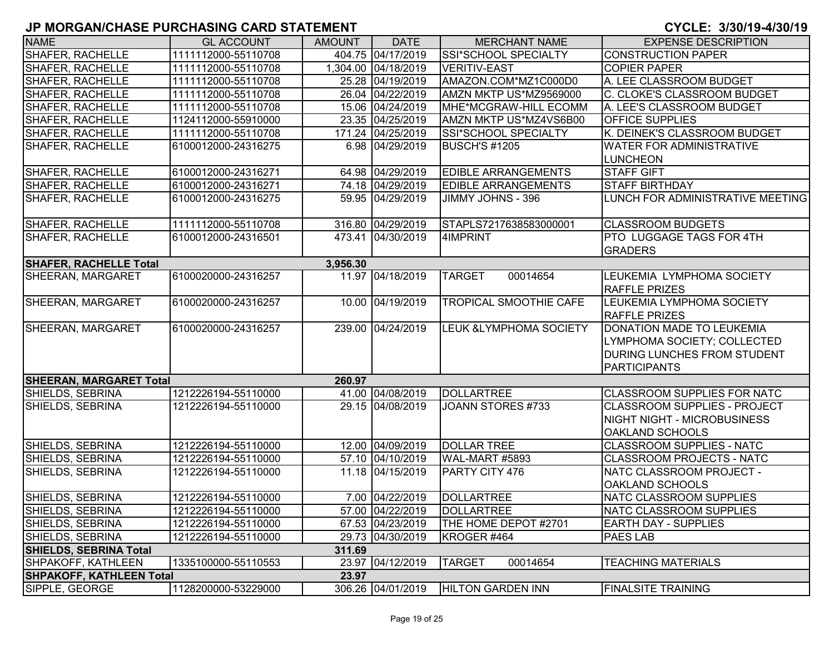| <b>NAME</b>                     | <b>GL ACCOUNT</b>   | <b>AMOUNT</b> | <b>DATE</b>         | <b>MERCHANT NAME</b>                  | <b>EXPENSE DESCRIPTION</b>                                                                                     |
|---------------------------------|---------------------|---------------|---------------------|---------------------------------------|----------------------------------------------------------------------------------------------------------------|
| <b>SHAFER, RACHELLE</b>         | 1111112000-55110708 |               | 404.75 04/17/2019   | SSI*SCHOOL SPECIALTY                  | <b>CONSTRUCTION PAPER</b>                                                                                      |
| <b>SHAFER, RACHELLE</b>         | 1111112000-55110708 |               | 1,304.00 04/18/2019 | <b>VERITIV-EAST</b>                   | <b>COPIER PAPER</b>                                                                                            |
| SHAFER, RACHELLE                | 1111112000-55110708 |               | 25.28 04/19/2019    | AMAZON.COM*MZ1C000D0                  | A. LEE CLASSROOM BUDGET                                                                                        |
| SHAFER, RACHELLE                | 1111112000-55110708 |               | 26.04 04/22/2019    | AMZN MKTP US*MZ9569000                | C. CLOKE'S CLASSROOM BUDGET                                                                                    |
| <b>SHAFER, RACHELLE</b>         | 1111112000-55110708 |               | 15.06 04/24/2019    | MHE*MCGRAW-HILL ECOMM                 | A. LEE'S CLASSROOM BUDGET                                                                                      |
| <b>SHAFER, RACHELLE</b>         | 1124112000-55910000 |               | 23.35 04/25/2019    | AMZN MKTP US*MZ4VS6B00                | <b>OFFICE SUPPLIES</b>                                                                                         |
| <b>SHAFER, RACHELLE</b>         | 1111112000-55110708 |               | 171.24 04/25/2019   | SSI*SCHOOL SPECIALTY                  | K. DEINEK'S CLASSROOM BUDGET                                                                                   |
| <b>SHAFER, RACHELLE</b>         | 6100012000-24316275 |               | 6.98 04/29/2019     | <b>BUSCH'S #1205</b>                  | <b>WATER FOR ADMINISTRATIVE</b>                                                                                |
|                                 |                     |               |                     |                                       | <b>LUNCHEON</b>                                                                                                |
| SHAFER, RACHELLE                | 6100012000-24316271 |               | 64.98 04/29/2019    | <b>EDIBLE ARRANGEMENTS</b>            | <b>STAFF GIFT</b>                                                                                              |
| <b>SHAFER, RACHELLE</b>         | 6100012000-24316271 |               | 74.18 04/29/2019    | <b>EDIBLE ARRANGEMENTS</b>            | <b>STAFF BIRTHDAY</b>                                                                                          |
| <b>SHAFER, RACHELLE</b>         | 6100012000-24316275 |               | 59.95 04/29/2019    | JIMMY JOHNS - 396                     | LUNCH FOR ADMINISTRATIVE MEETING                                                                               |
| <b>SHAFER, RACHELLE</b>         | 1111112000-55110708 |               | 316.80 04/29/2019   | STAPLS7217638583000001                | <b>CLASSROOM BUDGETS</b>                                                                                       |
| <b>SHAFER, RACHELLE</b>         | 6100012000-24316501 |               | 473.41 04/30/2019   | 4IMPRINT                              | <b>PTO LUGGAGE TAGS FOR 4TH</b>                                                                                |
|                                 |                     |               |                     |                                       | <b>GRADERS</b>                                                                                                 |
| <b>SHAFER, RACHELLE Total</b>   |                     | 3,956.30      |                     |                                       |                                                                                                                |
| SHEERAN, MARGARET               | 6100020000-24316257 |               | 11.97 04/18/2019    | <b>TARGET</b><br>00014654             | LEUKEMIA LYMPHOMA SOCIETY<br><b>RAFFLE PRIZES</b>                                                              |
| SHEERAN, MARGARET               | 6100020000-24316257 |               | 10.00 04/19/2019    | <b>TROPICAL SMOOTHIE CAFE</b>         | LEUKEMIA LYMPHOMA SOCIETY<br><b>RAFFLE PRIZES</b>                                                              |
| SHEERAN, MARGARET               | 6100020000-24316257 |               | 239.00 04/24/2019   | <b>LEUK &amp;LYMPHOMA SOCIETY</b>     | DONATION MADE TO LEUKEMIA<br>LYMPHOMA SOCIETY; COLLECTED<br><b>DURING LUNCHES FROM STUDENT</b><br>PARTICIPANTS |
| <b>SHEERAN, MARGARET Total</b>  |                     | 260.97        |                     |                                       |                                                                                                                |
| SHIELDS, SEBRINA                | 1212226194-55110000 |               | 41.00 04/08/2019    | <b>DOLLARTREE</b>                     | <b>CLASSROOM SUPPLIES FOR NATC</b>                                                                             |
| SHIELDS, SEBRINA                | 1212226194-55110000 |               | 29.15 04/08/2019    | JOANN STORES #733                     | <b>CLASSROOM SUPPLIES - PROJECT</b><br>NIGHT NIGHT - MICROBUSINESS<br><b>OAKLAND SCHOOLS</b>                   |
| SHIELDS, SEBRINA                | 1212226194-55110000 |               | 12.00 04/09/2019    | <b>DOLLAR TREE</b>                    | <b>CLASSROOM SUPPLIES - NATC</b>                                                                               |
| SHIELDS, SEBRINA                | 1212226194-55110000 |               | 57.10 04/10/2019    | WAL-MART #5893                        | <b>CLASSROOM PROJECTS - NATC</b>                                                                               |
| SHIELDS, SEBRINA                | 1212226194-55110000 |               | 11.18 04/15/2019    | PARTY CITY 476                        | NATC CLASSROOM PROJECT -                                                                                       |
|                                 |                     |               |                     |                                       | <b>OAKLAND SCHOOLS</b>                                                                                         |
| SHIELDS, SEBRINA                | 1212226194-55110000 |               | 7.00 04/22/2019     | <b>DOLLARTREE</b>                     | NATC CLASSROOM SUPPLIES                                                                                        |
| SHIELDS, SEBRINA                | 1212226194-55110000 |               | 57.00 04/22/2019    | DOLLARTREE                            | NATC CLASSROOM SUPPLIES                                                                                        |
| SHIELDS, SEBRINA                | 1212226194-55110000 |               | 67.53 04/23/2019    | THE HOME DEPOT #2701                  | <b>EARTH DAY - SUPPLIES</b>                                                                                    |
| SHIELDS, SEBRINA                | 1212226194-55110000 |               | 29.73 04/30/2019    | KROGER #464                           | <b>PAES LAB</b>                                                                                                |
| <b>SHIELDS, SEBRINA Total</b>   |                     | 311.69        |                     |                                       |                                                                                                                |
| SHPAKOFF, KATHLEEN              | 1335100000-55110553 |               | 23.97 04/12/2019    | <b>TARGET</b><br>00014654             | <b>TEACHING MATERIALS</b>                                                                                      |
| <b>SHPAKOFF, KATHLEEN Total</b> |                     | 23.97         |                     |                                       |                                                                                                                |
| SIPPLE, GEORGE                  | 1128200000-53229000 |               |                     | 306.26 04/01/2019   HILTON GARDEN INN | <b>FINALSITE TRAINING</b>                                                                                      |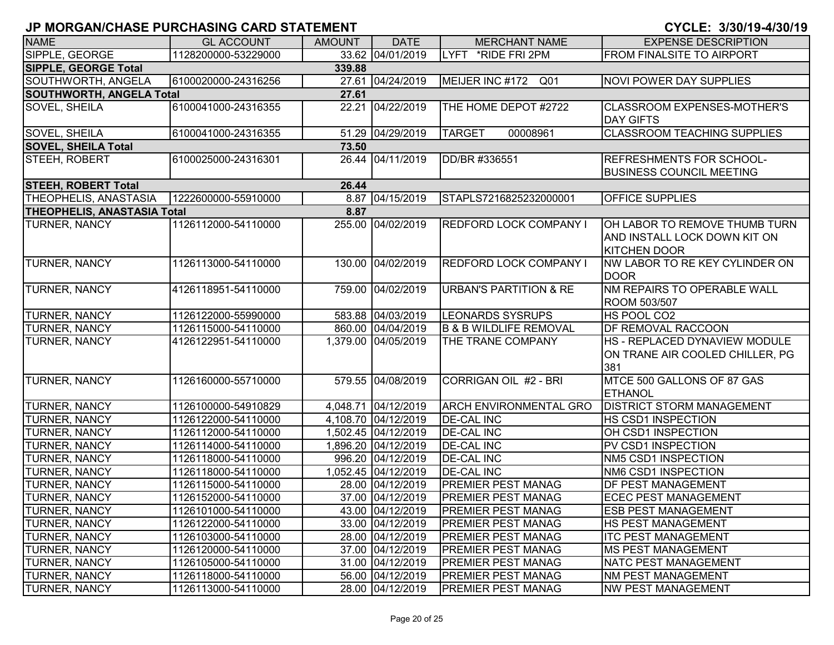| <b>NAME</b>                        | <b>GL ACCOUNT</b>   | <b>AMOUNT</b> | <b>DATE</b>         | <b>MERCHANT NAME</b>               | <b>EXPENSE DESCRIPTION</b>                                                           |
|------------------------------------|---------------------|---------------|---------------------|------------------------------------|--------------------------------------------------------------------------------------|
| SIPPLE, GEORGE                     | 1128200000-53229000 |               | 33.62 04/01/2019    | LYFT *RIDE FRI 2PM                 | <b>FROM FINALSITE TO AIRPORT</b>                                                     |
| <b>SIPPLE, GEORGE Total</b>        |                     | 339.88        |                     |                                    |                                                                                      |
| SOUTHWORTH, ANGELA                 | 6100020000-24316256 |               | 27.61 04/24/2019    | MEIJER INC #172<br>Q <sub>01</sub> | <b>NOVI POWER DAY SUPPLIES</b>                                                       |
| <b>SOUTHWORTH, ANGELA Total</b>    |                     | 27.61         |                     |                                    |                                                                                      |
| <b>SOVEL, SHEILA</b>               | 6100041000-24316355 |               | 22.21 04/22/2019    | THE HOME DEPOT #2722               | <b>CLASSROOM EXPENSES-MOTHER'S</b><br><b>DAY GIFTS</b>                               |
| SOVEL, SHEILA                      | 6100041000-24316355 |               | 51.29 04/29/2019    | 00008961<br><b>TARGET</b>          | <b>CLASSROOM TEACHING SUPPLIES</b>                                                   |
| <b>SOVEL, SHEILA Total</b>         |                     | 73.50         |                     |                                    |                                                                                      |
| STEEH, ROBERT                      | 6100025000-24316301 |               | 26.44 04/11/2019    | DD/BR #336551                      | <b>REFRESHMENTS FOR SCHOOL-</b><br><b>BUSINESS COUNCIL MEETING</b>                   |
| <b>STEEH, ROBERT Total</b>         |                     | 26.44         |                     |                                    |                                                                                      |
| <b>THEOPHELIS, ANASTASIA</b>       | 1222600000-55910000 |               | 8.87 04/15/2019     | STAPLS7216825232000001             | <b>OFFICE SUPPLIES</b>                                                               |
| <b>THEOPHELIS, ANASTASIA Total</b> |                     | 8.87          |                     |                                    |                                                                                      |
| <b>TURNER, NANCY</b>               | 1126112000-54110000 |               | 255.00 04/02/2019   | <b>REDFORD LOCK COMPANY I</b>      | OH LABOR TO REMOVE THUMB TURN<br>AND INSTALL LOCK DOWN KIT ON<br><b>KITCHEN DOOR</b> |
| <b>TURNER, NANCY</b>               | 1126113000-54110000 |               | 130.00 04/02/2019   | <b>REDFORD LOCK COMPANY I</b>      | INW LABOR TO RE KEY CYLINDER ON<br><b>IDOOR</b>                                      |
| <b>TURNER, NANCY</b>               | 4126118951-54110000 |               | 759.00 04/02/2019   | <b>URBAN'S PARTITION &amp; RE</b>  | <b>NM REPAIRS TO OPERABLE WALL</b><br>ROOM 503/507                                   |
| <b>TURNER, NANCY</b>               | 1126122000-55990000 |               | 583.88 04/03/2019   | <b>LEONARDS SYSRUPS</b>            | HS POOL CO2                                                                          |
| <b>TURNER, NANCY</b>               | 1126115000-54110000 |               | 860.00 04/04/2019   | <b>B &amp; B WILDLIFE REMOVAL</b>  | DF REMOVAL RACCOON                                                                   |
| <b>TURNER, NANCY</b>               | 4126122951-54110000 |               | 1,379.00 04/05/2019 | THE TRANE COMPANY                  | HS - REPLACED DYNAVIEW MODULE<br>ON TRANE AIR COOLED CHILLER, PG<br>381              |
| <b>TURNER, NANCY</b>               | 1126160000-55710000 |               | 579.55 04/08/2019   | <b>CORRIGAN OIL #2 - BRI</b>       | MTCE 500 GALLONS OF 87 GAS<br><b>ETHANOL</b>                                         |
| <b>TURNER, NANCY</b>               | 1126100000-54910829 |               | 4,048.71 04/12/2019 | <b>ARCH ENVIRONMENTAL GRO</b>      | <b>DISTRICT STORM MANAGEMENT</b>                                                     |
| <b>TURNER, NANCY</b>               | 1126122000-54110000 |               | 4,108.70 04/12/2019 | <b>DE-CAL INC</b>                  | HS CSD1 INSPECTION                                                                   |
| <b>TURNER, NANCY</b>               | 1126112000-54110000 |               | 1,502.45 04/12/2019 | <b>DE-CAL INC</b>                  | OH CSD1 INSPECTION                                                                   |
| <b>TURNER, NANCY</b>               | 1126114000-54110000 |               | 1,896.20 04/12/2019 | <b>DE-CAL INC</b>                  | PV CSD1 INSPECTION                                                                   |
| <b>TURNER, NANCY</b>               | 1126118000-54110000 |               | 996.20 04/12/2019   | <b>DE-CAL INC</b>                  | NM5 CSD1 INSPECTION                                                                  |
| <b>TURNER, NANCY</b>               | 1126118000-54110000 |               | 1,052.45 04/12/2019 | <b>DE-CAL INC</b>                  | NM6 CSD1 INSPECTION                                                                  |
| <b>TURNER, NANCY</b>               | 1126115000-54110000 |               | 28.00 04/12/2019    | <b>PREMIER PEST MANAG</b>          | <b>DF PEST MANAGEMENT</b>                                                            |
| <b>TURNER, NANCY</b>               | 1126152000-54110000 |               | 37.00 04/12/2019    | <b>PREMIER PEST MANAG</b>          | <b>ECEC PEST MANAGEMENT</b>                                                          |
| <b>TURNER, NANCY</b>               | 1126101000-54110000 |               | 43.00 04/12/2019    | <b>PREMIER PEST MANAG</b>          | <b>ESB PEST MANAGEMENT</b>                                                           |
| <b>TURNER, NANCY</b>               | 1126122000-54110000 |               | 33.00 04/12/2019    | <b>PREMIER PEST MANAG</b>          | <b>HS PEST MANAGEMENT</b>                                                            |
| <b>TURNER, NANCY</b>               | 1126103000-54110000 |               | 28.00 04/12/2019    | <b>PREMIER PEST MANAG</b>          | <b>ITC PEST MANAGEMENT</b>                                                           |
| <b>TURNER, NANCY</b>               | 1126120000-54110000 |               | 37.00 04/12/2019    | <b>PREMIER PEST MANAG</b>          | <b>MS PEST MANAGEMENT</b>                                                            |
| <b>TURNER, NANCY</b>               | 1126105000-54110000 |               | 31.00 04/12/2019    | <b>PREMIER PEST MANAG</b>          | <b>NATC PEST MANAGEMENT</b>                                                          |
| <b>TURNER, NANCY</b>               | 1126118000-54110000 |               | 56.00 04/12/2019    | <b>PREMIER PEST MANAG</b>          | <b>NM PEST MANAGEMENT</b>                                                            |
| <b>TURNER, NANCY</b>               | 1126113000-54110000 |               | 28.00 04/12/2019    | <b>PREMIER PEST MANAG</b>          | <b>NW PEST MANAGEMENT</b>                                                            |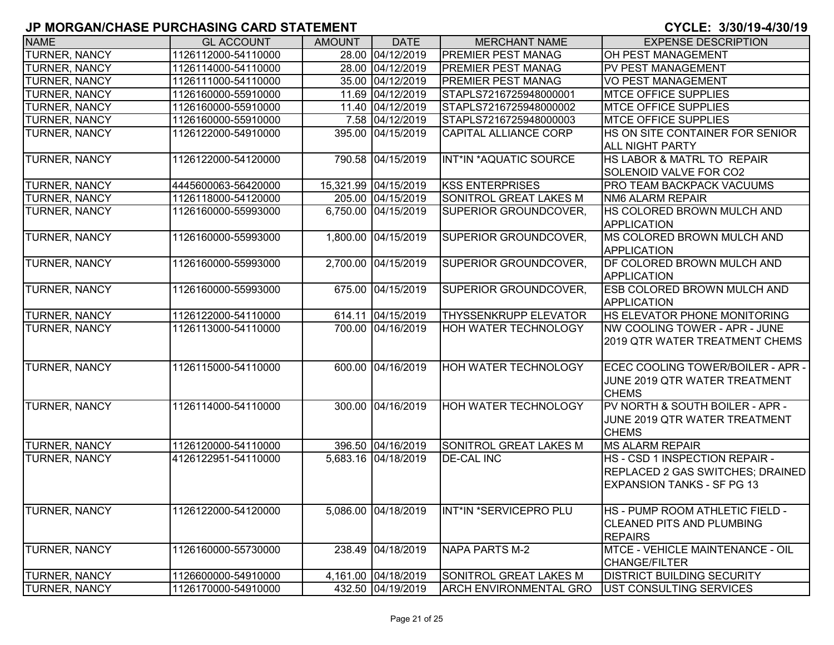| <b>NAME</b>          | <b>GL ACCOUNT</b>   | <b>AMOUNT</b> | <b>DATE</b>          | <b>MERCHANT NAME</b>          | <b>EXPENSE DESCRIPTION</b>                                                                              |
|----------------------|---------------------|---------------|----------------------|-------------------------------|---------------------------------------------------------------------------------------------------------|
| <b>TURNER, NANCY</b> | 1126112000-54110000 |               | 28.00 04/12/2019     | <b>PREMIER PEST MANAG</b>     | OH PEST MANAGEMENT                                                                                      |
| <b>TURNER, NANCY</b> | 1126114000-54110000 |               | 28.00 04/12/2019     | <b>PREMIER PEST MANAG</b>     | <b>PV PEST MANAGEMENT</b>                                                                               |
| <b>TURNER, NANCY</b> | 1126111000-54110000 |               | 35.00 04/12/2019     | <b>PREMIER PEST MANAG</b>     | <b>VO PEST MANAGEMENT</b>                                                                               |
| <b>TURNER, NANCY</b> | 1126160000-55910000 |               | 11.69 04/12/2019     | STAPLS7216725948000001        | <b>MTCE OFFICE SUPPLIES</b>                                                                             |
| <b>TURNER, NANCY</b> | 1126160000-55910000 |               | 11.40 04/12/2019     | STAPLS7216725948000002        | <b>MTCE OFFICE SUPPLIES</b>                                                                             |
| <b>TURNER, NANCY</b> | 1126160000-55910000 |               | 7.58 04/12/2019      | STAPLS7216725948000003        | <b>MTCE OFFICE SUPPLIES</b>                                                                             |
| <b>TURNER, NANCY</b> | 1126122000-54910000 |               | 395.00 04/15/2019    | CAPITAL ALLIANCE CORP         | HS ON SITE CONTAINER FOR SENIOR<br><b>ALL NIGHT PARTY</b>                                               |
| <b>TURNER, NANCY</b> | 1126122000-54120000 |               | 790.58 04/15/2019    | INT*IN *AQUATIC SOURCE        | HS LABOR & MATRL TO REPAIR<br>SOLENOID VALVE FOR CO2                                                    |
| <b>TURNER, NANCY</b> | 4445600063-56420000 |               | 15,321.99 04/15/2019 | <b>KSS ENTERPRISES</b>        | <b>PRO TEAM BACKPACK VACUUMS</b>                                                                        |
| <b>TURNER, NANCY</b> | 1126118000-54120000 |               | 205.00 04/15/2019    | <b>SONITROL GREAT LAKES M</b> | <b>NM6 ALARM REPAIR</b>                                                                                 |
| <b>TURNER, NANCY</b> | 1126160000-55993000 |               | 6,750.00 04/15/2019  | SUPERIOR GROUNDCOVER,         | HS COLORED BROWN MULCH AND<br><b>APPLICATION</b>                                                        |
| <b>TURNER, NANCY</b> | 1126160000-55993000 | 1,800.00      | 04/15/2019           | SUPERIOR GROUNDCOVER,         | MS COLORED BROWN MULCH AND<br><b>APPLICATION</b>                                                        |
| <b>TURNER, NANCY</b> | 1126160000-55993000 |               | 2,700.00 04/15/2019  | SUPERIOR GROUNDCOVER,         | DF COLORED BROWN MULCH AND<br><b>APPLICATION</b>                                                        |
| <b>TURNER, NANCY</b> | 1126160000-55993000 |               | 675.00 04/15/2019    | SUPERIOR GROUNDCOVER,         | <b>ESB COLORED BROWN MULCH AND</b><br><b>APPLICATION</b>                                                |
| <b>TURNER, NANCY</b> | 1126122000-54110000 |               | 614.11 04/15/2019    | <b>THYSSENKRUPP ELEVATOR</b>  | HS ELEVATOR PHONE MONITORING                                                                            |
| <b>TURNER, NANCY</b> | 1126113000-54110000 |               | 700.00 04/16/2019    | HOH WATER TECHNOLOGY          | NW COOLING TOWER - APR - JUNE<br>2019 QTR WATER TREATMENT CHEMS                                         |
| <b>TURNER, NANCY</b> | 1126115000-54110000 |               | 600.00 04/16/2019    | <b>HOH WATER TECHNOLOGY</b>   | ECEC COOLING TOWER/BOILER - APR -<br>JUNE 2019 QTR WATER TREATMENT<br><b>CHEMS</b>                      |
| <b>TURNER, NANCY</b> | 1126114000-54110000 |               | 300.00 04/16/2019    | <b>HOH WATER TECHNOLOGY</b>   | PV NORTH & SOUTH BOILER - APR -<br>JUNE 2019 QTR WATER TREATMENT<br><b>CHEMS</b>                        |
| <b>TURNER, NANCY</b> | 1126120000-54110000 |               | 396.50 04/16/2019    | SONITROL GREAT LAKES M        | <b>MS ALARM REPAIR</b>                                                                                  |
| <b>TURNER, NANCY</b> | 4126122951-54110000 |               | 5,683.16 04/18/2019  | <b>DE-CAL INC</b>             | HS - CSD 1 INSPECTION REPAIR -<br>REPLACED 2 GAS SWITCHES; DRAINED<br><b>EXPANSION TANKS - SF PG 13</b> |
| <b>TURNER, NANCY</b> | 1126122000-54120000 |               | 5,086.00 04/18/2019  | INT*IN *SERVICEPRO PLU        | HS - PUMP ROOM ATHLETIC FIELD -<br><b>CLEANED PITS AND PLUMBING</b><br><b>REPAIRS</b>                   |
| <b>TURNER, NANCY</b> | 1126160000-55730000 |               | 238.49 04/18/2019    | <b>NAPA PARTS M-2</b>         | <b>MTCE - VEHICLE MAINTENANCE - OIL</b><br>CHANGE/FILTER                                                |
| <b>TURNER, NANCY</b> | 1126600000-54910000 |               | 4,161.00 04/18/2019  | SONITROL GREAT LAKES M        | <b>DISTRICT BUILDING SECURITY</b>                                                                       |
| <b>TURNER, NANCY</b> | 1126170000-54910000 |               | 432.50 04/19/2019    | <b>ARCH ENVIRONMENTAL GRO</b> | UST CONSULTING SERVICES                                                                                 |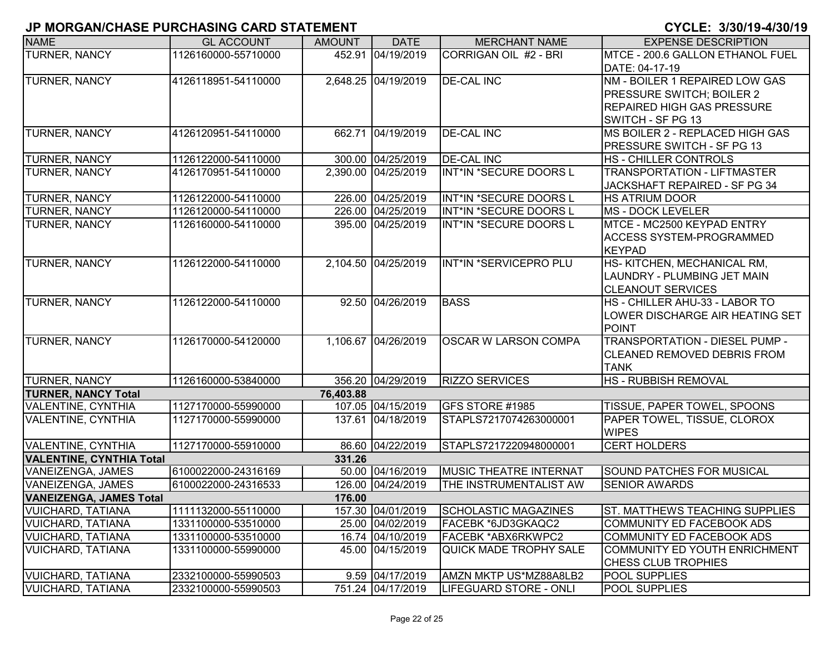| <b>NAME</b>                     | <b>GL ACCOUNT</b>   | <b>AMOUNT</b> | <b>DATE</b>         | <b>MERCHANT NAME</b>          | <b>EXPENSE DESCRIPTION</b>            |
|---------------------------------|---------------------|---------------|---------------------|-------------------------------|---------------------------------------|
| <b>TURNER, NANCY</b>            | 1126160000-55710000 |               | 452.91 04/19/2019   | CORRIGAN OIL #2 - BRI         | MTCE - 200.6 GALLON ETHANOL FUEL      |
|                                 |                     |               |                     |                               | DATE: 04-17-19                        |
| <b>TURNER, NANCY</b>            | 4126118951-54110000 |               | 2,648.25 04/19/2019 | <b>DE-CAL INC</b>             | NM - BOILER 1 REPAIRED LOW GAS        |
|                                 |                     |               |                     |                               | PRESSURE SWITCH; BOILER 2             |
|                                 |                     |               |                     |                               | <b>REPAIRED HIGH GAS PRESSURE</b>     |
|                                 |                     |               |                     |                               | SWITCH - SF PG 13                     |
| TURNER, NANCY                   | 4126120951-54110000 |               | 662.71 04/19/2019   | <b>DE-CAL INC</b>             | MS BOILER 2 - REPLACED HIGH GAS       |
|                                 |                     |               |                     |                               | PRESSURE SWITCH - SF PG 13            |
| <b>TURNER, NANCY</b>            | 1126122000-54110000 |               | 300.00 04/25/2019   | <b>DE-CAL INC</b>             | <b>HS-CHILLER CONTROLS</b>            |
| <b>TURNER, NANCY</b>            | 4126170951-54110000 |               | 2,390.00 04/25/2019 | INT*IN *SECURE DOORS L        | TRANSPORTATION - LIFTMASTER           |
|                                 |                     |               |                     |                               | JACKSHAFT REPAIRED - SF PG 34         |
| TURNER, NANCY                   | 1126122000-54110000 |               | 226.00 04/25/2019   | INT*IN *SECURE DOORS L        | <b>HS ATRIUM DOOR</b>                 |
| <b>TURNER, NANCY</b>            | 1126120000-54110000 |               | 226.00 04/25/2019   | INT*IN *SECURE DOORS L        | <b>MS - DOCK LEVELER</b>              |
| TURNER, NANCY                   | 1126160000-54110000 |               | 395.00 04/25/2019   | INT*IN *SECURE DOORS L        | MTCE - MC2500 KEYPAD ENTRY            |
|                                 |                     |               |                     |                               | <b>ACCESS SYSTEM-PROGRAMMED</b>       |
|                                 |                     |               |                     |                               | <b>KEYPAD</b>                         |
| TURNER, NANCY                   | 1126122000-54110000 |               | 2,104.50 04/25/2019 | INT*IN *SERVICEPRO PLU        | HS- KITCHEN, MECHANICAL RM,           |
|                                 |                     |               |                     |                               | LAUNDRY - PLUMBING JET MAIN           |
|                                 |                     |               |                     |                               | <b>CLEANOUT SERVICES</b>              |
| <b>TURNER, NANCY</b>            | 1126122000-54110000 |               | 92.50 04/26/2019    | <b>BASS</b>                   | HS - CHILLER AHU-33 - LABOR TO        |
|                                 |                     |               |                     |                               | LOWER DISCHARGE AIR HEATING SET       |
|                                 |                     |               |                     |                               | <b>POINT</b>                          |
| TURNER, NANCY                   | 1126170000-54120000 |               | 1,106.67 04/26/2019 | <b>OSCAR W LARSON COMPA</b>   | TRANSPORTATION - DIESEL PUMP -        |
|                                 |                     |               |                     |                               | <b>CLEANED REMOVED DEBRIS FROM</b>    |
|                                 |                     |               |                     |                               | <b>TANK</b>                           |
| <b>TURNER, NANCY</b>            | 1126160000-53840000 |               | 356.20 04/29/2019   | <b>RIZZO SERVICES</b>         | HS - RUBBISH REMOVAL                  |
| <b>TURNER, NANCY Total</b>      |                     | 76,403.88     |                     |                               |                                       |
| <b>VALENTINE, CYNTHIA</b>       | 1127170000-55990000 |               | 107.05 04/15/2019   | GFS STORE #1985               | TISSUE, PAPER TOWEL, SPOONS           |
| VALENTINE, CYNTHIA              | 1127170000-55990000 |               | 137.61 04/18/2019   | STAPLS7217074263000001        | PAPER TOWEL, TISSUE, CLOROX           |
|                                 |                     |               |                     |                               | <b>WIPES</b>                          |
| <b>VALENTINE, CYNTHIA</b>       | 1127170000-55910000 |               | 86.60 04/22/2019    | STAPLS7217220948000001        | <b>CERT HOLDERS</b>                   |
| <b>VALENTINE, CYNTHIA Total</b> |                     | 331.26        |                     |                               |                                       |
| VANEIZENGA, JAMES               | 6100022000-24316169 |               | 50.00 04/16/2019    | <b>MUSIC THEATRE INTERNAT</b> | <b>SOUND PATCHES FOR MUSICAL</b>      |
| VANEIZENGA, JAMES               | 6100022000-24316533 |               | 126.00 04/24/2019   | THE INSTRUMENTALIST AW        | <b>SENIOR AWARDS</b>                  |
| <b>VANEIZENGA, JAMES Total</b>  |                     | 176.00        |                     |                               |                                       |
| <b>VUICHARD, TATIANA</b>        | 1111132000-55110000 |               | 157.30 04/01/2019   | SCHOLASTIC MAGAZINES          | <b>ST. MATTHEWS TEACHING SUPPLIES</b> |
| <b>VUICHARD, TATIANA</b>        | 1331100000-53510000 |               | 25.00 04/02/2019    | FACEBK *6JD3GKAQC2            | COMMUNITY ED FACEBOOK ADS             |
| <b>VUICHARD, TATIANA</b>        | 1331100000-53510000 |               | 16.74 04/10/2019    | FACEBK *ABX6RKWPC2            | COMMUNITY ED FACEBOOK ADS             |
| <b>VUICHARD, TATIANA</b>        | 1331100000-55990000 |               | 45.00 04/15/2019    | <b>QUICK MADE TROPHY SALE</b> | COMMUNITY ED YOUTH ENRICHMENT         |
|                                 |                     |               |                     |                               | CHESS CLUB TROPHIES                   |
| <b>VUICHARD, TATIANA</b>        | 2332100000-55990503 |               | 9.59 04/17/2019     | AMZN MKTP US*MZ88A8LB2        | <b>POOL SUPPLIES</b>                  |
| <b>VUICHARD, TATIANA</b>        | 2332100000-55990503 |               | 751.24 04/17/2019   | LIFEGUARD STORE - ONLI        | <b>POOL SUPPLIES</b>                  |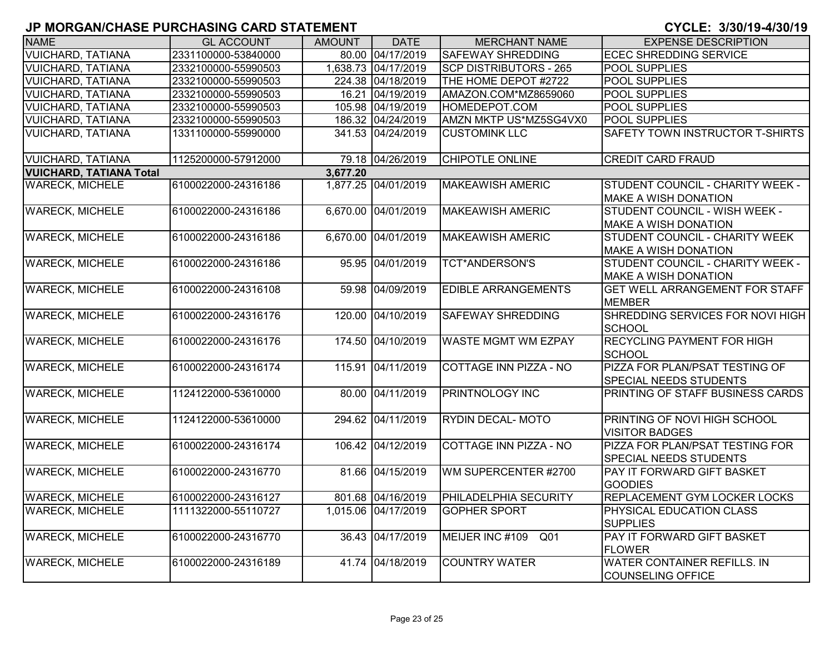| <b>NAME</b>                    | <b>GL ACCOUNT</b>   | <b>AMOUNT</b> | <b>DATE</b>         | <b>MERCHANT NAME</b>          | <b>EXPENSE DESCRIPTION</b>                                           |
|--------------------------------|---------------------|---------------|---------------------|-------------------------------|----------------------------------------------------------------------|
| <b>VUICHARD, TATIANA</b>       | 2331100000-53840000 |               | 80.00 04/17/2019    | <b>SAFEWAY SHREDDING</b>      | <b>ECEC SHREDDING SERVICE</b>                                        |
| <b>VUICHARD, TATIANA</b>       | 2332100000-55990503 |               | 1,638.73 04/17/2019 | <b>SCP DISTRIBUTORS - 265</b> | <b>POOL SUPPLIES</b>                                                 |
| <b>VUICHARD, TATIANA</b>       | 2332100000-55990503 |               | 224.38 04/18/2019   | THE HOME DEPOT #2722          | <b>POOL SUPPLIES</b>                                                 |
| <b>VUICHARD, TATIANA</b>       | 2332100000-55990503 |               | 16.21 04/19/2019    | AMAZON.COM*MZ8659060          | <b>POOL SUPPLIES</b>                                                 |
| <b>VUICHARD, TATIANA</b>       | 2332100000-55990503 |               | 105.98 04/19/2019   | HOMEDEPOT.COM                 | POOL SUPPLIES                                                        |
| <b>VUICHARD, TATIANA</b>       | 2332100000-55990503 |               | 186.32 04/24/2019   | AMZN MKTP US*MZ5SG4VX0        | <b>POOL SUPPLIES</b>                                                 |
| <b>VUICHARD, TATIANA</b>       | 1331100000-55990000 |               | 341.53 04/24/2019   | <b>CUSTOMINK LLC</b>          | SAFETY TOWN INSTRUCTOR T-SHIRTS                                      |
| <b>VUICHARD, TATIANA</b>       | 1125200000-57912000 |               | 79.18 04/26/2019    | CHIPOTLE ONLINE               | <b>CREDIT CARD FRAUD</b>                                             |
| <b>VUICHARD, TATIANA Total</b> |                     | 3,677.20      |                     |                               |                                                                      |
| <b>WARECK, MICHELE</b>         | 6100022000-24316186 |               | 1,877.25 04/01/2019 | <b>MAKEAWISH AMERIC</b>       | STUDENT COUNCIL - CHARITY WEEK -<br><b>MAKE A WISH DONATION</b>      |
| <b>WARECK, MICHELE</b>         | 6100022000-24316186 | 6,670.00      | 04/01/2019          | <b>MAKEAWISH AMERIC</b>       | STUDENT COUNCIL - WISH WEEK -<br><b>MAKE A WISH DONATION</b>         |
| <b>WARECK, MICHELE</b>         | 6100022000-24316186 | 6,670.00      | $\sqrt{04/01}/2019$ | <b>MAKEAWISH AMERIC</b>       | <b>STUDENT COUNCIL - CHARITY WEEK</b><br><b>MAKE A WISH DONATION</b> |
| <b>WARECK, MICHELE</b>         | 6100022000-24316186 |               | 95.95 04/01/2019    | <b>TCT*ANDERSON'S</b>         | STUDENT COUNCIL - CHARITY WEEK -<br><b>MAKE A WISH DONATION</b>      |
| <b>WARECK, MICHELE</b>         | 6100022000-24316108 |               | 59.98 04/09/2019    | <b>EDIBLE ARRANGEMENTS</b>    | <b>GET WELL ARRANGEMENT FOR STAFF</b><br><b>MEMBER</b>               |
| <b>WARECK, MICHELE</b>         | 6100022000-24316176 | 120.00        | 04/10/2019          | <b>SAFEWAY SHREDDING</b>      | SHREDDING SERVICES FOR NOVI HIGH<br><b>SCHOOL</b>                    |
| <b>WARECK, MICHELE</b>         | 6100022000-24316176 | 174.50        | 04/10/2019          | <b>WASTE MGMT WM EZPAY</b>    | <b>RECYCLING PAYMENT FOR HIGH</b><br><b>SCHOOL</b>                   |
| <b>WARECK, MICHELE</b>         | 6100022000-24316174 |               | 115.91 04/11/2019   | <b>COTTAGE INN PIZZA - NO</b> | PIZZA FOR PLAN/PSAT TESTING OF<br><b>SPECIAL NEEDS STUDENTS</b>      |
| <b>WARECK, MICHELE</b>         | 1124122000-53610000 |               | 80.00 04/11/2019    | PRINTNOLOGY INC               | PRINTING OF STAFF BUSINESS CARDS                                     |
| <b>WARECK, MICHELE</b>         | 1124122000-53610000 |               | 294.62 04/11/2019   | <b>RYDIN DECAL-MOTO</b>       | <b>PRINTING OF NOVI HIGH SCHOOL</b><br><b>VISITOR BADGES</b>         |
| <b>WARECK, MICHELE</b>         | 6100022000-24316174 |               | 106.42 04/12/2019   | COTTAGE INN PIZZA - NO        | PIZZA FOR PLAN/PSAT TESTING FOR<br><b>SPECIAL NEEDS STUDENTS</b>     |
| <b>WARECK, MICHELE</b>         | 6100022000-24316770 |               | 81.66 04/15/2019    | WM SUPERCENTER #2700          | <b>PAY IT FORWARD GIFT BASKET</b><br><b>GOODIES</b>                  |
| <b>WARECK, MICHELE</b>         | 6100022000-24316127 |               | 801.68 04/16/2019   | PHILADELPHIA SECURITY         | <b>REPLACEMENT GYM LOCKER LOCKS</b>                                  |
| <b>WARECK, MICHELE</b>         | 1111322000-55110727 |               | 1,015.06 04/17/2019 | <b>GOPHER SPORT</b>           | <b>PHYSICAL EDUCATION CLASS</b><br><b>SUPPLIES</b>                   |
| <b>WARECK, MICHELE</b>         | 6100022000-24316770 |               | 36.43 04/17/2019    | MEIJER INC #109<br>Q01        | PAY IT FORWARD GIFT BASKET<br><b>FLOWER</b>                          |
| <b>WARECK, MICHELE</b>         | 6100022000-24316189 |               | 41.74 04/18/2019    | <b>COUNTRY WATER</b>          | <b>WATER CONTAINER REFILLS. IN</b><br><b>COUNSELING OFFICE</b>       |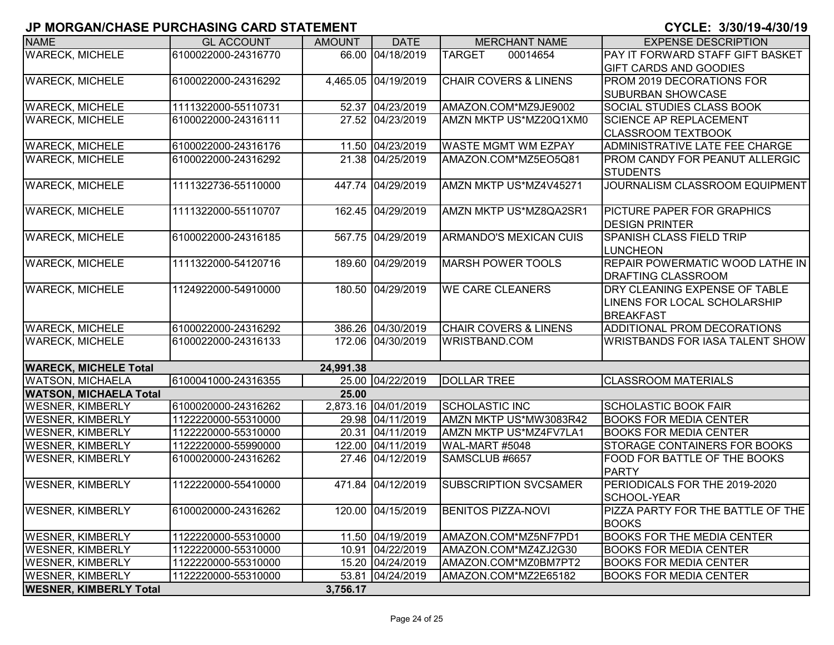| <b>NAME</b>                   | <b>GL ACCOUNT</b>   | <b>AMOUNT</b> | <b>DATE</b>         | <b>MERCHANT NAME</b>             | <b>EXPENSE DESCRIPTION</b>                               |
|-------------------------------|---------------------|---------------|---------------------|----------------------------------|----------------------------------------------------------|
| <b>WARECK, MICHELE</b>        | 6100022000-24316770 |               | 66.00 04/18/2019    | <b>TARGET</b><br>00014654        | PAY IT FORWARD STAFF GIFT BASKET                         |
|                               |                     |               |                     |                                  | <b>GIFT CARDS AND GOODIES</b>                            |
| <b>WARECK, MICHELE</b>        | 6100022000-24316292 |               | 4,465.05 04/19/2019 | <b>CHAIR COVERS &amp; LINENS</b> | <b>PROM 2019 DECORATIONS FOR</b>                         |
|                               |                     |               |                     |                                  | <b>SUBURBAN SHOWCASE</b>                                 |
| <b>WARECK, MICHELE</b>        | 1111322000-55110731 |               | 52.37 04/23/2019    | AMAZON.COM*MZ9JE9002             | <b>SOCIAL STUDIES CLASS BOOK</b>                         |
| <b>WARECK, MICHELE</b>        | 6100022000-24316111 |               | 27.52 04/23/2019    | AMZN MKTP US*MZ20Q1XM0           | <b>SCIENCE AP REPLACEMENT</b>                            |
|                               |                     |               |                     |                                  | <b>CLASSROOM TEXTBOOK</b>                                |
| <b>WARECK, MICHELE</b>        | 6100022000-24316176 |               | 11.50 04/23/2019    | <b>WASTE MGMT WM EZPAY</b>       | ADMINISTRATIVE LATE FEE CHARGE                           |
| <b>WARECK, MICHELE</b>        | 6100022000-24316292 |               | 21.38 04/25/2019    | AMAZON.COM*MZ5EO5Q81             | <b>PROM CANDY FOR PEANUT ALLERGIC</b><br><b>STUDENTS</b> |
| <b>WARECK, MICHELE</b>        | 1111322736-55110000 |               | 447.74 04/29/2019   | AMZN MKTP US*MZ4V45271           | JOURNALISM CLASSROOM EQUIPMENT                           |
| <b>WARECK, MICHELE</b>        | 1111322000-55110707 |               | 162.45 04/29/2019   | AMZN MKTP US*MZ8QA2SR1           | PICTURE PAPER FOR GRAPHICS<br><b>DESIGN PRINTER</b>      |
| <b>WARECK, MICHELE</b>        | 6100022000-24316185 |               | 567.75 04/29/2019   | <b>ARMANDO'S MEXICAN CUIS</b>    | <b>SPANISH CLASS FIELD TRIP</b>                          |
|                               |                     |               |                     |                                  | <b>LUNCHEON</b>                                          |
| <b>WARECK, MICHELE</b>        | 1111322000-54120716 |               | 189.60 04/29/2019   | <b>MARSH POWER TOOLS</b>         | <b>REPAIR POWERMATIC WOOD LATHE IN</b>                   |
|                               |                     |               |                     |                                  | <b>DRAFTING CLASSROOM</b>                                |
| <b>WARECK, MICHELE</b>        | 1124922000-54910000 |               | 180.50 04/29/2019   | <b>WE CARE CLEANERS</b>          | DRY CLEANING EXPENSE OF TABLE                            |
|                               |                     |               |                     |                                  | LINENS FOR LOCAL SCHOLARSHIP                             |
|                               |                     |               |                     |                                  | <b>BREAKFAST</b>                                         |
| <b>WARECK, MICHELE</b>        | 6100022000-24316292 |               | 386.26 04/30/2019   | <b>CHAIR COVERS &amp; LINENS</b> | ADDITIONAL PROM DECORATIONS                              |
| <b>WARECK, MICHELE</b>        | 6100022000-24316133 |               | 172.06 04/30/2019   | <b>WRISTBAND.COM</b>             | <b>WRISTBANDS FOR IASA TALENT SHOW</b>                   |
| <b>WARECK, MICHELE Total</b>  |                     | 24,991.38     |                     |                                  |                                                          |
| <b>WATSON, MICHAELA</b>       | 6100041000-24316355 |               | 25.00 04/22/2019    | <b>DOLLAR TREE</b>               | <b>CLASSROOM MATERIALS</b>                               |
| <b>WATSON, MICHAELA Total</b> |                     | 25.00         |                     |                                  |                                                          |
| <b>WESNER, KIMBERLY</b>       | 6100020000-24316262 |               | 2,873.16 04/01/2019 | <b>SCHOLASTIC INC</b>            | <b>SCHOLASTIC BOOK FAIR</b>                              |
| <b>WESNER, KIMBERLY</b>       | 1122220000-55310000 |               | 29.98 04/11/2019    | AMZN MKTP US*MW3083R42           | <b>BOOKS FOR MEDIA CENTER</b>                            |
| <b>WESNER, KIMBERLY</b>       | 1122220000-55310000 |               | 20.31 04/11/2019    | AMZN MKTP US*MZ4FV7LA1           | <b>BOOKS FOR MEDIA CENTER</b>                            |
| <b>WESNER, KIMBERLY</b>       | 1122220000-55990000 |               | 122.00 04/11/2019   | WAL-MART #5048                   | STORAGE CONTAINERS FOR BOOKS                             |
| <b>WESNER, KIMBERLY</b>       | 6100020000-24316262 |               | 27.46 04/12/2019    | SAMSCLUB #6657                   | FOOD FOR BATTLE OF THE BOOKS                             |
|                               |                     |               |                     |                                  | <b>PARTY</b>                                             |
| <b>WESNER, KIMBERLY</b>       | 1122220000-55410000 |               | 471.84 04/12/2019   | <b>SUBSCRIPTION SVCSAMER</b>     | PERIODICALS FOR THE 2019-2020                            |
|                               |                     |               |                     |                                  | SCHOOL-YEAR                                              |
| <b>WESNER, KIMBERLY</b>       | 6100020000-24316262 |               | 120.00 04/15/2019   | <b>BENITOS PIZZA-NOVI</b>        | PIZZA PARTY FOR THE BATTLE OF THE<br><b>BOOKS</b>        |
| <b>WESNER, KIMBERLY</b>       | 1122220000-55310000 |               | 11.50 04/19/2019    | AMAZON.COM*MZ5NF7PD1             | <b>BOOKS FOR THE MEDIA CENTER</b>                        |
| <b>WESNER, KIMBERLY</b>       | 1122220000-55310000 |               | 10.91 04/22/2019    | AMAZON.COM*MZ4ZJ2G30             | <b>BOOKS FOR MEDIA CENTER</b>                            |
| <b>WESNER, KIMBERLY</b>       | 1122220000-55310000 |               | 15.20 04/24/2019    | AMAZON.COM*MZ0BM7PT2             | <b>BOOKS FOR MEDIA CENTER</b>                            |
| <b>WESNER, KIMBERLY</b>       | 1122220000-55310000 |               | 53.81 04/24/2019    | AMAZON.COM*MZ2E65182             | <b>BOOKS FOR MEDIA CENTER</b>                            |
| <b>WESNER, KIMBERLY Total</b> |                     | 3,756.17      |                     |                                  |                                                          |